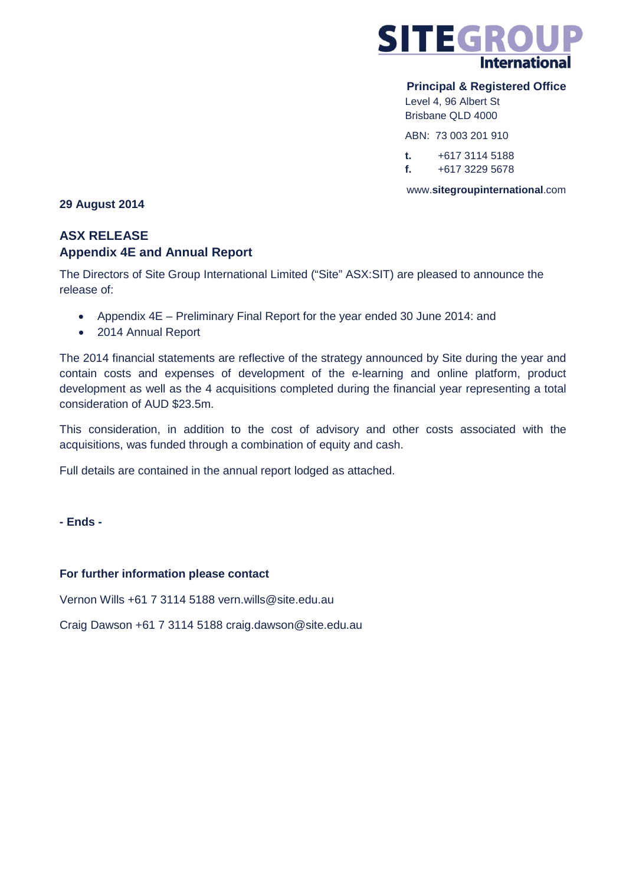

## **Principal & Registered Office**

Level 4, 96 Albert St Brisbane QLD 4000

ABN: 73 003 201 910

**t.** +617 3114 5188 **f.** +617 3229 5678

www.**sitegroupinternational**.com

**29 August 2014**

## **ASX RELEASE Appendix 4E and Annual Report**

The Directors of Site Group International Limited ("Site" ASX:SIT) are pleased to announce the release of:

- Appendix 4E Preliminary Final Report for the year ended 30 June 2014: and
- 2014 Annual Report

The 2014 financial statements are reflective of the strategy announced by Site during the year and contain costs and expenses of development of the e-learning and online platform, product development as well as the 4 acquisitions completed during the financial year representing a total consideration of AUD \$23.5m.

This consideration, in addition to the cost of advisory and other costs associated with the acquisitions, was funded through a combination of equity and cash.

Full details are contained in the annual report lodged as attached.

**- Ends -**

## **For further information please contact**

Vernon Wills +61 7 3114 5188 vern.wills@site.edu.au

Craig Dawson +61 7 3114 5188 craig.dawson@site.edu.au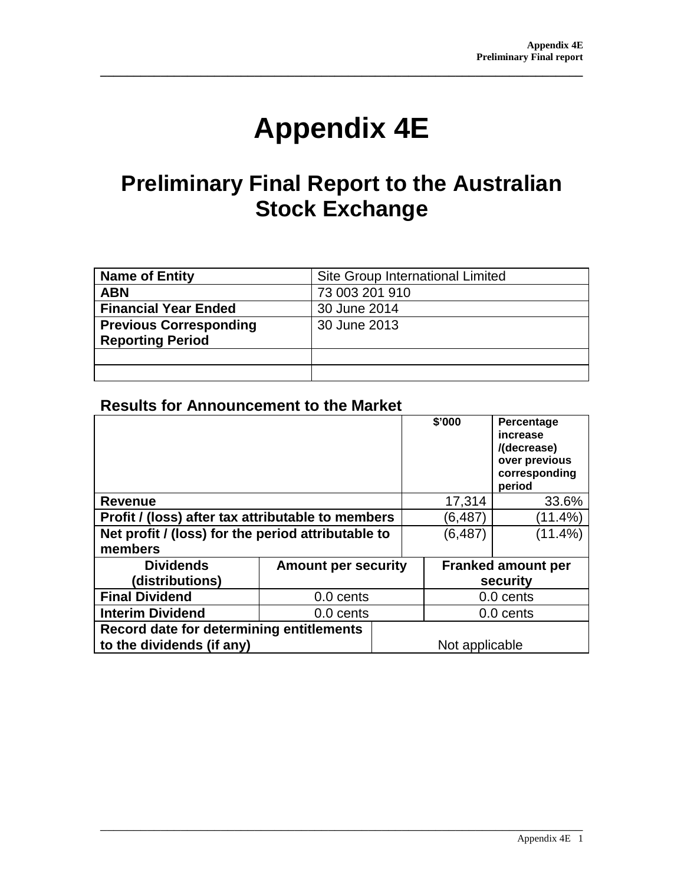# **Appendix 4E**

**\_\_\_\_\_\_\_\_\_\_\_\_\_\_\_\_\_\_\_\_\_\_\_\_\_\_\_\_\_\_\_\_\_\_\_\_\_\_\_\_\_\_\_\_\_\_\_\_\_\_\_\_\_\_\_\_\_\_\_\_\_\_\_\_\_\_\_\_\_\_\_\_**

# **Preliminary Final Report to the Australian Stock Exchange**

| <b>Name of Entity</b>         | Site Group International Limited |
|-------------------------------|----------------------------------|
| <b>ABN</b>                    | 73 003 201 910                   |
| <b>Financial Year Ended</b>   | 30 June 2014                     |
| <b>Previous Corresponding</b> | 30 June 2013                     |
| <b>Reporting Period</b>       |                                  |
|                               |                                  |
|                               |                                  |

## **Results for Announcement to the Market**

|                                                    |                            |  | \$'000         | Percentage<br>increase<br>/(decrease)<br>over previous<br>corresponding<br>period |
|----------------------------------------------------|----------------------------|--|----------------|-----------------------------------------------------------------------------------|
| <b>Revenue</b>                                     |                            |  | 17,314         | 33.6%                                                                             |
| Profit / (loss) after tax attributable to members  |                            |  | (6,487)        | (11.4%)                                                                           |
| Net profit / (loss) for the period attributable to |                            |  | (6, 487)       | (11.4%)                                                                           |
| members                                            |                            |  |                |                                                                                   |
| <b>Dividends</b>                                   | <b>Amount per security</b> |  |                | <b>Franked amount per</b>                                                         |
| (distributions)                                    |                            |  |                | security                                                                          |
| <b>Final Dividend</b><br>0.0 cents                 |                            |  | 0.0 cents      |                                                                                   |
| <b>Interim Dividend</b><br>0.0 cents               |                            |  | 0.0 cents      |                                                                                   |
| Record date for determining entitlements           |                            |  |                |                                                                                   |
| to the dividends (if any)                          |                            |  | Not applicable |                                                                                   |

\_\_\_\_\_\_\_\_\_\_\_\_\_\_\_\_\_\_\_\_\_\_\_\_\_\_\_\_\_\_\_\_\_\_\_\_\_\_\_\_\_\_\_\_\_\_\_\_\_\_\_\_\_\_\_\_\_\_\_\_\_\_\_\_\_\_\_\_\_\_\_\_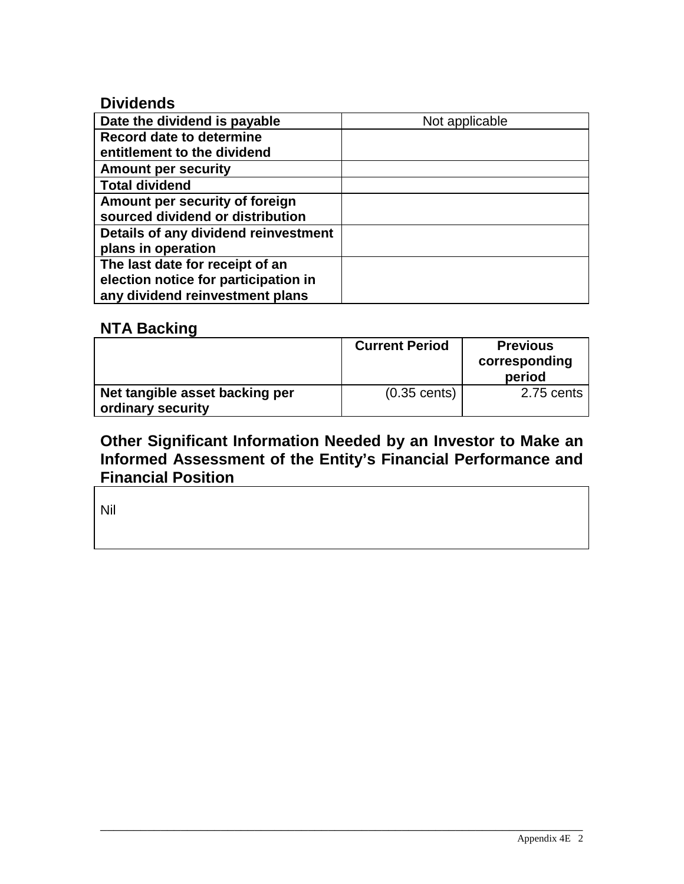# **Dividends**

| Date the dividend is payable         | Not applicable |
|--------------------------------------|----------------|
| Record date to determine             |                |
| entitlement to the dividend          |                |
| <b>Amount per security</b>           |                |
| <b>Total dividend</b>                |                |
| Amount per security of foreign       |                |
| sourced dividend or distribution     |                |
| Details of any dividend reinvestment |                |
| plans in operation                   |                |
| The last date for receipt of an      |                |
| election notice for participation in |                |
| any dividend reinvestment plans      |                |

# **NTA Backing**

|                                                     | <b>Current Period</b>  | <b>Previous</b><br>corresponding<br>period |
|-----------------------------------------------------|------------------------|--------------------------------------------|
| Net tangible asset backing per<br>ordinary security | $(0.35 \text{ cents})$ | 2.75 cents                                 |

## **Other Significant Information Needed by an Investor to Make an Informed Assessment of the Entity's Financial Performance and Financial Position**

\_\_\_\_\_\_\_\_\_\_\_\_\_\_\_\_\_\_\_\_\_\_\_\_\_\_\_\_\_\_\_\_\_\_\_\_\_\_\_\_\_\_\_\_\_\_\_\_\_\_\_\_\_\_\_\_\_\_\_\_\_\_\_\_\_\_\_\_\_\_\_\_

Nil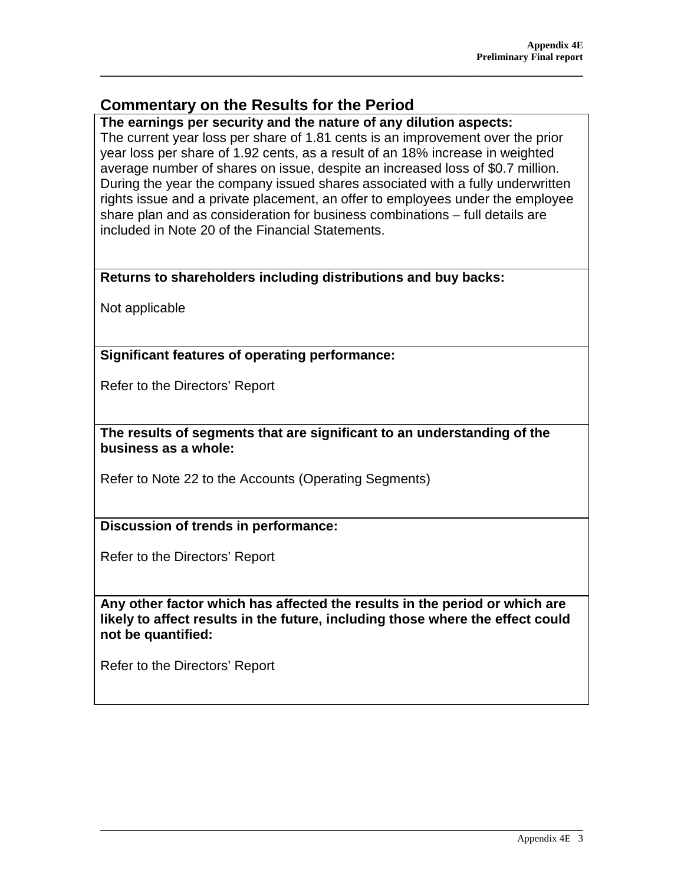## **Commentary on the Results for the Period**

**The earnings per security and the nature of any dilution aspects:**

The current year loss per share of 1.81 cents is an improvement over the prior year loss per share of 1.92 cents, as a result of an 18% increase in weighted average number of shares on issue, despite an increased loss of \$0.7 million. During the year the company issued shares associated with a fully underwritten rights issue and a private placement, an offer to employees under the employee share plan and as consideration for business combinations – full details are included in Note 20 of the Financial Statements.

**\_\_\_\_\_\_\_\_\_\_\_\_\_\_\_\_\_\_\_\_\_\_\_\_\_\_\_\_\_\_\_\_\_\_\_\_\_\_\_\_\_\_\_\_\_\_\_\_\_\_\_\_\_\_\_\_\_\_\_\_\_\_\_\_\_\_\_\_\_\_\_\_**

## **Returns to shareholders including distributions and buy backs:**

Not applicable

## **Significant features of operating performance:**

Refer to the Directors' Report

## **The results of segments that are significant to an understanding of the business as a whole:**

Refer to Note 22 to the Accounts (Operating Segments)

## **Discussion of trends in performance:**

Refer to the Directors' Report

**Any other factor which has affected the results in the period or which are likely to affect results in the future, including those where the effect could not be quantified:**

\_\_\_\_\_\_\_\_\_\_\_\_\_\_\_\_\_\_\_\_\_\_\_\_\_\_\_\_\_\_\_\_\_\_\_\_\_\_\_\_\_\_\_\_\_\_\_\_\_\_\_\_\_\_\_\_\_\_\_\_\_\_\_\_\_\_\_\_\_\_\_\_

Refer to the Directors' Report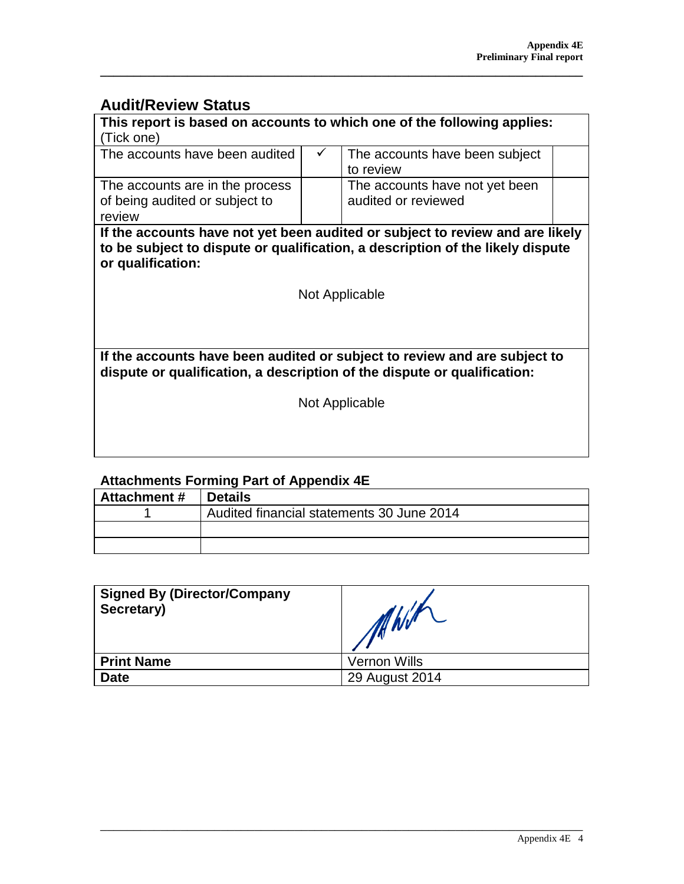# **Audit/Review Status**

| This report is based on accounts to which one of the following applies:<br>(Tick one)                                                                                                |              |                                                       |  |  |  |  |
|--------------------------------------------------------------------------------------------------------------------------------------------------------------------------------------|--------------|-------------------------------------------------------|--|--|--|--|
| The accounts have been audited                                                                                                                                                       | $\checkmark$ | The accounts have been subject<br>to review           |  |  |  |  |
| The accounts are in the process<br>of being audited or subject to<br>review                                                                                                          |              | The accounts have not yet been<br>audited or reviewed |  |  |  |  |
| If the accounts have not yet been audited or subject to review and are likely<br>to be subject to dispute or qualification, a description of the likely dispute<br>or qualification: |              |                                                       |  |  |  |  |
| Not Applicable                                                                                                                                                                       |              |                                                       |  |  |  |  |
| If the accounts have been audited or subject to review and are subject to<br>dispute or qualification, a description of the dispute or qualification:                                |              |                                                       |  |  |  |  |
| Not Applicable                                                                                                                                                                       |              |                                                       |  |  |  |  |
|                                                                                                                                                                                      |              |                                                       |  |  |  |  |

**\_\_\_\_\_\_\_\_\_\_\_\_\_\_\_\_\_\_\_\_\_\_\_\_\_\_\_\_\_\_\_\_\_\_\_\_\_\_\_\_\_\_\_\_\_\_\_\_\_\_\_\_\_\_\_\_\_\_\_\_\_\_\_\_\_\_\_\_\_\_\_\_**

# **Attachments Forming Part of Appendix 4E**

| <b>Attachment #</b> | <b>Details</b>                            |
|---------------------|-------------------------------------------|
|                     | Audited financial statements 30 June 2014 |
|                     |                                           |
|                     |                                           |

| <b>Signed By (Director/Company</b><br>Secretary) | AA WU'              |
|--------------------------------------------------|---------------------|
| <b>Print Name</b>                                | <b>Vernon Wills</b> |
| <b>Date</b>                                      | 29 August 2014      |

\_\_\_\_\_\_\_\_\_\_\_\_\_\_\_\_\_\_\_\_\_\_\_\_\_\_\_\_\_\_\_\_\_\_\_\_\_\_\_\_\_\_\_\_\_\_\_\_\_\_\_\_\_\_\_\_\_\_\_\_\_\_\_\_\_\_\_\_\_\_\_\_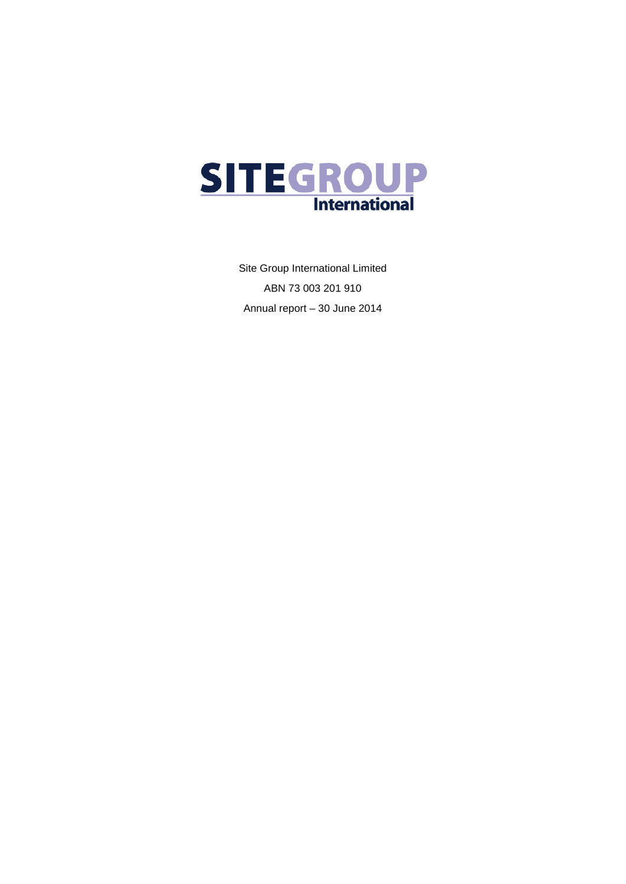

Site Group International Limited ABN 73 003 201 910 Annual report – 30 June 2014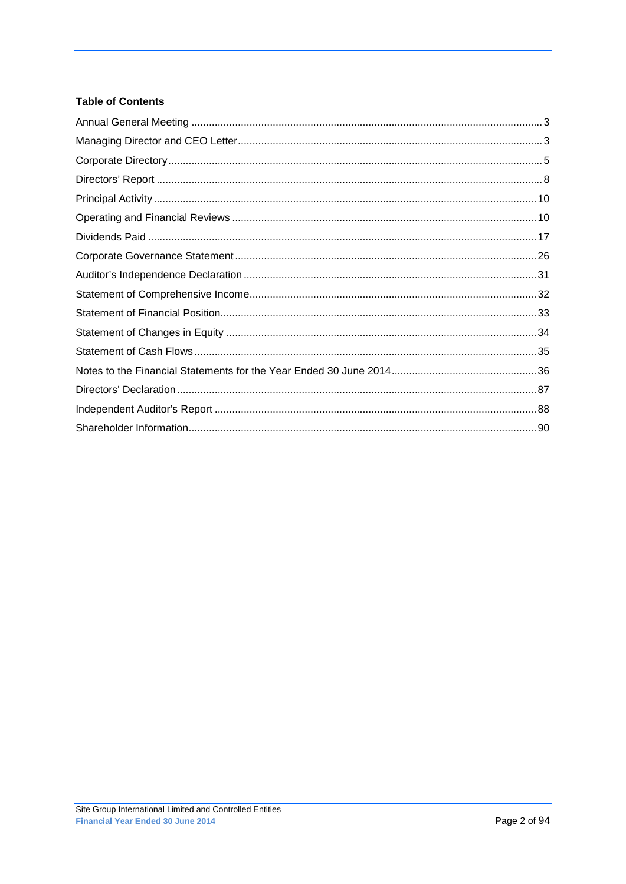## **Table of Contents**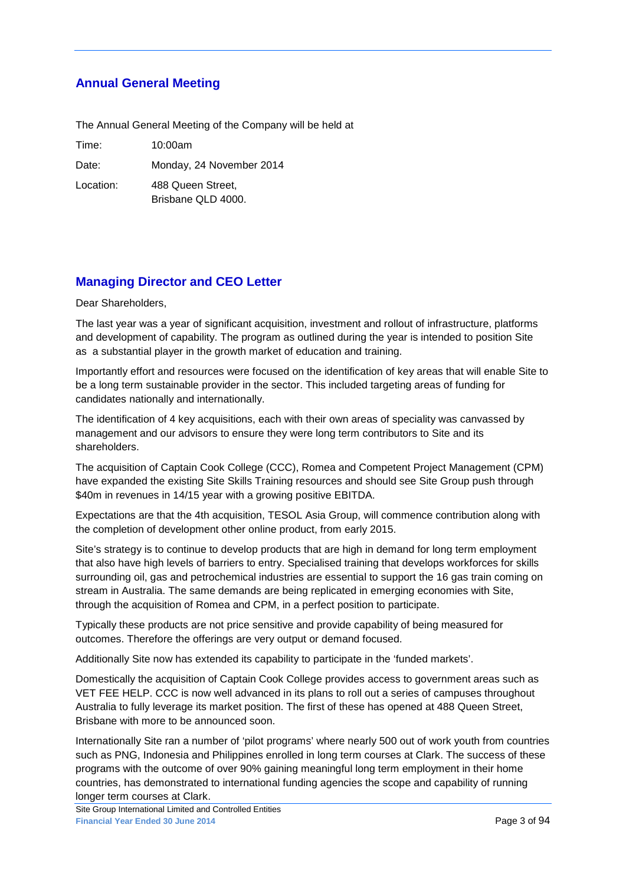## <span id="page-7-0"></span>**Annual General Meeting**

The Annual General Meeting of the Company will be held at

| Time:     | 10:00am                                 |
|-----------|-----------------------------------------|
| Date:     | Monday, 24 November 2014                |
| Location: | 488 Queen Street,<br>Brisbane QLD 4000. |

## <span id="page-7-1"></span>**Managing Director and CEO Letter**

Dear Shareholders,

The last year was a year of significant acquisition, investment and rollout of infrastructure, platforms and development of capability. The program as outlined during the year is intended to position Site as a substantial player in the growth market of education and training.

Importantly effort and resources were focused on the identification of key areas that will enable Site to be a long term sustainable provider in the sector. This included targeting areas of funding for candidates nationally and internationally.

The identification of 4 key acquisitions, each with their own areas of speciality was canvassed by management and our advisors to ensure they were long term contributors to Site and its shareholders.

The acquisition of Captain Cook College (CCC), Romea and Competent Project Management (CPM) have expanded the existing Site Skills Training resources and should see Site Group push through \$40m in revenues in 14/15 year with a growing positive EBITDA.

Expectations are that the 4th acquisition, TESOL Asia Group, will commence contribution along with the completion of development other online product, from early 2015.

Site's strategy is to continue to develop products that are high in demand for long term employment that also have high levels of barriers to entry. Specialised training that develops workforces for skills surrounding oil, gas and petrochemical industries are essential to support the 16 gas train coming on stream in Australia. The same demands are being replicated in emerging economies with Site, through the acquisition of Romea and CPM, in a perfect position to participate.

Typically these products are not price sensitive and provide capability of being measured for outcomes. Therefore the offerings are very output or demand focused.

Additionally Site now has extended its capability to participate in the 'funded markets'.

Domestically the acquisition of Captain Cook College provides access to government areas such as VET FEE HELP. CCC is now well advanced in its plans to roll out a series of campuses throughout Australia to fully leverage its market position. The first of these has opened at 488 Queen Street, Brisbane with more to be announced soon.

Internationally Site ran a number of 'pilot programs' where nearly 500 out of work youth from countries such as PNG, Indonesia and Philippines enrolled in long term courses at Clark. The success of these programs with the outcome of over 90% gaining meaningful long term employment in their home countries, has demonstrated to international funding agencies the scope and capability of running longer term courses at Clark.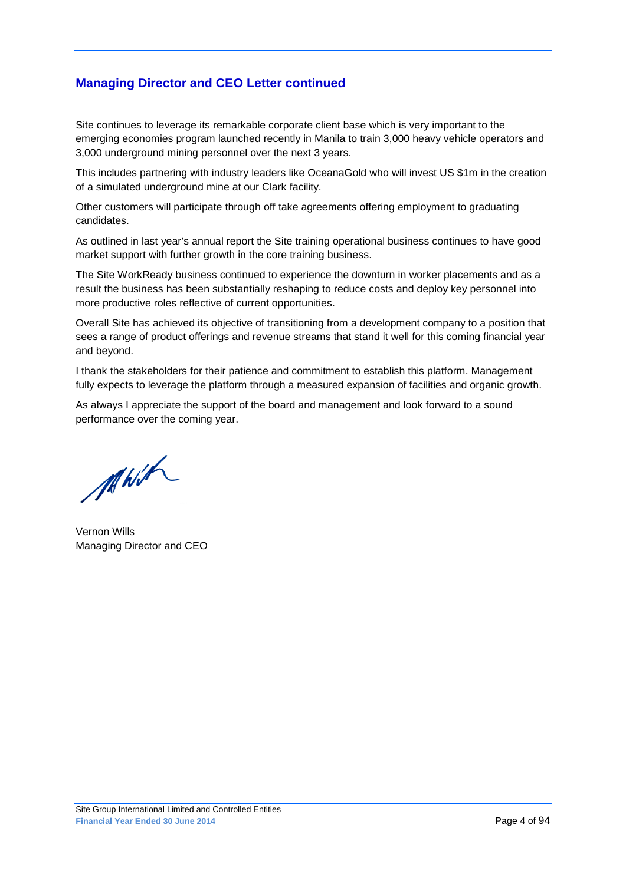## **Managing Director and CEO Letter continued**

Site continues to leverage its remarkable corporate client base which is very important to the emerging economies program launched recently in Manila to train 3,000 heavy vehicle operators and 3,000 underground mining personnel over the next 3 years.

This includes partnering with industry leaders like OceanaGold who will invest US \$1m in the creation of a simulated underground mine at our Clark facility.

Other customers will participate through off take agreements offering employment to graduating candidates.

As outlined in last year's annual report the Site training operational business continues to have good market support with further growth in the core training business.

The Site WorkReady business continued to experience the downturn in worker placements and as a result the business has been substantially reshaping to reduce costs and deploy key personnel into more productive roles reflective of current opportunities.

Overall Site has achieved its objective of transitioning from a development company to a position that sees a range of product offerings and revenue streams that stand it well for this coming financial year and beyond.

I thank the stakeholders for their patience and commitment to establish this platform. Management fully expects to leverage the platform through a measured expansion of facilities and organic growth.

As always I appreciate the support of the board and management and look forward to a sound performance over the coming year.

MANIA

Vernon Wills Managing Director and CEO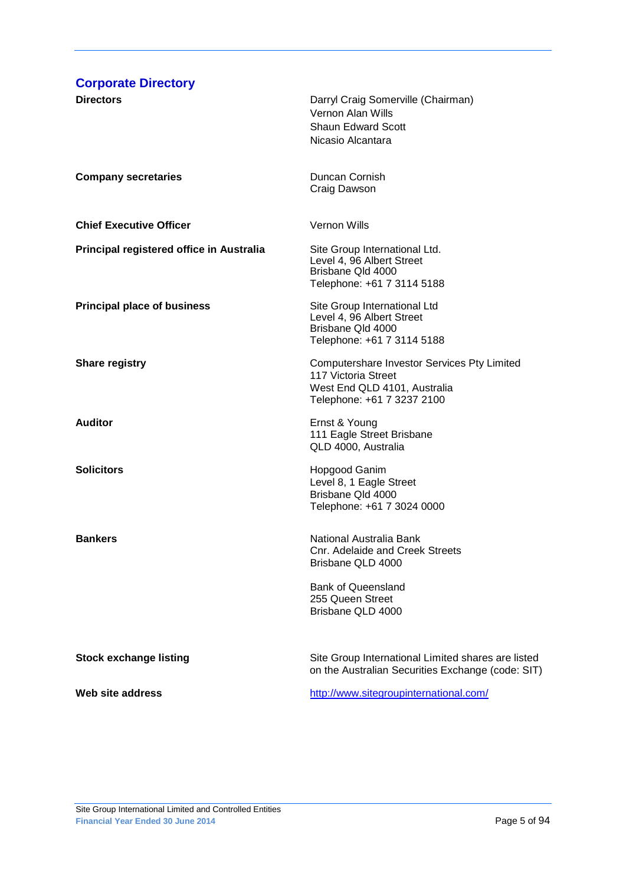# <span id="page-9-0"></span>**Corporate Directory**

| <b>Directors</b>                         | Darryl Craig Somerville (Chairman)<br>Vernon Alan Wills<br><b>Shaun Edward Scott</b><br>Nicasio Alcantara                        |
|------------------------------------------|----------------------------------------------------------------------------------------------------------------------------------|
| <b>Company secretaries</b>               | Duncan Cornish<br>Craig Dawson                                                                                                   |
| <b>Chief Executive Officer</b>           | Vernon Wills                                                                                                                     |
| Principal registered office in Australia | Site Group International Ltd.<br>Level 4, 96 Albert Street<br>Brisbane Qld 4000<br>Telephone: +61 7 3114 5188                    |
| <b>Principal place of business</b>       | Site Group International Ltd<br>Level 4, 96 Albert Street<br>Brisbane Old 4000<br>Telephone: +61 7 3114 5188                     |
| <b>Share registry</b>                    | Computershare Investor Services Pty Limited<br>117 Victoria Street<br>West End QLD 4101, Australia<br>Telephone: +61 7 3237 2100 |
| <b>Auditor</b>                           | Ernst & Young<br>111 Eagle Street Brisbane<br>QLD 4000, Australia                                                                |
| <b>Solicitors</b>                        | <b>Hopgood Ganim</b><br>Level 8, 1 Eagle Street<br>Brisbane Qld 4000<br>Telephone: +61 7 3024 0000                               |
| <b>Bankers</b>                           | National Australia Bank<br>Cnr. Adelaide and Creek Streets<br>Brisbane QLD 4000                                                  |
|                                          | <b>Bank of Queensland</b><br>255 Queen Street<br>Brisbane QLD 4000                                                               |
| <b>Stock exchange listing</b>            | Site Group International Limited shares are listed<br>on the Australian Securities Exchange (code: SIT)                          |
| Web site address                         | http://www.sitegroupinternational.com/                                                                                           |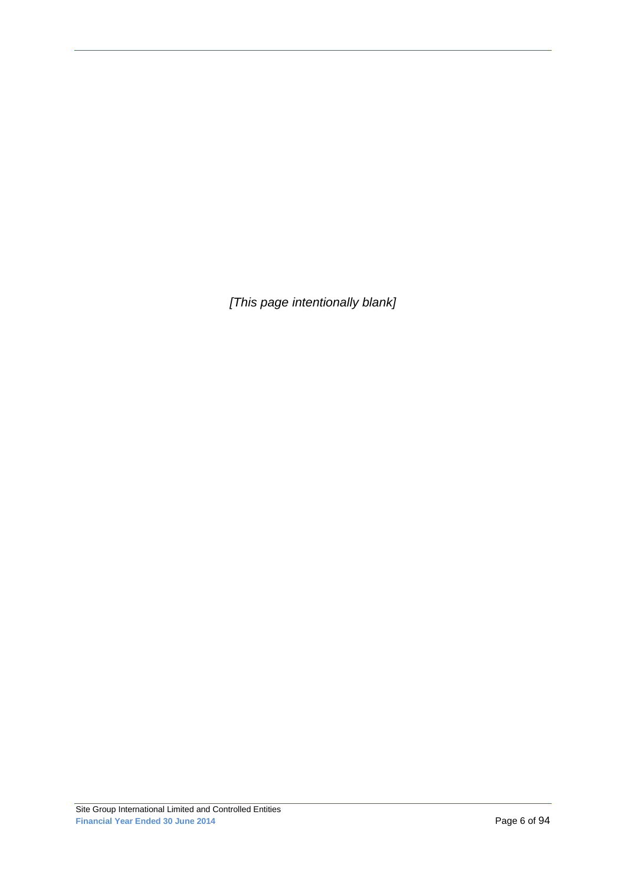*[This page intentionally blank]*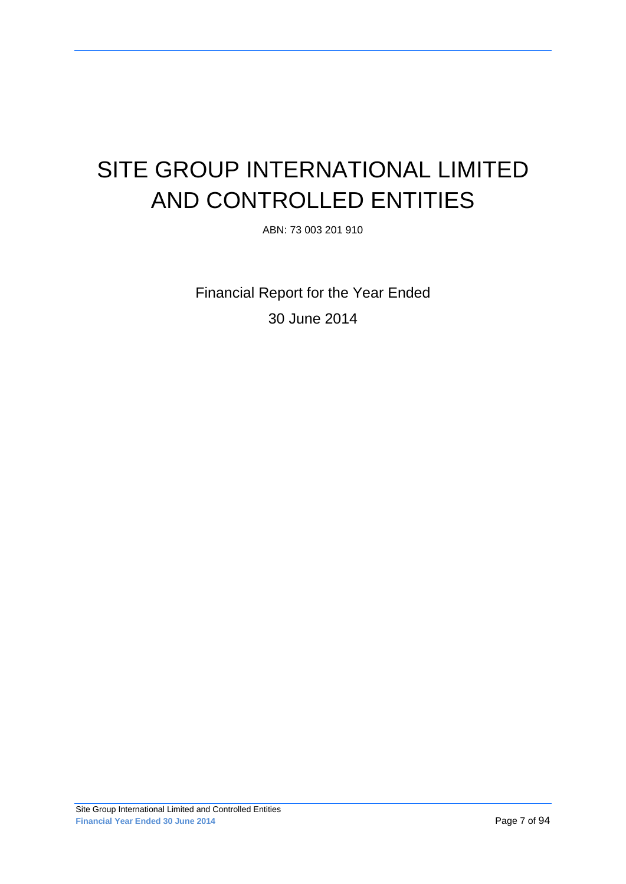# SITE GROUP INTERNATIONAL LIMITED AND CONTROLLED ENTITIES

ABN: 73 003 201 910

Financial Report for the Year Ended 30 June 2014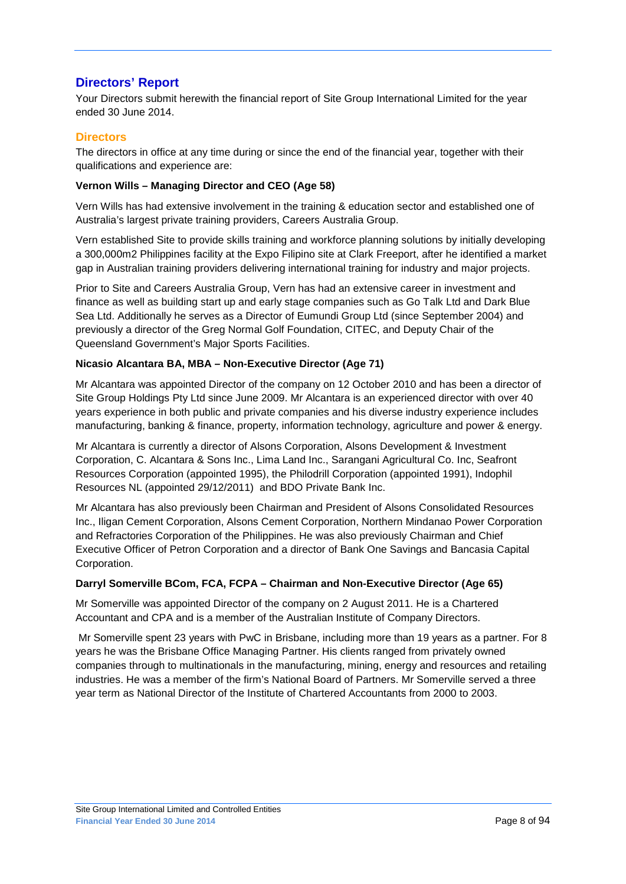## <span id="page-12-0"></span>**Directors' Report**

Your Directors submit herewith the financial report of Site Group International Limited for the year ended 30 June 2014.

## **Directors**

The directors in office at any time during or since the end of the financial year, together with their qualifications and experience are:

## **Vernon Wills – Managing Director and CEO (Age 58)**

Vern Wills has had extensive involvement in the training & education sector and established one of Australia's largest private training providers, Careers Australia Group.

Vern established Site to provide skills training and workforce planning solutions by initially developing a 300,000m2 Philippines facility at the Expo Filipino site at Clark Freeport, after he identified a market gap in Australian training providers delivering international training for industry and major projects.

Prior to Site and Careers Australia Group, Vern has had an extensive career in investment and finance as well as building start up and early stage companies such as Go Talk Ltd and Dark Blue Sea Ltd. Additionally he serves as a Director of Eumundi Group Ltd (since September 2004) and previously a director of the Greg Normal Golf Foundation, CITEC, and Deputy Chair of the Queensland Government's Major Sports Facilities.

## **Nicasio Alcantara BA, MBA – Non-Executive Director (Age 71)**

Mr Alcantara was appointed Director of the company on 12 October 2010 and has been a director of Site Group Holdings Pty Ltd since June 2009. Mr Alcantara is an experienced director with over 40 years experience in both public and private companies and his diverse industry experience includes manufacturing, banking & finance, property, information technology, agriculture and power & energy.

Mr Alcantara is currently a director of Alsons Corporation, Alsons Development & Investment Corporation, C. Alcantara & Sons Inc., Lima Land Inc., Sarangani Agricultural Co. Inc, Seafront Resources Corporation (appointed 1995), the Philodrill Corporation (appointed 1991), Indophil Resources NL (appointed 29/12/2011) and BDO Private Bank Inc.

Mr Alcantara has also previously been Chairman and President of Alsons Consolidated Resources Inc., Iligan Cement Corporation, Alsons Cement Corporation, Northern Mindanao Power Corporation and Refractories Corporation of the Philippines. He was also previously Chairman and Chief Executive Officer of Petron Corporation and a director of Bank One Savings and Bancasia Capital Corporation.

## **Darryl Somerville BCom, FCA, FCPA – Chairman and Non-Executive Director (Age 65)**

Mr Somerville was appointed Director of the company on 2 August 2011. He is a Chartered Accountant and CPA and is a member of the Australian Institute of Company Directors.

Mr Somerville spent 23 years with PwC in Brisbane, including more than 19 years as a partner. For 8 years he was the Brisbane Office Managing Partner. His clients ranged from privately owned companies through to multinationals in the manufacturing, mining, energy and resources and retailing industries. He was a member of the firm's National Board of Partners. Mr Somerville served a three year term as National Director of the Institute of Chartered Accountants from 2000 to 2003.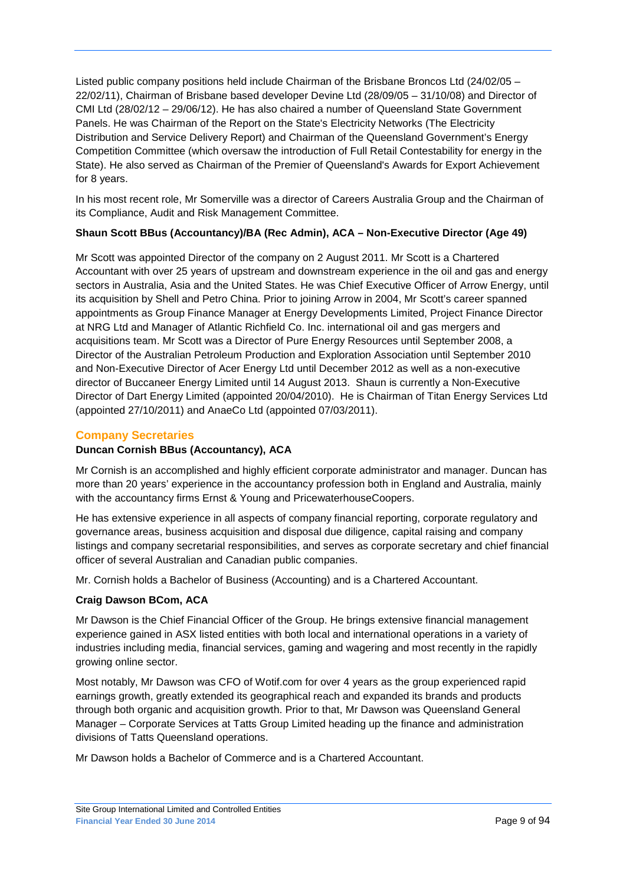Listed public company positions held include Chairman of the Brisbane Broncos Ltd (24/02/05 – 22/02/11), Chairman of Brisbane based developer Devine Ltd (28/09/05 – 31/10/08) and Director of CMI Ltd (28/02/12 – 29/06/12). He has also chaired a number of Queensland State Government Panels. He was Chairman of the Report on the State's Electricity Networks (The Electricity Distribution and Service Delivery Report) and Chairman of the Queensland Government's Energy Competition Committee (which oversaw the introduction of Full Retail Contestability for energy in the State). He also served as Chairman of the Premier of Queensland's Awards for Export Achievement for 8 years.

In his most recent role, Mr Somerville was a director of Careers Australia Group and the Chairman of its Compliance, Audit and Risk Management Committee.

## **Shaun Scott BBus (Accountancy)/BA (Rec Admin), ACA – Non-Executive Director (Age 49)**

Mr Scott was appointed Director of the company on 2 August 2011. Mr Scott is a Chartered Accountant with over 25 years of upstream and downstream experience in the oil and gas and energy sectors in Australia, Asia and the United States. He was Chief Executive Officer of Arrow Energy, until its acquisition by Shell and Petro China. Prior to joining Arrow in 2004, Mr Scott's career spanned appointments as Group Finance Manager at Energy Developments Limited, Project Finance Director at NRG Ltd and Manager of Atlantic Richfield Co. Inc. international oil and gas mergers and acquisitions team. Mr Scott was a Director of Pure Energy Resources until September 2008, a Director of the Australian Petroleum Production and Exploration Association until September 2010 and Non-Executive Director of Acer Energy Ltd until December 2012 as well as a non-executive director of Buccaneer Energy Limited until 14 August 2013. Shaun is currently a Non-Executive Director of Dart Energy Limited (appointed 20/04/2010). He is Chairman of Titan Energy Services Ltd (appointed 27/10/2011) and AnaeCo Ltd (appointed 07/03/2011).

## **Company Secretaries**

## **Duncan Cornish BBus (Accountancy), ACA**

Mr Cornish is an accomplished and highly efficient corporate administrator and manager. Duncan has more than 20 years' experience in the accountancy profession both in England and Australia, mainly with the accountancy firms Ernst & Young and PricewaterhouseCoopers.

He has extensive experience in all aspects of company financial reporting, corporate regulatory and governance areas, business acquisition and disposal due diligence, capital raising and company listings and company secretarial responsibilities, and serves as corporate secretary and chief financial officer of several Australian and Canadian public companies.

Mr. Cornish holds a Bachelor of Business (Accounting) and is a Chartered Accountant.

## **Craig Dawson BCom, ACA**

Mr Dawson is the Chief Financial Officer of the Group. He brings extensive financial management experience gained in ASX listed entities with both local and international operations in a variety of industries including media, financial services, gaming and wagering and most recently in the rapidly growing online sector.

Most notably, Mr Dawson was CFO of Wotif.com for over 4 years as the group experienced rapid earnings growth, greatly extended its geographical reach and expanded its brands and products through both organic and acquisition growth. Prior to that, Mr Dawson was Queensland General Manager – Corporate Services at Tatts Group Limited heading up the finance and administration divisions of Tatts Queensland operations.

Mr Dawson holds a Bachelor of Commerce and is a Chartered Accountant.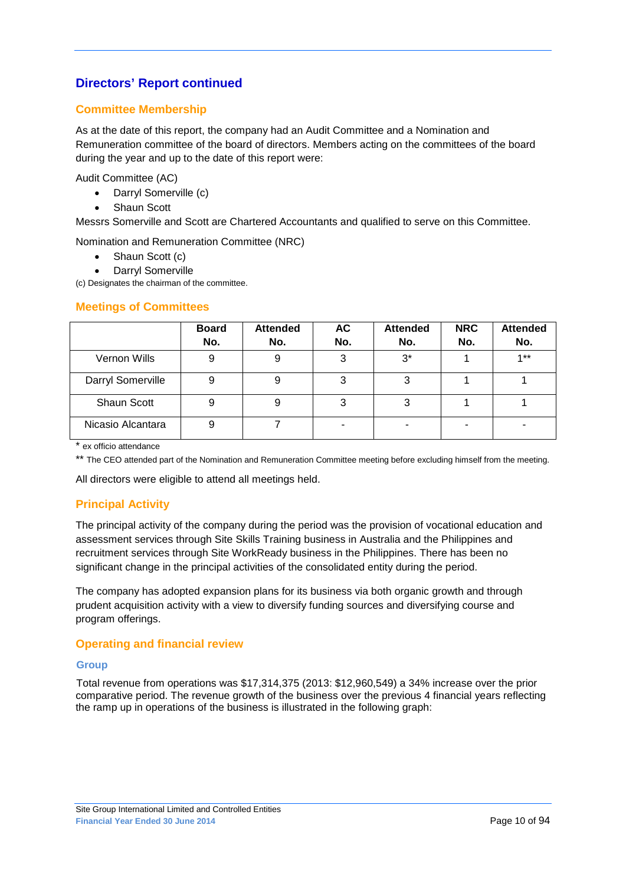## **Committee Membership**

As at the date of this report, the company had an Audit Committee and a Nomination and Remuneration committee of the board of directors. Members acting on the committees of the board during the year and up to the date of this report were:

Audit Committee (AC)

- Darryl Somerville (c)
- Shaun Scott

Messrs Somerville and Scott are Chartered Accountants and qualified to serve on this Committee.

Nomination and Remuneration Committee (NRC)

- Shaun Scott (c)
- Darryl Somerville

(c) Designates the chairman of the committee.

## **Meetings of Committees**

|                   | <b>Board</b> | <b>Attended</b> | AC  | <b>Attended</b> | <b>NRC</b> | <b>Attended</b> |
|-------------------|--------------|-----------------|-----|-----------------|------------|-----------------|
|                   | No.          | No.             | No. | No.             | No.        | No.             |
| Vernon Wills      | 9            | 9               | 3   | $3^*$           |            | $1**$           |
| Darryl Somerville | 9            |                 |     |                 |            |                 |
| Shaun Scott       | 9            | 9               | 3   | 3               |            |                 |
| Nicasio Alcantara | 9            |                 |     |                 |            |                 |

\* ex officio attendance

\*\* The CEO attended part of the Nomination and Remuneration Committee meeting before excluding himself from the meeting.

All directors were eligible to attend all meetings held.

## <span id="page-14-0"></span>**Principal Activity**

The principal activity of the company during the period was the provision of vocational education and assessment services through Site Skills Training business in Australia and the Philippines and recruitment services through Site WorkReady business in the Philippines. There has been no significant change in the principal activities of the consolidated entity during the period.

The company has adopted expansion plans for its business via both organic growth and through prudent acquisition activity with a view to diversify funding sources and diversifying course and program offerings.

## <span id="page-14-1"></span>**Operating and financial review**

#### **Group**

Total revenue from operations was \$17,314,375 (2013: \$12,960,549) a 34% increase over the prior comparative period. The revenue growth of the business over the previous 4 financial years reflecting the ramp up in operations of the business is illustrated in the following graph: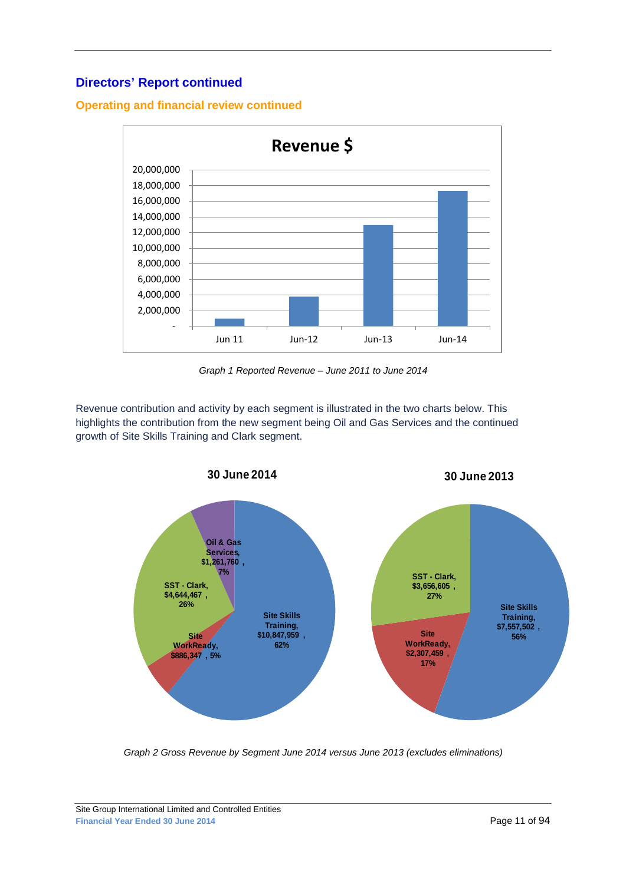## **Operating and financial review continued**



*Graph 1 Reported Revenue – June 2011 to June 2014*

Revenue contribution and activity by each segment is illustrated in the two charts below. This highlights the contribution from the new segment being Oil and Gas Services and the continued growth of Site Skills Training and Clark segment.



*Graph 2 Gross Revenue by Segment June 2014 versus June 2013 (excludes eliminations)*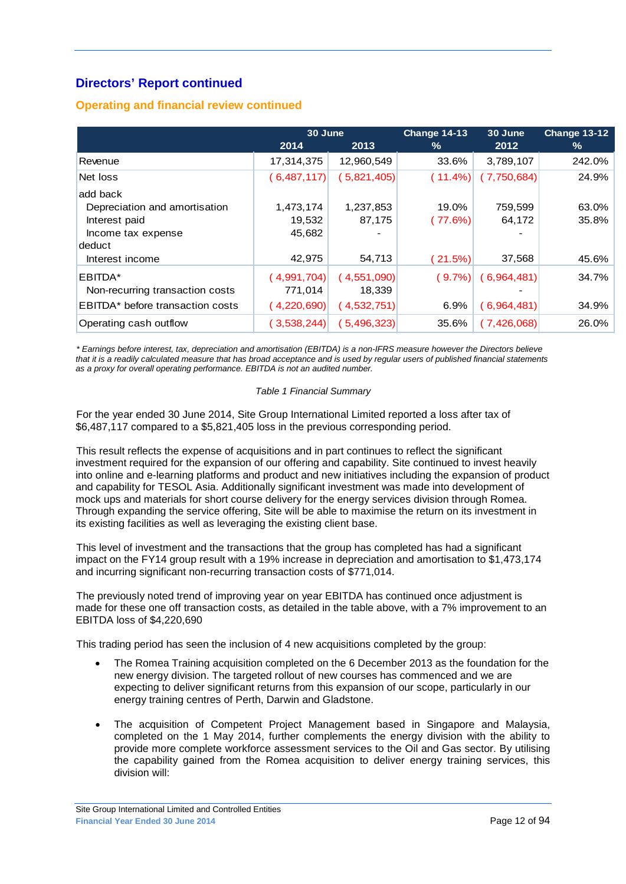## **Operating and financial review continued**

|                                  | 30 June     |             | <b>Change 14-13</b> | 30 June      | <b>Change 13-12</b> |
|----------------------------------|-------------|-------------|---------------------|--------------|---------------------|
|                                  | 2014        | 2013        | $\%$                | 2012         | %                   |
| Revenue                          | 17,314,375  | 12,960,549  | 33.6%               | 3,789,107    | 242.0%              |
| Net loss                         | (6,487,117) | (5,821,405) | $(11.4\%)$          | (7,750,684)  | 24.9%               |
| add back                         |             |             |                     |              |                     |
| Depreciation and amortisation    | 1,473,174   | 1,237,853   | 19.0%               | 759,599      | 63.0%               |
| Interest paid                    | 19,532      | 87,175      | (77.6%)             | 64,172       | 35.8%               |
| Income tax expense               | 45,682      |             |                     |              |                     |
| deduct                           |             |             |                     |              |                     |
| Interest income                  | 42,975      | 54,713      | 21.5%               | 37,568       | 45.6%               |
| EBITDA*                          | (4,991,704) | (4,551,090) | $(9.7\%)$           | (6,964,481)  | 34.7%               |
| Non-recurring transaction costs  | 771,014     | 18,339      |                     |              |                     |
| EBITDA* before transaction costs | (4,220,690) | (4.532,751) | 6.9%                | ( 6,964,481) | 34.9%               |
| Operating cash outflow           | 3,538,244   | (5,496,323) | 35.6%               | (7,426,068)  | 26.0%               |

*\* Earnings before interest, tax, depreciation and amortisation (EBITDA) is a non-IFRS measure however the Directors believe*  that it is a readily calculated measure that has broad acceptance and is used by regular users of published financial statements *as a proxy for overall operating performance. EBITDA is not an audited number.*

#### *Table 1 Financial Summary*

For the year ended 30 June 2014, Site Group International Limited reported a loss after tax of \$6,487,117 compared to a \$5,821,405 loss in the previous corresponding period.

This result reflects the expense of acquisitions and in part continues to reflect the significant investment required for the expansion of our offering and capability. Site continued to invest heavily into online and e-learning platforms and product and new initiatives including the expansion of product and capability for TESOL Asia. Additionally significant investment was made into development of mock ups and materials for short course delivery for the energy services division through Romea. Through expanding the service offering, Site will be able to maximise the return on its investment in its existing facilities as well as leveraging the existing client base.

This level of investment and the transactions that the group has completed has had a significant impact on the FY14 group result with a 19% increase in depreciation and amortisation to \$1,473,174 and incurring significant non-recurring transaction costs of \$771,014.

The previously noted trend of improving year on year EBITDA has continued once adjustment is made for these one off transaction costs, as detailed in the table above, with a 7% improvement to an EBITDA loss of \$4,220,690

This trading period has seen the inclusion of 4 new acquisitions completed by the group:

- The Romea Training acquisition completed on the 6 December 2013 as the foundation for the new energy division. The targeted rollout of new courses has commenced and we are expecting to deliver significant returns from this expansion of our scope, particularly in our energy training centres of Perth, Darwin and Gladstone.
- The acquisition of Competent Project Management based in Singapore and Malaysia, completed on the 1 May 2014, further complements the energy division with the ability to provide more complete workforce assessment services to the Oil and Gas sector. By utilising the capability gained from the Romea acquisition to deliver energy training services, this division will: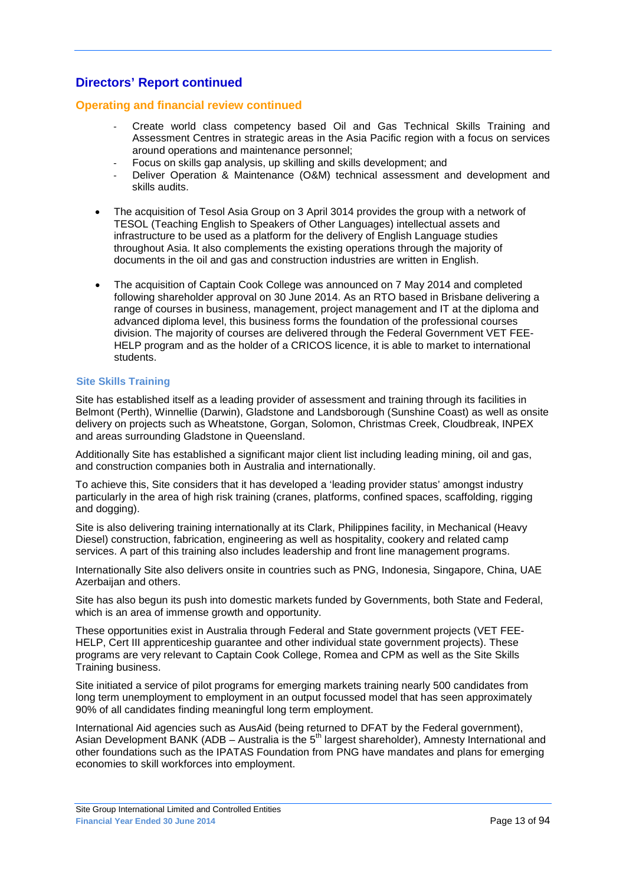## **Operating and financial review continued**

- Create world class competency based Oil and Gas Technical Skills Training and Assessment Centres in strategic areas in the Asia Pacific region with a focus on services around operations and maintenance personnel;
- Focus on skills gap analysis, up skilling and skills development; and
- Deliver Operation & Maintenance (O&M) technical assessment and development and skills audits.
- The acquisition of Tesol Asia Group on 3 April 3014 provides the group with a network of TESOL (Teaching English to Speakers of Other Languages) intellectual assets and infrastructure to be used as a platform for the delivery of English Language studies throughout Asia. It also complements the existing operations through the majority of documents in the oil and gas and construction industries are written in English.
- The acquisition of Captain Cook College was announced on 7 May 2014 and completed following shareholder approval on 30 June 2014. As an RTO based in Brisbane delivering a range of courses in business, management, project management and IT at the diploma and advanced diploma level, this business forms the foundation of the professional courses division. The majority of courses are delivered through the Federal Government VET FEE-HELP program and as the holder of a CRICOS licence, it is able to market to international students.

## **Site Skills Training**

Site has established itself as a leading provider of assessment and training through its facilities in Belmont (Perth), Winnellie (Darwin), Gladstone and Landsborough (Sunshine Coast) as well as onsite delivery on projects such as Wheatstone, Gorgan, Solomon, Christmas Creek, Cloudbreak, INPEX and areas surrounding Gladstone in Queensland.

Additionally Site has established a significant major client list including leading mining, oil and gas, and construction companies both in Australia and internationally.

To achieve this, Site considers that it has developed a 'leading provider status' amongst industry particularly in the area of high risk training (cranes, platforms, confined spaces, scaffolding, rigging and dogging).

Site is also delivering training internationally at its Clark, Philippines facility, in Mechanical (Heavy Diesel) construction, fabrication, engineering as well as hospitality, cookery and related camp services. A part of this training also includes leadership and front line management programs.

Internationally Site also delivers onsite in countries such as PNG, Indonesia, Singapore, China, UAE Azerbaijan and others.

Site has also begun its push into domestic markets funded by Governments, both State and Federal, which is an area of immense growth and opportunity.

These opportunities exist in Australia through Federal and State government projects (VET FEE-HELP, Cert III apprenticeship guarantee and other individual state government projects). These programs are very relevant to Captain Cook College, Romea and CPM as well as the Site Skills Training business.

Site initiated a service of pilot programs for emerging markets training nearly 500 candidates from long term unemployment to employment in an output focussed model that has seen approximately 90% of all candidates finding meaningful long term employment.

International Aid agencies such as AusAid (being returned to DFAT by the Federal government), Asian Development BANK (ADB – Australia is the 5<sup>th</sup> largest shareholder), Amnesty International and other foundations such as the IPATAS Foundation from PNG have mandates and plans for emerging economies to skill workforces into employment.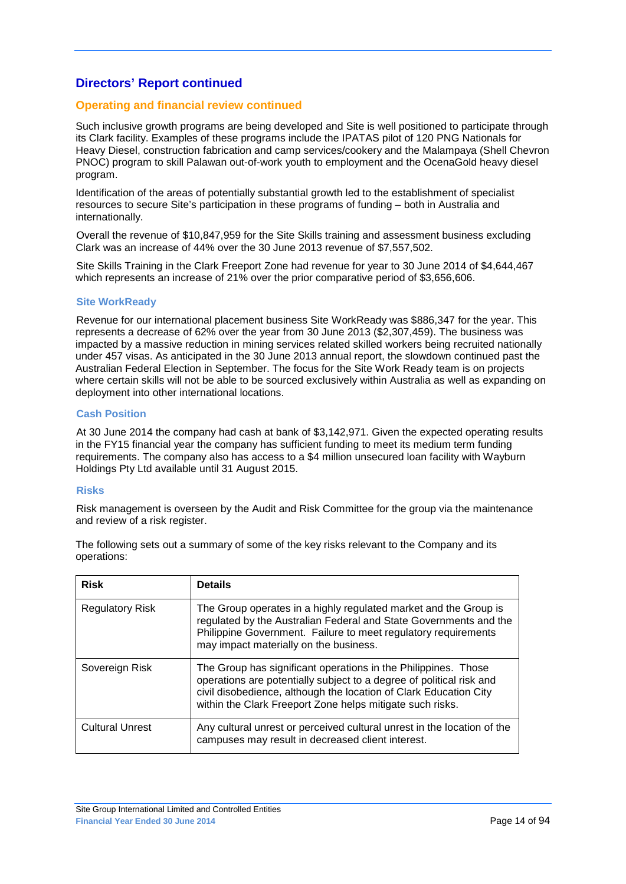## **Operating and financial review continued**

Such inclusive growth programs are being developed and Site is well positioned to participate through its Clark facility. Examples of these programs include the IPATAS pilot of 120 PNG Nationals for Heavy Diesel, construction fabrication and camp services/cookery and the Malampaya (Shell Chevron PNOC) program to skill Palawan out-of-work youth to employment and the OcenaGold heavy diesel program.

Identification of the areas of potentially substantial growth led to the establishment of specialist resources to secure Site's participation in these programs of funding – both in Australia and internationally.

Overall the revenue of \$10,847,959 for the Site Skills training and assessment business excluding Clark was an increase of 44% over the 30 June 2013 revenue of \$7,557,502.

Site Skills Training in the Clark Freeport Zone had revenue for year to 30 June 2014 of \$4,644,467 which represents an increase of 21% over the prior comparative period of \$3,656,606.

#### **Site WorkReady**

Revenue for our international placement business Site WorkReady was \$886,347 for the year. This represents a decrease of 62% over the year from 30 June 2013 (\$2,307,459). The business was impacted by a massive reduction in mining services related skilled workers being recruited nationally under 457 visas. As anticipated in the 30 June 2013 annual report, the slowdown continued past the Australian Federal Election in September. The focus for the Site Work Ready team is on projects where certain skills will not be able to be sourced exclusively within Australia as well as expanding on deployment into other international locations.

#### **Cash Position**

At 30 June 2014 the company had cash at bank of \$3,142,971. Given the expected operating results in the FY15 financial year the company has sufficient funding to meet its medium term funding requirements. The company also has access to a \$4 million unsecured loan facility with Wayburn Holdings Pty Ltd available until 31 August 2015.

#### **Risks**

Risk management is overseen by the Audit and Risk Committee for the group via the maintenance and review of a risk register.

| <b>Risk</b>            | <b>Details</b>                                                                                                                                                                                                                                                           |
|------------------------|--------------------------------------------------------------------------------------------------------------------------------------------------------------------------------------------------------------------------------------------------------------------------|
| <b>Regulatory Risk</b> | The Group operates in a highly regulated market and the Group is<br>regulated by the Australian Federal and State Governments and the<br>Philippine Government. Failure to meet regulatory requirements<br>may impact materially on the business.                        |
| Sovereign Risk         | The Group has significant operations in the Philippines. Those<br>operations are potentially subject to a degree of political risk and<br>civil disobedience, although the location of Clark Education City<br>within the Clark Freeport Zone helps mitigate such risks. |
| <b>Cultural Unrest</b> | Any cultural unrest or perceived cultural unrest in the location of the<br>campuses may result in decreased client interest.                                                                                                                                             |

The following sets out a summary of some of the key risks relevant to the Company and its operations: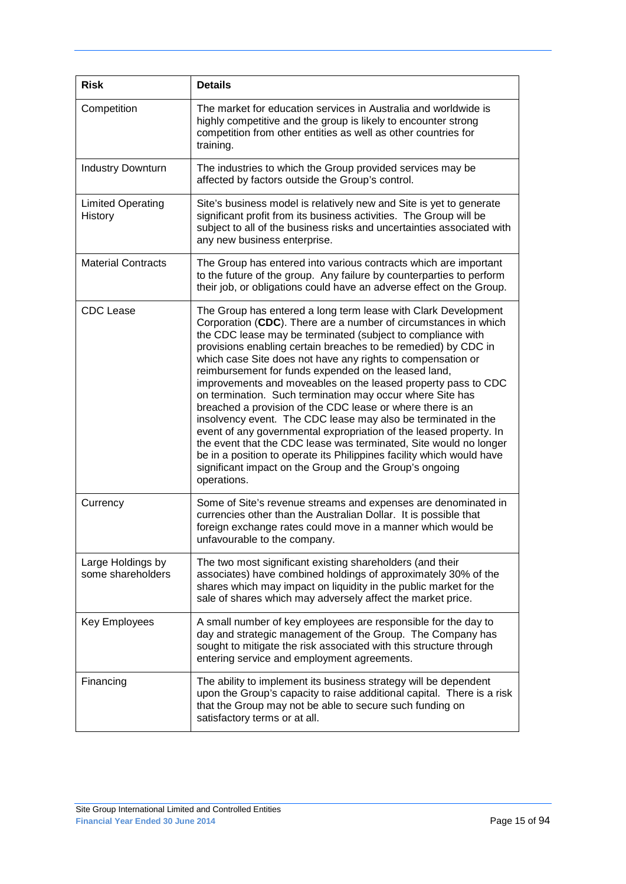| <b>Risk</b>                            | <b>Details</b>                                                                                                                                                                                                                                                                                                                                                                                                                                                                                                                                                                                                                                                                                                                                                                                                                                                                                                                                       |
|----------------------------------------|------------------------------------------------------------------------------------------------------------------------------------------------------------------------------------------------------------------------------------------------------------------------------------------------------------------------------------------------------------------------------------------------------------------------------------------------------------------------------------------------------------------------------------------------------------------------------------------------------------------------------------------------------------------------------------------------------------------------------------------------------------------------------------------------------------------------------------------------------------------------------------------------------------------------------------------------------|
| Competition                            | The market for education services in Australia and worldwide is<br>highly competitive and the group is likely to encounter strong<br>competition from other entities as well as other countries for<br>training.                                                                                                                                                                                                                                                                                                                                                                                                                                                                                                                                                                                                                                                                                                                                     |
| <b>Industry Downturn</b>               | The industries to which the Group provided services may be<br>affected by factors outside the Group's control.                                                                                                                                                                                                                                                                                                                                                                                                                                                                                                                                                                                                                                                                                                                                                                                                                                       |
| <b>Limited Operating</b><br>History    | Site's business model is relatively new and Site is yet to generate<br>significant profit from its business activities. The Group will be<br>subject to all of the business risks and uncertainties associated with<br>any new business enterprise.                                                                                                                                                                                                                                                                                                                                                                                                                                                                                                                                                                                                                                                                                                  |
| <b>Material Contracts</b>              | The Group has entered into various contracts which are important<br>to the future of the group. Any failure by counterparties to perform<br>their job, or obligations could have an adverse effect on the Group.                                                                                                                                                                                                                                                                                                                                                                                                                                                                                                                                                                                                                                                                                                                                     |
| <b>CDC</b> Lease                       | The Group has entered a long term lease with Clark Development<br>Corporation (CDC). There are a number of circumstances in which<br>the CDC lease may be terminated (subject to compliance with<br>provisions enabling certain breaches to be remedied) by CDC in<br>which case Site does not have any rights to compensation or<br>reimbursement for funds expended on the leased land,<br>improvements and moveables on the leased property pass to CDC<br>on termination. Such termination may occur where Site has<br>breached a provision of the CDC lease or where there is an<br>insolvency event. The CDC lease may also be terminated in the<br>event of any governmental expropriation of the leased property. In<br>the event that the CDC lease was terminated, Site would no longer<br>be in a position to operate its Philippines facility which would have<br>significant impact on the Group and the Group's ongoing<br>operations. |
| Currency                               | Some of Site's revenue streams and expenses are denominated in<br>currencies other than the Australian Dollar. It is possible that<br>foreign exchange rates could move in a manner which would be<br>unfavourable to the company.                                                                                                                                                                                                                                                                                                                                                                                                                                                                                                                                                                                                                                                                                                                   |
| Large Holdings by<br>some shareholders | The two most significant existing shareholders (and their<br>associates) have combined holdings of approximately 30% of the<br>shares which may impact on liquidity in the public market for the<br>sale of shares which may adversely affect the market price.                                                                                                                                                                                                                                                                                                                                                                                                                                                                                                                                                                                                                                                                                      |
| <b>Key Employees</b>                   | A small number of key employees are responsible for the day to<br>day and strategic management of the Group. The Company has<br>sought to mitigate the risk associated with this structure through<br>entering service and employment agreements.                                                                                                                                                                                                                                                                                                                                                                                                                                                                                                                                                                                                                                                                                                    |
| Financing                              | The ability to implement its business strategy will be dependent<br>upon the Group's capacity to raise additional capital. There is a risk<br>that the Group may not be able to secure such funding on<br>satisfactory terms or at all.                                                                                                                                                                                                                                                                                                                                                                                                                                                                                                                                                                                                                                                                                                              |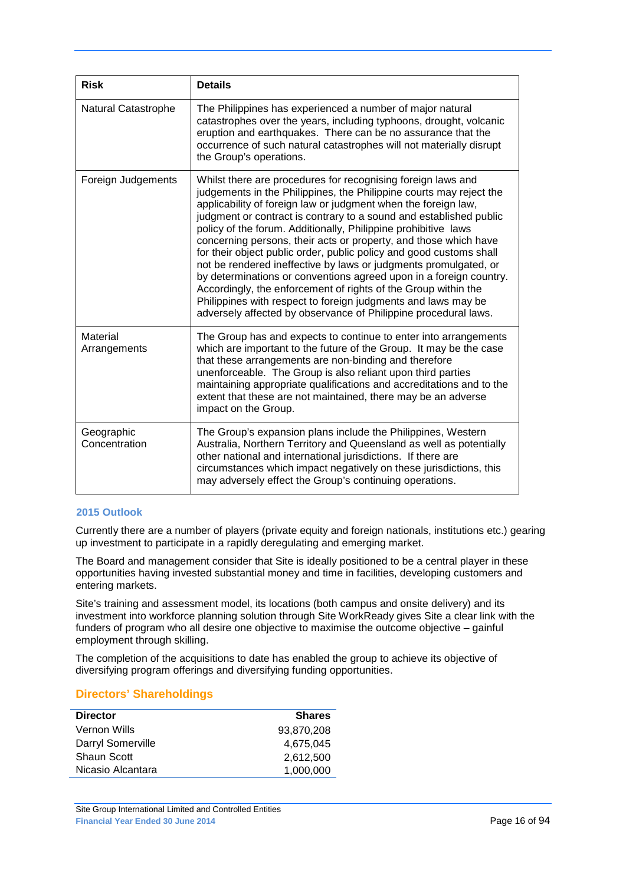| <b>Risk</b>                 | <b>Details</b>                                                                                                                                                                                                                                                                                                                                                                                                                                                                                                                                                                                                                                                                                                                                                                                                                           |
|-----------------------------|------------------------------------------------------------------------------------------------------------------------------------------------------------------------------------------------------------------------------------------------------------------------------------------------------------------------------------------------------------------------------------------------------------------------------------------------------------------------------------------------------------------------------------------------------------------------------------------------------------------------------------------------------------------------------------------------------------------------------------------------------------------------------------------------------------------------------------------|
| Natural Catastrophe         | The Philippines has experienced a number of major natural<br>catastrophes over the years, including typhoons, drought, volcanic<br>eruption and earthquakes. There can be no assurance that the<br>occurrence of such natural catastrophes will not materially disrupt<br>the Group's operations.                                                                                                                                                                                                                                                                                                                                                                                                                                                                                                                                        |
| Foreign Judgements          | Whilst there are procedures for recognising foreign laws and<br>judgements in the Philippines, the Philippine courts may reject the<br>applicability of foreign law or judgment when the foreign law,<br>judgment or contract is contrary to a sound and established public<br>policy of the forum. Additionally, Philippine prohibitive laws<br>concerning persons, their acts or property, and those which have<br>for their object public order, public policy and good customs shall<br>not be rendered ineffective by laws or judgments promulgated, or<br>by determinations or conventions agreed upon in a foreign country.<br>Accordingly, the enforcement of rights of the Group within the<br>Philippines with respect to foreign judgments and laws may be<br>adversely affected by observance of Philippine procedural laws. |
| Material<br>Arrangements    | The Group has and expects to continue to enter into arrangements<br>which are important to the future of the Group. It may be the case<br>that these arrangements are non-binding and therefore<br>unenforceable. The Group is also reliant upon third parties<br>maintaining appropriate qualifications and accreditations and to the<br>extent that these are not maintained, there may be an adverse<br>impact on the Group.                                                                                                                                                                                                                                                                                                                                                                                                          |
| Geographic<br>Concentration | The Group's expansion plans include the Philippines, Western<br>Australia, Northern Territory and Queensland as well as potentially<br>other national and international jurisdictions. If there are<br>circumstances which impact negatively on these jurisdictions, this<br>may adversely effect the Group's continuing operations.                                                                                                                                                                                                                                                                                                                                                                                                                                                                                                     |

## **2015 Outlook**

Currently there are a number of players (private equity and foreign nationals, institutions etc.) gearing up investment to participate in a rapidly deregulating and emerging market.

The Board and management consider that Site is ideally positioned to be a central player in these opportunities having invested substantial money and time in facilities, developing customers and entering markets.

Site's training and assessment model, its locations (both campus and onsite delivery) and its investment into workforce planning solution through Site WorkReady gives Site a clear link with the funders of program who all desire one objective to maximise the outcome objective – gainful employment through skilling.

The completion of the acquisitions to date has enabled the group to achieve its objective of diversifying program offerings and diversifying funding opportunities.

## **Directors' Shareholdings**

| <b>Director</b>    | <b>Shares</b> |
|--------------------|---------------|
| Vernon Wills       | 93.870.208    |
| Darryl Somerville  | 4.675.045     |
| <b>Shaun Scott</b> | 2.612.500     |
| Nicasio Alcantara  | 1,000,000     |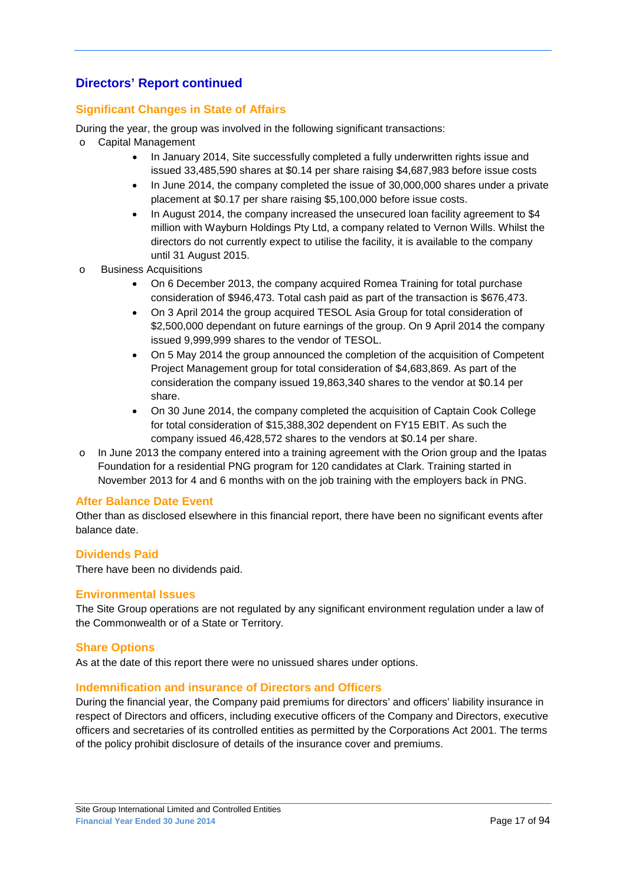## **Significant Changes in State of Affairs**

During the year, the group was involved in the following significant transactions:

- o Capital Management
	- In January 2014, Site successfully completed a fully underwritten rights issue and issued 33,485,590 shares at \$0.14 per share raising \$4,687,983 before issue costs
	- In June 2014, the company completed the issue of 30,000,000 shares under a private placement at \$0.17 per share raising \$5,100,000 before issue costs.
	- In August 2014, the company increased the unsecured loan facility agreement to \$4 million with Wayburn Holdings Pty Ltd, a company related to Vernon Wills. Whilst the directors do not currently expect to utilise the facility, it is available to the company until 31 August 2015.
- o Business Acquisitions
	- On 6 December 2013, the company acquired Romea Training for total purchase consideration of \$946,473. Total cash paid as part of the transaction is \$676,473.
	- On 3 April 2014 the group acquired TESOL Asia Group for total consideration of \$2,500,000 dependant on future earnings of the group. On 9 April 2014 the company issued 9,999,999 shares to the vendor of TESOL.
	- On 5 May 2014 the group announced the completion of the acquisition of Competent Project Management group for total consideration of \$4,683,869. As part of the consideration the company issued 19,863,340 shares to the vendor at \$0.14 per share.
	- On 30 June 2014, the company completed the acquisition of Captain Cook College for total consideration of \$15,388,302 dependent on FY15 EBIT. As such the company issued 46,428,572 shares to the vendors at \$0.14 per share.
- o In June 2013 the company entered into a training agreement with the Orion group and the Ipatas Foundation for a residential PNG program for 120 candidates at Clark. Training started in November 2013 for 4 and 6 months with on the job training with the employers back in PNG.

## **After Balance Date Event**

Other than as disclosed elsewhere in this financial report, there have been no significant events after balance date.

## <span id="page-21-0"></span>**Dividends Paid**

There have been no dividends paid.

#### **Environmental Issues**

The Site Group operations are not regulated by any significant environment regulation under a law of the Commonwealth or of a State or Territory.

#### **Share Options**

As at the date of this report there were no unissued shares under options.

#### **Indemnification and insurance of Directors and Officers**

During the financial year, the Company paid premiums for directors' and officers' liability insurance in respect of Directors and officers, including executive officers of the Company and Directors, executive officers and secretaries of its controlled entities as permitted by the Corporations Act 2001. The terms of the policy prohibit disclosure of details of the insurance cover and premiums.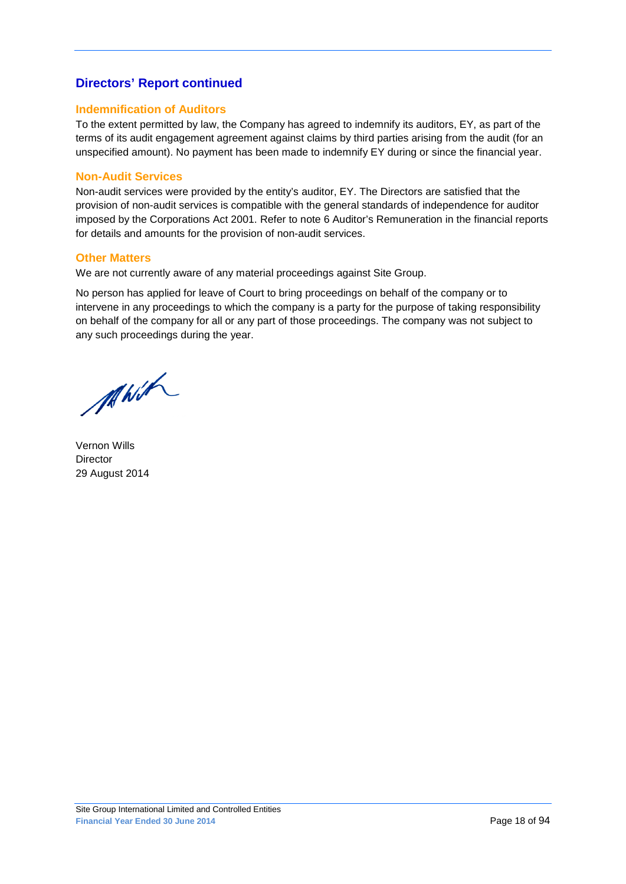## **Indemnification of Auditors**

To the extent permitted by law, the Company has agreed to indemnify its auditors, EY, as part of the terms of its audit engagement agreement against claims by third parties arising from the audit (for an unspecified amount). No payment has been made to indemnify EY during or since the financial year.

## **Non-Audit Services**

Non-audit services were provided by the entity's auditor, EY. The Directors are satisfied that the provision of non-audit services is compatible with the general standards of independence for auditor imposed by the Corporations Act 2001. Refer to note 6 Auditor's Remuneration in the financial reports for details and amounts for the provision of non-audit services.

## **Other Matters**

We are not currently aware of any material proceedings against Site Group.

No person has applied for leave of Court to bring proceedings on behalf of the company or to intervene in any proceedings to which the company is a party for the purpose of taking responsibility on behalf of the company for all or any part of those proceedings. The company was not subject to any such proceedings during the year.

AWith

Vernon Wills **Director** 29 August 2014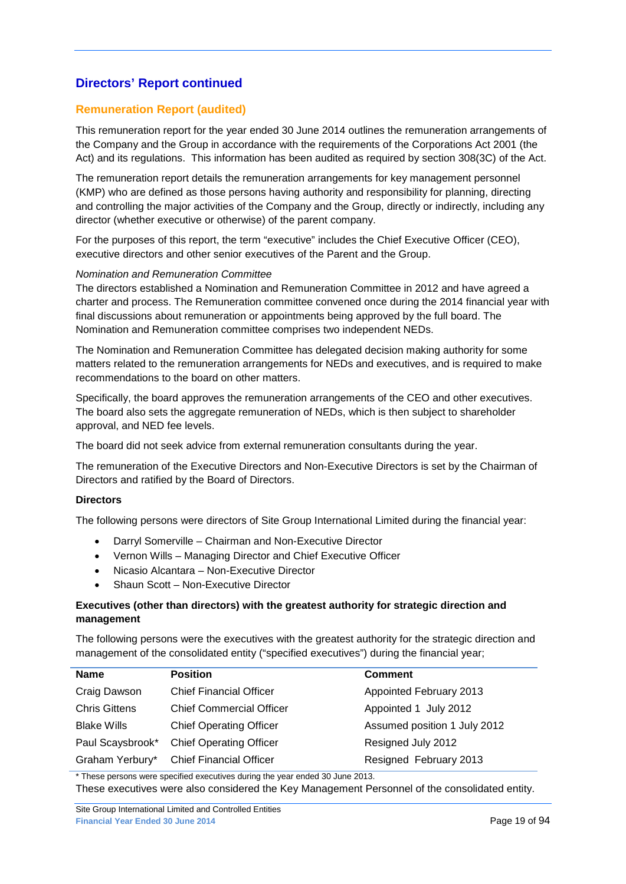## **Remuneration Report (audited)**

This remuneration report for the year ended 30 June 2014 outlines the remuneration arrangements of the Company and the Group in accordance with the requirements of the Corporations Act 2001 (the Act) and its regulations. This information has been audited as required by section 308(3C) of the Act.

The remuneration report details the remuneration arrangements for key management personnel (KMP) who are defined as those persons having authority and responsibility for planning, directing and controlling the major activities of the Company and the Group, directly or indirectly, including any director (whether executive or otherwise) of the parent company.

For the purposes of this report, the term "executive" includes the Chief Executive Officer (CEO), executive directors and other senior executives of the Parent and the Group.

#### *Nomination and Remuneration Committee*

The directors established a Nomination and Remuneration Committee in 2012 and have agreed a charter and process. The Remuneration committee convened once during the 2014 financial year with final discussions about remuneration or appointments being approved by the full board. The Nomination and Remuneration committee comprises two independent NEDs.

The Nomination and Remuneration Committee has delegated decision making authority for some matters related to the remuneration arrangements for NEDs and executives, and is required to make recommendations to the board on other matters.

Specifically, the board approves the remuneration arrangements of the CEO and other executives. The board also sets the aggregate remuneration of NEDs, which is then subject to shareholder approval, and NED fee levels.

The board did not seek advice from external remuneration consultants during the year.

The remuneration of the Executive Directors and Non-Executive Directors is set by the Chairman of Directors and ratified by the Board of Directors.

#### **Directors**

The following persons were directors of Site Group International Limited during the financial year:

- Darryl Somerville Chairman and Non-Executive Director
- Vernon Wills Managing Director and Chief Executive Officer
- Nicasio Alcantara Non-Executive Director
- Shaun Scott Non-Executive Director

## **Executives (other than directors) with the greatest authority for strategic direction and management**

The following persons were the executives with the greatest authority for the strategic direction and management of the consolidated entity ("specified executives") during the financial year;

| <b>Position</b>                                   | <b>Comment</b>               |
|---------------------------------------------------|------------------------------|
| <b>Chief Financial Officer</b>                    | Appointed February 2013      |
| <b>Chief Commercial Officer</b>                   | Appointed 1 July 2012        |
| <b>Chief Operating Officer</b>                    | Assumed position 1 July 2012 |
| <b>Chief Operating Officer</b>                    | Resigned July 2012           |
| <b>Chief Financial Officer</b><br>Graham Yerbury* | Resigned February 2013       |
|                                                   |                              |

\* These persons were specified executives during the year ended 30 June 2013.

These executives were also considered the Key Management Personnel of the consolidated entity.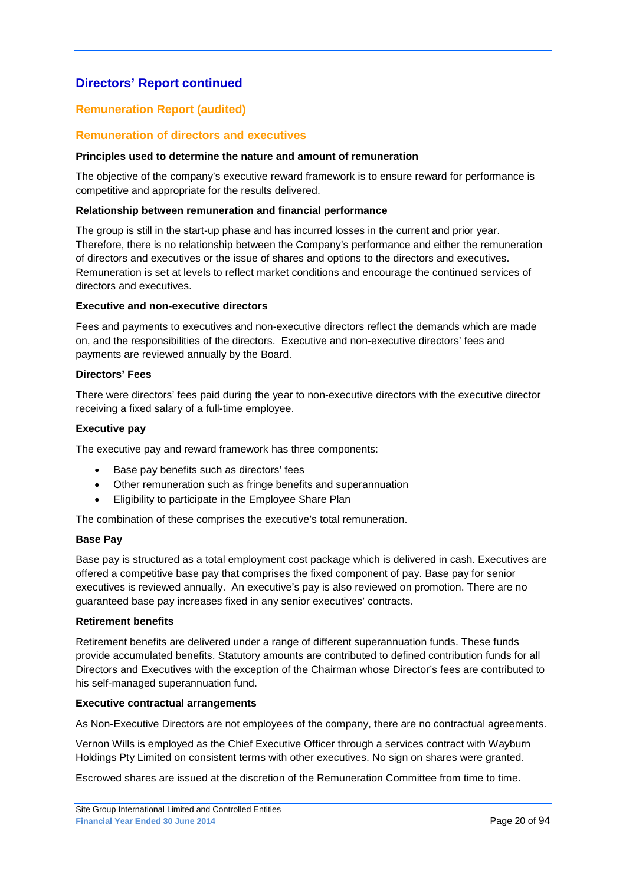## **Remuneration Report (audited)**

## **Remuneration of directors and executives**

#### **Principles used to determine the nature and amount of remuneration**

The objective of the company's executive reward framework is to ensure reward for performance is competitive and appropriate for the results delivered.

#### **Relationship between remuneration and financial performance**

The group is still in the start-up phase and has incurred losses in the current and prior year. Therefore, there is no relationship between the Company's performance and either the remuneration of directors and executives or the issue of shares and options to the directors and executives. Remuneration is set at levels to reflect market conditions and encourage the continued services of directors and executives.

#### **Executive and non-executive directors**

Fees and payments to executives and non-executive directors reflect the demands which are made on, and the responsibilities of the directors. Executive and non-executive directors' fees and payments are reviewed annually by the Board.

#### **Directors' Fees**

There were directors' fees paid during the year to non-executive directors with the executive director receiving a fixed salary of a full-time employee.

#### **Executive pay**

The executive pay and reward framework has three components:

- Base pay benefits such as directors' fees
- Other remuneration such as fringe benefits and superannuation
- Eligibility to participate in the Employee Share Plan

The combination of these comprises the executive's total remuneration.

#### **Base Pay**

Base pay is structured as a total employment cost package which is delivered in cash. Executives are offered a competitive base pay that comprises the fixed component of pay. Base pay for senior executives is reviewed annually. An executive's pay is also reviewed on promotion. There are no guaranteed base pay increases fixed in any senior executives' contracts.

#### **Retirement benefits**

Retirement benefits are delivered under a range of different superannuation funds. These funds provide accumulated benefits. Statutory amounts are contributed to defined contribution funds for all Directors and Executives with the exception of the Chairman whose Director's fees are contributed to his self-managed superannuation fund.

#### **Executive contractual arrangements**

As Non-Executive Directors are not employees of the company, there are no contractual agreements.

Vernon Wills is employed as the Chief Executive Officer through a services contract with Wayburn Holdings Pty Limited on consistent terms with other executives. No sign on shares were granted.

Escrowed shares are issued at the discretion of the Remuneration Committee from time to time.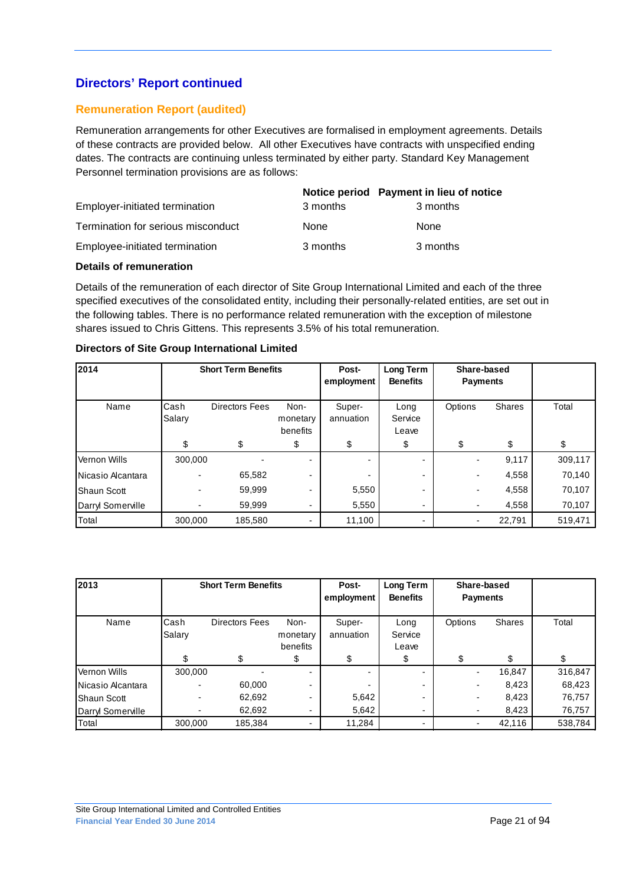## **Remuneration Report (audited)**

Remuneration arrangements for other Executives are formalised in employment agreements. Details of these contracts are provided below. All other Executives have contracts with unspecified ending dates. The contracts are continuing unless terminated by either party. Standard Key Management Personnel termination provisions are as follows:

|                                    |          | Notice period Payment in lieu of notice |
|------------------------------------|----------|-----------------------------------------|
| Employer-initiated termination     | 3 months | 3 months                                |
| Termination for serious misconduct | None     | None                                    |
| Employee-initiated termination     | 3 months | 3 months                                |

#### **Details of remuneration**

Details of the remuneration of each director of Site Group International Limited and each of the three specified executives of the consolidated entity, including their personally-related entities, are set out in the following tables. There is no performance related remuneration with the exception of milestone shares issued to Chris Gittens. This represents 3.5% of his total remuneration.

| 2014               |                | <b>Short Term Benefits</b> |                              | Post-<br>employment | <b>Long Term</b><br><b>Benefits</b> | Share-based<br><b>Payments</b> |               |         |
|--------------------|----------------|----------------------------|------------------------------|---------------------|-------------------------------------|--------------------------------|---------------|---------|
| Name               | Cash<br>Salary | <b>Directors Fees</b>      | Non-<br>monetary<br>benefits | Super-<br>annuation | Long<br>Service<br>Leave            | Options                        | <b>Shares</b> | Total   |
|                    | \$             | \$                         | \$                           | \$                  | \$                                  | \$                             | \$            | \$      |
| Vernon Wills       | 300,000        |                            | ۰.                           | ٠                   | $\blacksquare$                      |                                | 9,117         | 309,117 |
| Nicasio Alcantara  |                | 65,582                     |                              | ۰                   | ۰                                   |                                | 4,558         | 70,140  |
| <b>Shaun Scott</b> |                | 59,999                     |                              | 5,550               | -                                   | ۰                              | 4,558         | 70,107  |
| Darryl Somerville  |                | 59,999                     | ۰                            | 5,550               | ۰                                   | ٠                              | 4,558         | 70,107  |
| Total              | 300,000        | 185,580                    |                              | 11,100              | ٠                                   |                                | 22,791        | 519,471 |

#### **Directors of Site Group International Limited**

| 2013               | <b>Short Term Benefits</b> |                | Post-    | Long Term  | Share-based     |                 |               |         |
|--------------------|----------------------------|----------------|----------|------------|-----------------|-----------------|---------------|---------|
|                    |                            |                |          | employment | <b>Benefits</b> | <b>Payments</b> |               |         |
| Name               | Cash                       | Directors Fees | Non-     | Super-     | Long            | Options         | <b>Shares</b> | Total   |
|                    | Salary                     |                | monetary | annuation  | Service         |                 |               |         |
|                    |                            |                | benefits |            | Leave           |                 |               |         |
|                    |                            | S              | S.       | \$         | \$              | \$              | S.            | \$      |
| Vernon Wills       | 300.000                    |                |          |            |                 |                 | 16,847        | 316,847 |
| Nicasio Alcantara  |                            | 60,000         |          |            |                 | ۰               | 8.423         | 68,423  |
| <b>Shaun Scott</b> | $\overline{\phantom{0}}$   | 62,692         |          | 5,642      |                 | ۰.              | 8,423         | 76,757  |
| Darryl Somerville  |                            | 62,692         |          | 5,642      | $\blacksquare$  | ۰               | 8,423         | 76,757  |
| Total              | 300,000                    | 185,384        |          | 11,284     | $\blacksquare$  |                 | 42,116        | 538,784 |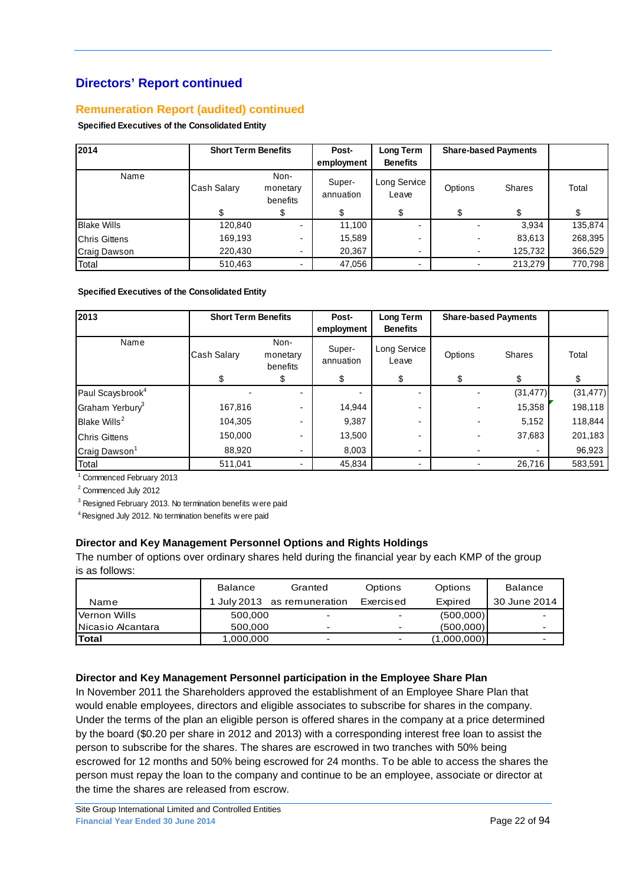## **Remuneration Report (audited) continued**

#### **Specified Executives of the Consolidated Entity**

| 2014                 | <b>Short Term Benefits</b> |                              | Post-<br>employment | Long Term<br><b>Benefits</b> |         | <b>Share-based Payments</b> |         |
|----------------------|----------------------------|------------------------------|---------------------|------------------------------|---------|-----------------------------|---------|
| Name                 | Cash Salary                | Non-<br>monetary<br>benefits | Super-<br>annuation | Long Service<br>Leave        | Options | <b>Shares</b>               | Total   |
|                      | \$                         |                              | \$                  | \$                           | \$      | \$                          |         |
| <b>Blake Wills</b>   | 120,840                    | ۰.                           | 11.100              | $\overline{\phantom{a}}$     |         | 3,934                       | 135,874 |
| <b>Chris Gittens</b> | 169,193                    | -                            | 15,589              | $\overline{\phantom{a}}$     |         | 83,613                      | 268,395 |
| Craig Dawson         | 220,430                    | ۰.                           | 20,367              | ٠                            |         | 125,732                     | 366,529 |
| Total                | 510,463                    |                              | 47,056              | ٠                            |         | 213.279                     | 770,798 |

#### **Specified Executives of the Consolidated Entity**

| 2013                         | <b>Short Term Benefits</b> |                              | Post-<br>employment      | Long Term<br><b>Benefits</b> |         | <b>Share-based Payments</b> |           |
|------------------------------|----------------------------|------------------------------|--------------------------|------------------------------|---------|-----------------------------|-----------|
| Name                         | Cash Salary                | Non-<br>monetary<br>benefits | Super-<br>annuation      | Long Service<br>Leave        | Options | <b>Shares</b>               | Total     |
|                              | \$                         |                              | \$                       | \$                           | \$      | S                           | \$        |
| Paul Scaysbrook <sup>4</sup> |                            |                              | $\overline{\phantom{a}}$ | ۰                            |         | (31, 477)                   | (31, 477) |
| Graham Yerbury <sup>3</sup>  | 167,816                    |                              | 14.944                   | $\overline{\phantom{0}}$     |         | 15,358                      | 198,118   |
| Blake Wills <sup>2</sup>     | 104,305                    |                              | 9,387                    | $\overline{\phantom{0}}$     |         | 5,152                       | 118,844   |
| <b>IChris Gittens</b>        | 150,000                    |                              | 13,500                   | ٠                            |         | 37,683                      | 201,183   |
| Craig Dawson <sup>1</sup>    | 88,920                     |                              | 8,003                    | ۰                            |         |                             | 96,923    |
| Total                        | 511,041                    |                              | 45,834                   | ۰                            |         | 26,716                      | 583,591   |

1 Commenced February 2013

<sup>2</sup> Commenced July 2012

<sup>3</sup> Resigned February 2013. No termination benefits w ere paid

4 Resigned July 2012. No termination benefits w ere paid

## **Director and Key Management Personnel Options and Rights Holdings**

The number of options over ordinary shares held during the financial year by each KMP of the group is as follows:

|                    | Balance   | Granted                     | Options                  | Options     | Balance      |
|--------------------|-----------|-----------------------------|--------------------------|-------------|--------------|
| Name               |           | 1 July 2013 as remuneration | Exercised                | Expired     | 30 June 2014 |
| Vernon Wills       | 500,000   | $\overline{\phantom{0}}$    |                          | (500,000)   |              |
| INicasio Alcantara | 500.000   | $\overline{\phantom{a}}$    | $\overline{\phantom{0}}$ | (500,000)   | ۰            |
| <b>Total</b>       | 1,000,000 | $\overline{\phantom{a}}$    | $\overline{\phantom{a}}$ | (1,000,000) |              |

## **Director and Key Management Personnel participation in the Employee Share Plan**

In November 2011 the Shareholders approved the establishment of an Employee Share Plan that would enable employees, directors and eligible associates to subscribe for shares in the company. Under the terms of the plan an eligible person is offered shares in the company at a price determined by the board (\$0.20 per share in 2012 and 2013) with a corresponding interest free loan to assist the person to subscribe for the shares. The shares are escrowed in two tranches with 50% being escrowed for 12 months and 50% being escrowed for 24 months. To be able to access the shares the person must repay the loan to the company and continue to be an employee, associate or director at the time the shares are released from escrow.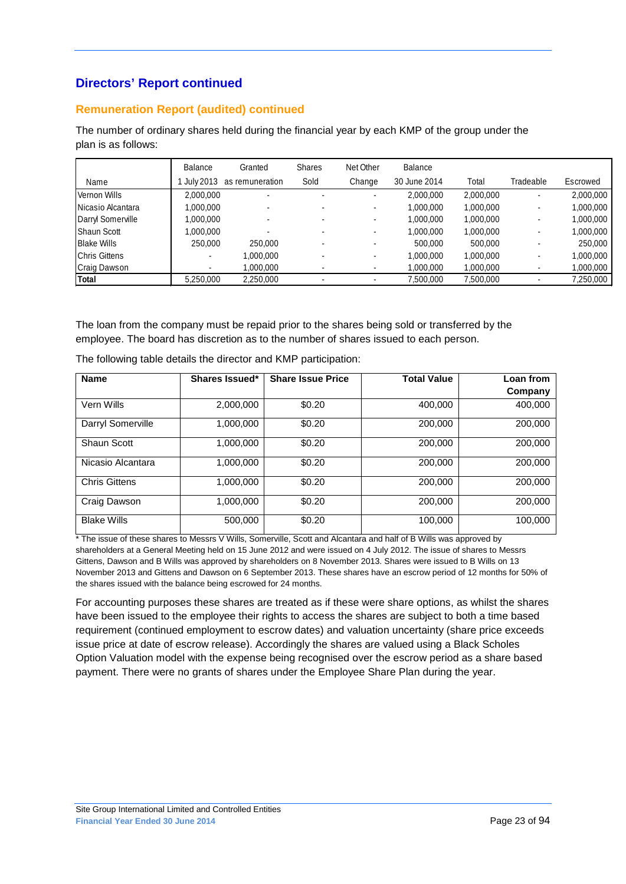## **Remuneration Report (audited) continued**

The number of ordinary shares held during the financial year by each KMP of the group under the plan is as follows:

|                      | <b>Balance</b> | Granted         | <b>Shares</b>            | Net Other | Balance      |           |                          |           |
|----------------------|----------------|-----------------|--------------------------|-----------|--------------|-----------|--------------------------|-----------|
| Name                 | July 2013      | as remuneration | Sold                     | Change    | 30 June 2014 | Total     | Tradeable                | Escrowed  |
| Vernon Wills         | 2,000,000      | -               |                          |           | 2,000,000    | 2,000,000 | $\blacksquare$           | 2,000,000 |
| Nicasio Alcantara    | 1,000,000      |                 |                          |           | 1.000.000    | 1,000,000 |                          | 1,000,000 |
| Darryl Somerville    | 1,000,000      |                 | $\overline{\phantom{0}}$ |           | 000,000.1    | 1,000,000 | $\overline{\phantom{a}}$ | 1,000,000 |
| <b>IShaun Scott</b>  | 1,000,000      |                 | $\overline{\phantom{0}}$ |           | 000,000.1    | 1,000,000 |                          | 1,000,000 |
| <b>Blake Wills</b>   | 250,000        | 250,000         | $\overline{\phantom{0}}$ |           | 500,000      | 500.000   |                          | 250,000   |
| <b>Chris Gittens</b> |                | 1.000.000       | $\overline{\phantom{0}}$ |           | 000,000.1    | 1,000,000 |                          | 1,000,000 |
| Craig Dawson         |                | 1.000.000       | ٠                        |           | 000,000.1    | 1,000,000 |                          | 1,000,000 |
| Total                | 5.250.000      | 2.250.000       |                          |           | 7,500,000    | 7,500,000 |                          | 7,250,000 |

The loan from the company must be repaid prior to the shares being sold or transferred by the employee. The board has discretion as to the number of shares issued to each person.

| <b>Name</b>          | Shares Issued* | <b>Share Issue Price</b> | <b>Total Value</b> | Loan from |
|----------------------|----------------|--------------------------|--------------------|-----------|
|                      |                |                          |                    | Company   |
| Vern Wills           | 2,000,000      | \$0.20                   | 400,000            | 400,000   |
| Darryl Somerville    | 1,000,000      | \$0.20                   | 200,000            | 200,000   |
| Shaun Scott          | 1,000,000      | \$0.20                   | 200,000            | 200,000   |
| Nicasio Alcantara    | 1,000,000      | \$0.20                   | 200,000            | 200,000   |
| <b>Chris Gittens</b> | 1,000,000      | \$0.20                   | 200,000            | 200,000   |
| Craig Dawson         | 1,000,000      | \$0.20                   | 200.000            | 200.000   |
| <b>Blake Wills</b>   | 500,000        | \$0.20                   | 100,000            | 100,000   |

The following table details the director and KMP participation:

\* The issue of these shares to Messrs V Wills, Somerville, Scott and Alcantara and half of B Wills was approved by shareholders at a General Meeting held on 15 June 2012 and were issued on 4 July 2012. The issue of shares to Messrs Gittens, Dawson and B Wills was approved by shareholders on 8 November 2013. Shares were issued to B Wills on 13 November 2013 and Gittens and Dawson on 6 September 2013. These shares have an escrow period of 12 months for 50% of the shares issued with the balance being escrowed for 24 months.

For accounting purposes these shares are treated as if these were share options, as whilst the shares have been issued to the employee their rights to access the shares are subject to both a time based requirement (continued employment to escrow dates) and valuation uncertainty (share price exceeds issue price at date of escrow release). Accordingly the shares are valued using a Black Scholes Option Valuation model with the expense being recognised over the escrow period as a share based payment. There were no grants of shares under the Employee Share Plan during the year.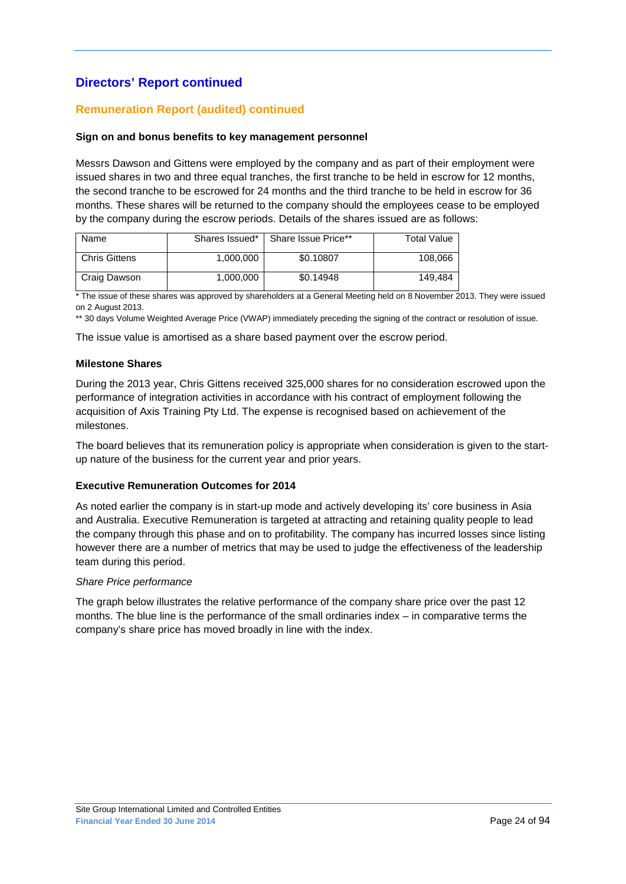## **Remuneration Report (audited) continued**

#### **Sign on and bonus benefits to key management personnel**

Messrs Dawson and Gittens were employed by the company and as part of their employment were issued shares in two and three equal tranches, the first tranche to be held in escrow for 12 months, the second tranche to be escrowed for 24 months and the third tranche to be held in escrow for 36 months. These shares will be returned to the company should the employees cease to be employed by the company during the escrow periods. Details of the shares issued are as follows:

| Name                 | Shares Issued* | Share Issue Price** | <b>Total Value</b> |
|----------------------|----------------|---------------------|--------------------|
| <b>Chris Gittens</b> | 1,000,000      | \$0.10807           | 108,066            |
| Craig Dawson         | 1,000,000      | \$0.14948           | 149.484            |

\* The issue of these shares was approved by shareholders at a General Meeting held on 8 November 2013. They were issued on 2 August 2013.

\*\* 30 days Volume Weighted Average Price (VWAP) immediately preceding the signing of the contract or resolution of issue.

The issue value is amortised as a share based payment over the escrow period.

#### **Milestone Shares**

During the 2013 year, Chris Gittens received 325,000 shares for no consideration escrowed upon the performance of integration activities in accordance with his contract of employment following the acquisition of Axis Training Pty Ltd. The expense is recognised based on achievement of the milestones.

The board believes that its remuneration policy is appropriate when consideration is given to the startup nature of the business for the current year and prior years.

#### **Executive Remuneration Outcomes for 2014**

As noted earlier the company is in start-up mode and actively developing its' core business in Asia and Australia. Executive Remuneration is targeted at attracting and retaining quality people to lead the company through this phase and on to profitability. The company has incurred losses since listing however there are a number of metrics that may be used to judge the effectiveness of the leadership team during this period.

## *Share Price performance*

The graph below illustrates the relative performance of the company share price over the past 12 months. The blue line is the performance of the small ordinaries index – in comparative terms the company's share price has moved broadly in line with the index.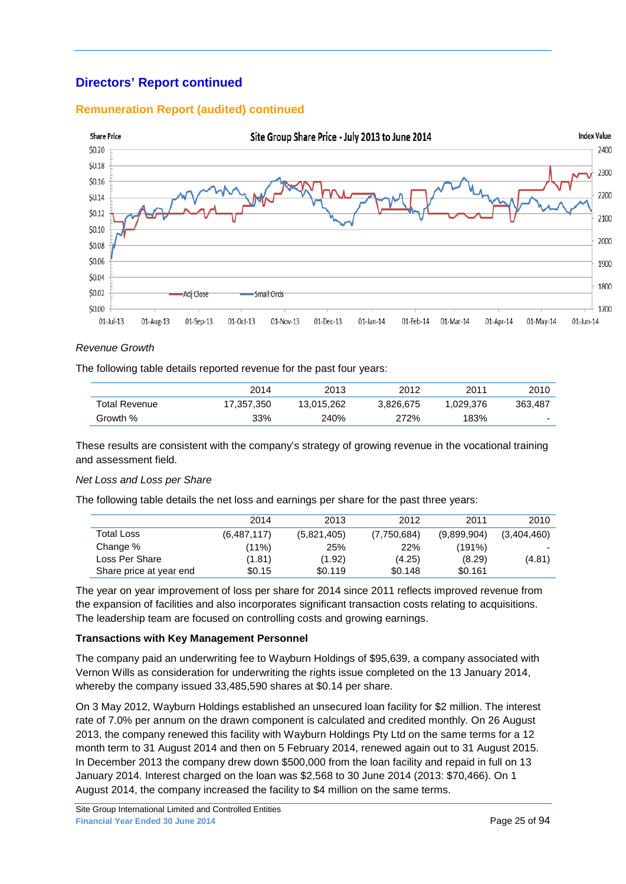## **Remuneration Report (audited) continued**



## *Revenue Growth*

The following table details reported revenue for the past four years:

|                      | 2014       | 2013       | 2012      | 2011     | 2010                     |
|----------------------|------------|------------|-----------|----------|--------------------------|
| <b>Total Revenue</b> | 17,357,350 | 13.015.262 | 3.826.675 | .029.376 | 363.487                  |
| Growth %             | 33%        | 240%       | 272%      | 183%     | $\overline{\phantom{0}}$ |

These results are consistent with the company's strategy of growing revenue in the vocational training and assessment field.

## *Net Loss and Loss per Share*

The following table details the net loss and earnings per share for the past three years:

|                         | 2014        | 2013        | 2012        | 2011        | 2010        |
|-------------------------|-------------|-------------|-------------|-------------|-------------|
| <b>Total Loss</b>       | (6,487,117) | (5,821,405) | (7,750,684) | (9,899,904) | (3,404,460) |
| Change %                | (11%)       | 25%         | 22%         | (191%)      |             |
| Loss Per Share          | (1.81)      | (1.92)      | (4.25)      | (8.29)      | (4.81)      |
| Share price at year end | \$0.15      | \$0.119     | \$0.148     | \$0.161     |             |

The year on year improvement of loss per share for 2014 since 2011 reflects improved revenue from the expansion of facilities and also incorporates significant transaction costs relating to acquisitions. The leadership team are focused on controlling costs and growing earnings.

## <span id="page-29-0"></span>**Transactions with Key Management Personnel**

The company paid an underwriting fee to Wayburn Holdings of \$95,639, a company associated with Vernon Wills as consideration for underwriting the rights issue completed on the 13 January 2014, whereby the company issued 33,485,590 shares at \$0.14 per share.

On 3 May 2012, Wayburn Holdings established an unsecured loan facility for \$2 million. The interest rate of 7.0% per annum on the drawn component is calculated and credited monthly. On 26 August 2013, the company renewed this facility with Wayburn Holdings Pty Ltd on the same terms for a 12 month term to 31 August 2014 and then on 5 February 2014, renewed again out to 31 August 2015. In December 2013 the company drew down \$500,000 from the loan facility and repaid in full on 13 January 2014. Interest charged on the loan was \$2,568 to 30 June 2014 (2013: \$70,466). On 1 August 2014, the company increased the facility to \$4 million on the same terms.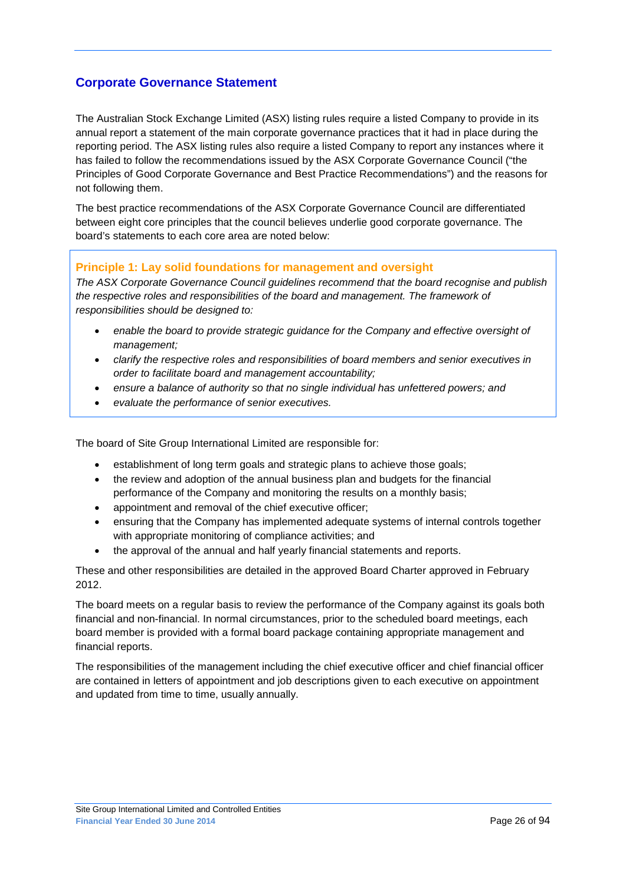## **Corporate Governance Statement**

The Australian Stock Exchange Limited (ASX) listing rules require a listed Company to provide in its annual report a statement of the main corporate governance practices that it had in place during the reporting period. The ASX listing rules also require a listed Company to report any instances where it has failed to follow the recommendations issued by the ASX Corporate Governance Council ("the Principles of Good Corporate Governance and Best Practice Recommendations") and the reasons for not following them.

The best practice recommendations of the ASX Corporate Governance Council are differentiated between eight core principles that the council believes underlie good corporate governance. The board's statements to each core area are noted below:

## **Principle 1: Lay solid foundations for management and oversight**

*The ASX Corporate Governance Council guidelines recommend that the board recognise and publish the respective roles and responsibilities of the board and management. The framework of responsibilities should be designed to:*

- *enable the board to provide strategic guidance for the Company and effective oversight of management;*
- *clarify the respective roles and responsibilities of board members and senior executives in order to facilitate board and management accountability;*
- *ensure a balance of authority so that no single individual has unfettered powers; and*
- *evaluate the performance of senior executives.*

The board of Site Group International Limited are responsible for:

- establishment of long term goals and strategic plans to achieve those goals;
- the review and adoption of the annual business plan and budgets for the financial performance of the Company and monitoring the results on a monthly basis;
- appointment and removal of the chief executive officer;
- ensuring that the Company has implemented adequate systems of internal controls together with appropriate monitoring of compliance activities; and
- the approval of the annual and half yearly financial statements and reports.

These and other responsibilities are detailed in the approved Board Charter approved in February 2012.

The board meets on a regular basis to review the performance of the Company against its goals both financial and non-financial. In normal circumstances, prior to the scheduled board meetings, each board member is provided with a formal board package containing appropriate management and financial reports.

The responsibilities of the management including the chief executive officer and chief financial officer are contained in letters of appointment and job descriptions given to each executive on appointment and updated from time to time, usually annually.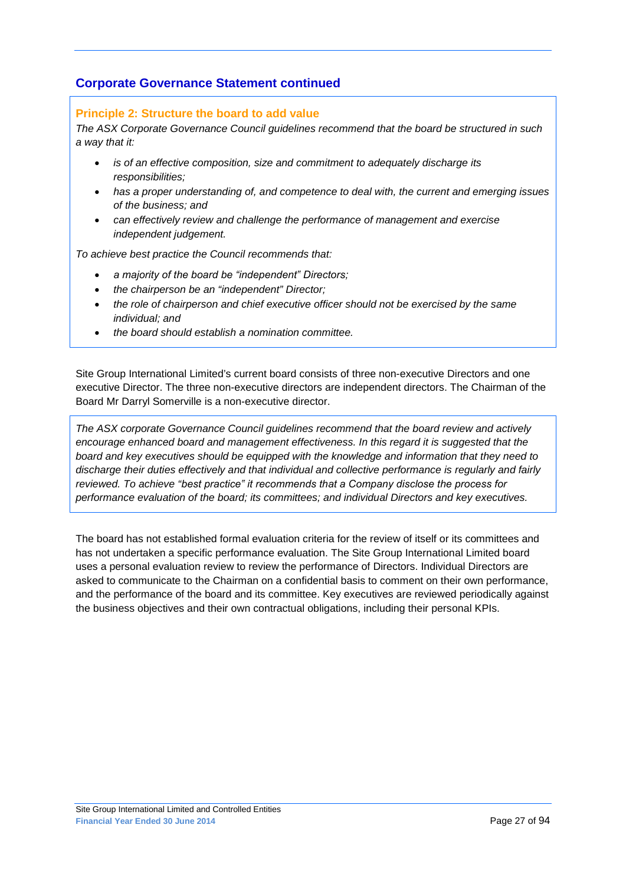## **Principle 2: Structure the board to add value**

*The ASX Corporate Governance Council guidelines recommend that the board be structured in such a way that it:*

- *is of an effective composition, size and commitment to adequately discharge its responsibilities;*
- *has a proper understanding of, and competence to deal with, the current and emerging issues of the business; and*
- *can effectively review and challenge the performance of management and exercise independent judgement.*

*To achieve best practice the Council recommends that:*

- *a majority of the board be "independent" Directors;*
- *the chairperson be an "independent" Director;*
- *the role of chairperson and chief executive officer should not be exercised by the same individual; and*
- *the board should establish a nomination committee.*

Site Group International Limited's current board consists of three non-executive Directors and one executive Director. The three non-executive directors are independent directors. The Chairman of the Board Mr Darryl Somerville is a non-executive director.

*The ASX corporate Governance Council guidelines recommend that the board review and actively encourage enhanced board and management effectiveness. In this regard it is suggested that the board and key executives should be equipped with the knowledge and information that they need to discharge their duties effectively and that individual and collective performance is regularly and fairly reviewed. To achieve "best practice" it recommends that a Company disclose the process for performance evaluation of the board; its committees; and individual Directors and key executives.* 

The board has not established formal evaluation criteria for the review of itself or its committees and has not undertaken a specific performance evaluation. The Site Group International Limited board uses a personal evaluation review to review the performance of Directors. Individual Directors are asked to communicate to the Chairman on a confidential basis to comment on their own performance, and the performance of the board and its committee. Key executives are reviewed periodically against the business objectives and their own contractual obligations, including their personal KPIs.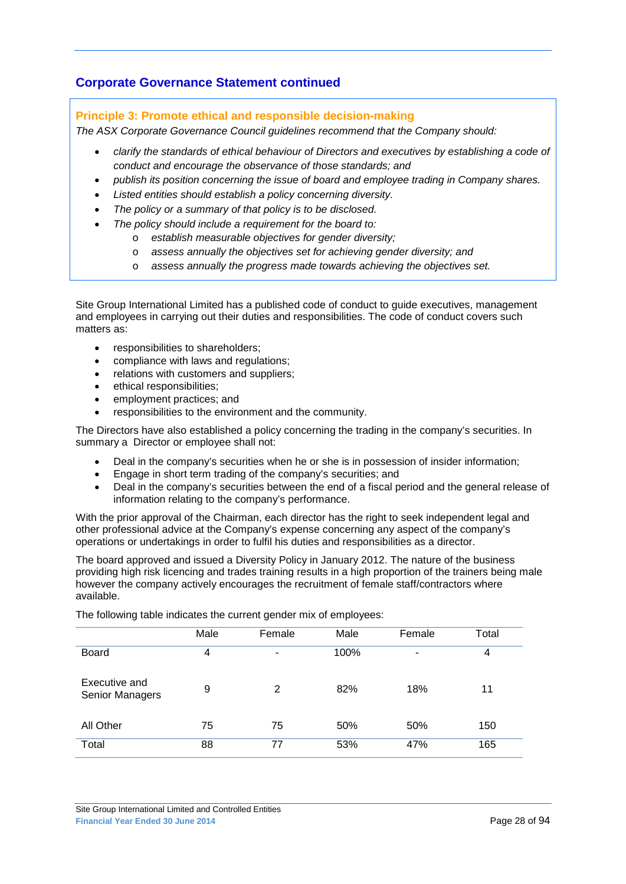## **Principle 3: Promote ethical and responsible decision-making**

*The ASX Corporate Governance Council guidelines recommend that the Company should:*

- *clarify the standards of ethical behaviour of Directors and executives by establishing a code of conduct and encourage the observance of those standards; and*
- *publish its position concerning the issue of board and employee trading in Company shares.*
- *Listed entities should establish a policy concerning diversity.*
- *The policy or a summary of that policy is to be disclosed.*
- *The policy should include a requirement for the board to:* 
	- o *establish measurable objectives for gender diversity;*
	- o *assess annually the objectives set for achieving gender diversity; and*
	- o *assess annually the progress made towards achieving the objectives set.*

Site Group International Limited has a published code of conduct to guide executives, management and employees in carrying out their duties and responsibilities. The code of conduct covers such matters as:

- responsibilities to shareholders;
- compliance with laws and regulations;
- relations with customers and suppliers;
- ethical responsibilities;
- employment practices; and
- responsibilities to the environment and the community.

The Directors have also established a policy concerning the trading in the company's securities. In summary a Director or employee shall not:

- Deal in the company's securities when he or she is in possession of insider information;
- Engage in short term trading of the company's securities; and
- Deal in the company's securities between the end of a fiscal period and the general release of information relating to the company's performance.

With the prior approval of the Chairman, each director has the right to seek independent legal and other professional advice at the Company's expense concerning any aspect of the company's operations or undertakings in order to fulfil his duties and responsibilities as a director.

The board approved and issued a Diversity Policy in January 2012. The nature of the business providing high risk licencing and trades training results in a high proportion of the trainers being male however the company actively encourages the recruitment of female staff/contractors where available.

The following table indicates the current gender mix of employees:

|                                  | Male | Female         | Male | Female | Total |
|----------------------------------|------|----------------|------|--------|-------|
| <b>Board</b>                     | 4    | ۰              | 100% | ۰      | 4     |
| Executive and<br>Senior Managers | 9    | $\overline{2}$ | 82%  | 18%    | 11    |
| All Other                        | 75   | 75             | 50%  | 50%    | 150   |
| Total                            | 88   | 77             | 53%  | 47%    | 165   |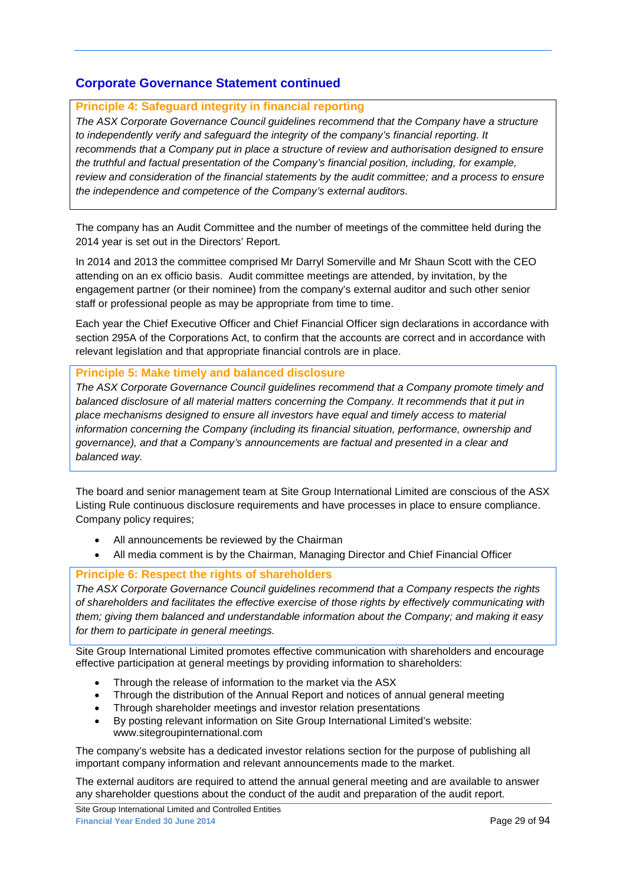## **Principle 4: Safeguard integrity in financial reporting**

*The ASX Corporate Governance Council guidelines recommend that the Company have a structure to independently verify and safeguard the integrity of the company's financial reporting. It recommends that a Company put in place a structure of review and authorisation designed to ensure the truthful and factual presentation of the Company's financial position, including, for example, review and consideration of the financial statements by the audit committee; and a process to ensure the independence and competence of the Company's external auditors.*

The company has an Audit Committee and the number of meetings of the committee held during the 2014 year is set out in the Directors' Report.

In 2014 and 2013 the committee comprised Mr Darryl Somerville and Mr Shaun Scott with the CEO attending on an ex officio basis. Audit committee meetings are attended, by invitation, by the engagement partner (or their nominee) from the company's external auditor and such other senior staff or professional people as may be appropriate from time to time.

Each year the Chief Executive Officer and Chief Financial Officer sign declarations in accordance with section 295A of the Corporations Act, to confirm that the accounts are correct and in accordance with relevant legislation and that appropriate financial controls are in place.

## **Principle 5: Make timely and balanced disclosure**

*The ASX Corporate Governance Council guidelines recommend that a Company promote timely and balanced disclosure of all material matters concerning the Company. It recommends that it put in place mechanisms designed to ensure all investors have equal and timely access to material information concerning the Company (including its financial situation, performance, ownership and governance), and that a Company's announcements are factual and presented in a clear and balanced way.*

The board and senior management team at Site Group International Limited are conscious of the ASX Listing Rule continuous disclosure requirements and have processes in place to ensure compliance. Company policy requires;

- All announcements be reviewed by the Chairman
- All media comment is by the Chairman, Managing Director and Chief Financial Officer

## **Principle 6: Respect the rights of shareholders**

*The ASX Corporate Governance Council guidelines recommend that a Company respects the rights of shareholders and facilitates the effective exercise of those rights by effectively communicating with them; giving them balanced and understandable information about the Company; and making it easy for them to participate in general meetings.*

Site Group International Limited promotes effective communication with shareholders and encourage effective participation at general meetings by providing information to shareholders:

- Through the release of information to the market via the ASX
- Through the distribution of the Annual Report and notices of annual general meeting
- Through shareholder meetings and investor relation presentations
- By posting relevant information on Site Group International Limited's website: [www.sitegroupinternational.com](http://www.sitegroupinternational.com/)

The company's website has a dedicated investor relations section for the purpose of publishing all important company information and relevant announcements made to the market.

The external auditors are required to attend the annual general meeting and are available to answer any shareholder questions about the conduct of the audit and preparation of the audit report.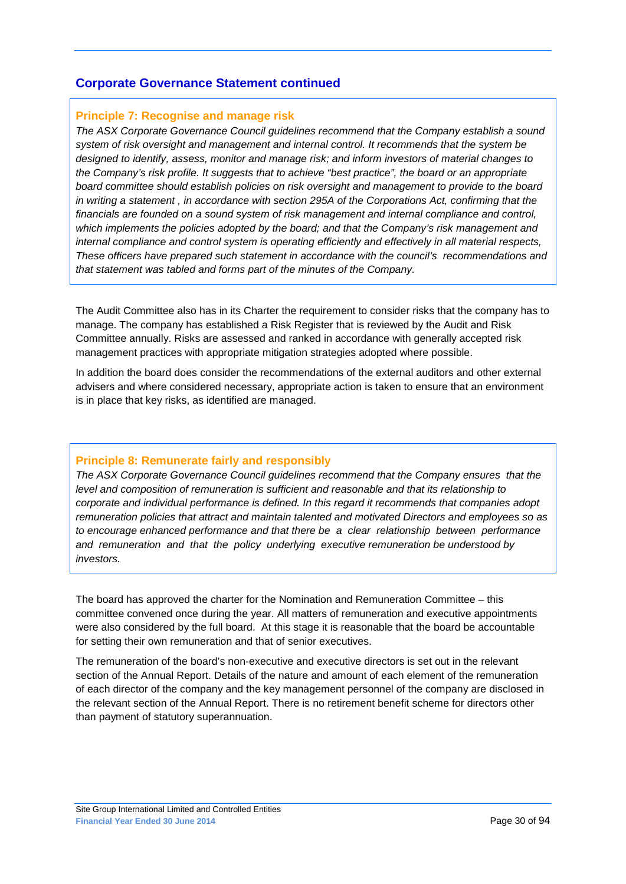## **Principle 7: Recognise and manage risk**

*The ASX Corporate Governance Council guidelines recommend that the Company establish a sound system of risk oversight and management and internal control. It recommends that the system be designed to identify, assess, monitor and manage risk; and inform investors of material changes to the Company's risk profile. It suggests that to achieve "best practice", the board or an appropriate board committee should establish policies on risk oversight and management to provide to the board in writing a statement , in accordance with section 295A of the Corporations Act, confirming that the financials are founded on a sound system of risk management and internal compliance and control, which implements the policies adopted by the board; and that the Company's risk management and internal compliance and control system is operating efficiently and effectively in all material respects, These officers have prepared such statement in accordance with the council's recommendations and that statement was tabled and forms part of the minutes of the Company.*

The Audit Committee also has in its Charter the requirement to consider risks that the company has to manage. The company has established a Risk Register that is reviewed by the Audit and Risk Committee annually. Risks are assessed and ranked in accordance with generally accepted risk management practices with appropriate mitigation strategies adopted where possible.

In addition the board does consider the recommendations of the external auditors and other external advisers and where considered necessary, appropriate action is taken to ensure that an environment is in place that key risks, as identified are managed.

## **Principle 8: Remunerate fairly and responsibly**

*The ASX Corporate Governance Council guidelines recommend that the Company ensures that the level and composition of remuneration is sufficient and reasonable and that its relationship to corporate and individual performance is defined. In this regard it recommends that companies adopt remuneration policies that attract and maintain talented and motivated Directors and employees so as to encourage enhanced performance and that there be a clear relationship between performance and remuneration and that the policy underlying executive remuneration be understood by investors.*

The board has approved the charter for the Nomination and Remuneration Committee – this committee convened once during the year. All matters of remuneration and executive appointments were also considered by the full board. At this stage it is reasonable that the board be accountable for setting their own remuneration and that of senior executives.

The remuneration of the board's non-executive and executive directors is set out in the relevant section of the Annual Report. Details of the nature and amount of each element of the remuneration of each director of the company and the key management personnel of the company are disclosed in the relevant section of the Annual Report. There is no retirement benefit scheme for directors other than payment of statutory superannuation.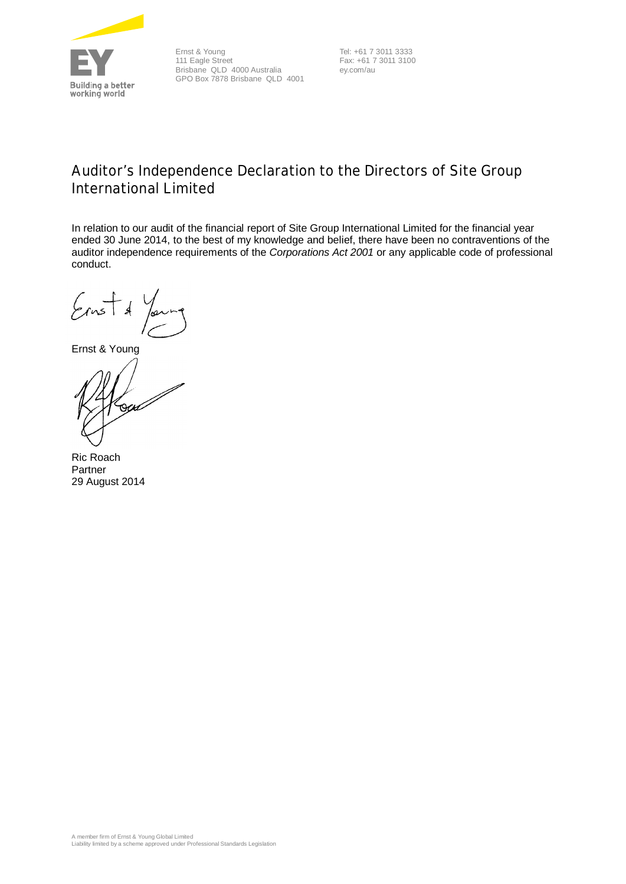<span id="page-35-0"></span>

Ernst & Young 111 Eagle Street Brisbane QLD 4000 Australia GPO Box 7878 Brisbane QLD 4001

 Tel: +61 7 3011 3333 Fax: +61 7 3011 3100 ey.com/au

# **Auditor's Independence Declaration to the Directors of Site Group International Limited**

In relation to our audit of the financial report of Site Group International Limited for the financial year ended 30 June 2014, to the best of my knowledge and belief, there have been no contraventions of the auditor independence requirements of the *Corporations Act 2001* or any applicable code of professional conduct.

 $\frac{1}{2}$  $\boldsymbol{A}$ 

Ernst & Young

Ocu

Ric Roach Partner 29 August 2014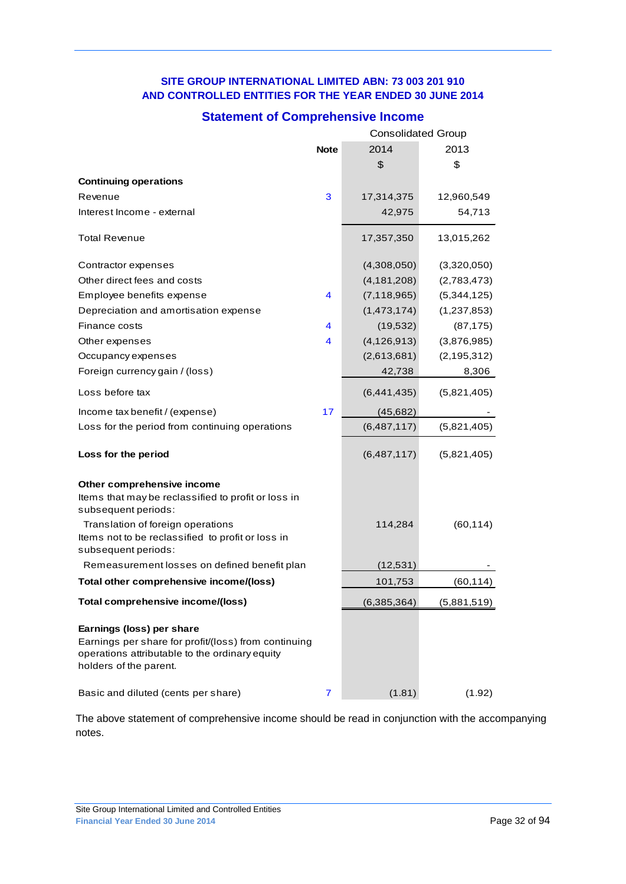## **SITE GROUP INTERNATIONAL LIMITED ABN: 73 003 201 910 AND CONTROLLED ENTITIES FOR THE YEAR ENDED 30 JUNE 2014**

# **Statement of Comprehensive Income**

|                                                                                                                                                               |             | <b>Consolidated Group</b> |               |  |
|---------------------------------------------------------------------------------------------------------------------------------------------------------------|-------------|---------------------------|---------------|--|
|                                                                                                                                                               | <b>Note</b> | 2014<br>2013              |               |  |
|                                                                                                                                                               |             | \$                        | \$            |  |
| <b>Continuing operations</b>                                                                                                                                  |             |                           |               |  |
| Revenue                                                                                                                                                       | 3           | 17,314,375                | 12,960,549    |  |
| Interest Income - external                                                                                                                                    |             | 42,975                    | 54,713        |  |
| <b>Total Revenue</b>                                                                                                                                          |             | 17,357,350                | 13,015,262    |  |
| Contractor expenses                                                                                                                                           |             | (4,308,050)               | (3,320,050)   |  |
| Other direct fees and costs                                                                                                                                   |             | (4, 181, 208)             | (2,783,473)   |  |
| Employee benefits expense                                                                                                                                     | 4           | (7, 118, 965)             | (5,344,125)   |  |
| Depreciation and amortisation expense                                                                                                                         |             | (1,473,174)               | (1,237,853)   |  |
| Finance costs                                                                                                                                                 | 4           | (19, 532)                 | (87, 175)     |  |
| Other expenses                                                                                                                                                | 4           | (4, 126, 913)             | (3,876,985)   |  |
| Occupancy expenses                                                                                                                                            |             | (2,613,681)               | (2, 195, 312) |  |
| Foreign currency gain / (loss)                                                                                                                                |             | 42,738                    | 8,306         |  |
| Loss before tax                                                                                                                                               |             | (6,441,435)               | (5,821,405)   |  |
| Income tax benefit / (expense)                                                                                                                                | 17          | (45, 682)                 |               |  |
| Loss for the period from continuing operations                                                                                                                |             | (6,487,117)               | (5,821,405)   |  |
| Loss for the period                                                                                                                                           |             | (6,487,117)               | (5,821,405)   |  |
| Other comprehensive income                                                                                                                                    |             |                           |               |  |
| Items that may be reclassified to profit or loss in<br>subsequent periods:                                                                                    |             |                           |               |  |
| Translation of foreign operations<br>Items not to be reclassified to profit or loss in<br>subsequent periods:                                                 |             | 114,284                   | (60, 114)     |  |
| Remeasurement losses on defined benefit plan                                                                                                                  |             | (12, 531)                 |               |  |
| Total other comprehensive income/(loss)                                                                                                                       |             | 101,753                   | (60, 114)     |  |
| <b>Total comprehensive income/(loss)</b>                                                                                                                      |             | (6, 385, 364)             | (5,881,519)   |  |
| Earnings (loss) per share<br>Earnings per share for profit/(loss) from continuing<br>operations attributable to the ordinary equity<br>holders of the parent. |             |                           |               |  |
| Basic and diluted (cents per share)                                                                                                                           | 7           | (1.81)                    | (1.92)        |  |

The above statement of comprehensive income should be read in conjunction with the accompanying notes.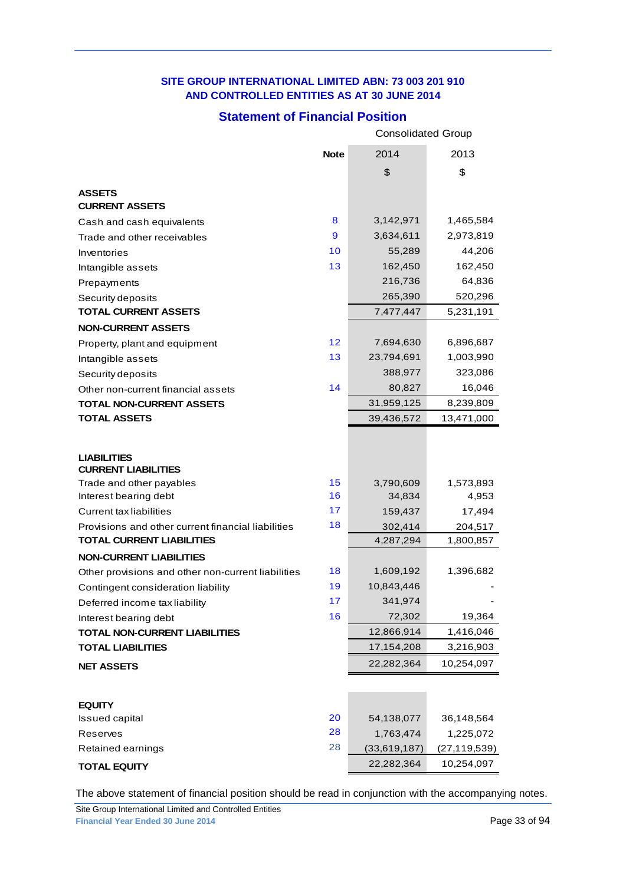## **SITE GROUP INTERNATIONAL LIMITED ABN: 73 003 201 910 AND CONTROLLED ENTITIES AS AT 30 JUNE 2014**

## **Statement of Financial Position**

|                                                                  |                   | <b>Consolidated Group</b> |                |  |
|------------------------------------------------------------------|-------------------|---------------------------|----------------|--|
|                                                                  | <b>Note</b>       | 2014                      | 2013           |  |
|                                                                  |                   | \$                        | \$             |  |
|                                                                  |                   |                           |                |  |
| <b>ASSETS</b><br><b>CURRENT ASSETS</b>                           |                   |                           |                |  |
| Cash and cash equivalents                                        | 8                 | 3,142,971                 | 1,465,584      |  |
| Trade and other receivables                                      | 9                 | 3,634,611                 | 2,973,819      |  |
| Inventories                                                      | 10                | 55,289                    | 44,206         |  |
| Intangible assets                                                | 13                | 162,450                   | 162,450        |  |
| Prepayments                                                      |                   | 216,736                   | 64,836         |  |
| Security deposits                                                |                   | 265,390                   | 520,296        |  |
| <b>TOTAL CURRENT ASSETS</b>                                      |                   | 7,477,447                 | 5,231,191      |  |
| <b>NON-CURRENT ASSETS</b>                                        |                   |                           |                |  |
| Property, plant and equipment                                    | $12 \overline{ }$ | 7,694,630                 | 6,896,687      |  |
| Intangible assets                                                | 13                | 23,794,691                | 1,003,990      |  |
| Security deposits                                                |                   | 388,977                   | 323,086        |  |
| Other non-current financial assets                               | 14                | 80,827                    | 16,046         |  |
| <b>TOTAL NON-CURRENT ASSETS</b>                                  |                   | 31,959,125                | 8,239,809      |  |
| <b>TOTAL ASSETS</b>                                              |                   | 39,436,572                | 13,471,000     |  |
|                                                                  |                   |                           |                |  |
| <b>LIABILITIES</b>                                               |                   |                           |                |  |
| <b>CURRENT LIABILITIES</b>                                       |                   |                           |                |  |
| Trade and other payables                                         | 15                | 3,790,609                 | 1,573,893      |  |
| Interest bearing debt                                            | 16                | 34,834                    | 4,953          |  |
| Current tax liabilities                                          | 17                | 159,437                   | 17,494         |  |
| Provisions and other current financial liabilities               | 18                | 302,414                   | 204,517        |  |
| <b>TOTAL CURRENT LIABILITIES</b>                                 |                   | 4,287,294                 | 1,800,857      |  |
| <b>NON-CURRENT LIABILITIES</b>                                   |                   |                           |                |  |
| Other provisions and other non-current liabilities               | 18                | 1,609,192                 | 1,396,682      |  |
| Contingent consideration liability                               | 19                | 10,843,446                |                |  |
| Deferred income tax liability                                    | 17                | 341,974                   |                |  |
| Interest bearing debt                                            | 16                | 72,302                    | 19,364         |  |
| <b>TOTAL NON-CURRENT LIABILITIES</b><br><b>TOTAL LIABILITIES</b> |                   | 12,866,914                | 1,416,046      |  |
|                                                                  |                   | 17,154,208                | 3,216,903      |  |
| <b>NET ASSETS</b>                                                |                   | 22,282,364                | 10,254,097     |  |
|                                                                  |                   |                           |                |  |
| <b>EQUITY</b>                                                    |                   |                           |                |  |
| <b>Issued capital</b>                                            | 20                | 54,138,077                | 36,148,564     |  |
| <b>Reserves</b>                                                  | 28                | 1,763,474                 | 1,225,072      |  |
| Retained earnings                                                | 28                | (33,619,187)              | (27, 119, 539) |  |
| <b>TOTAL EQUITY</b>                                              |                   | 22,282,364                | 10,254,097     |  |

The above statement of financial position should be read in conjunction with the accompanying notes.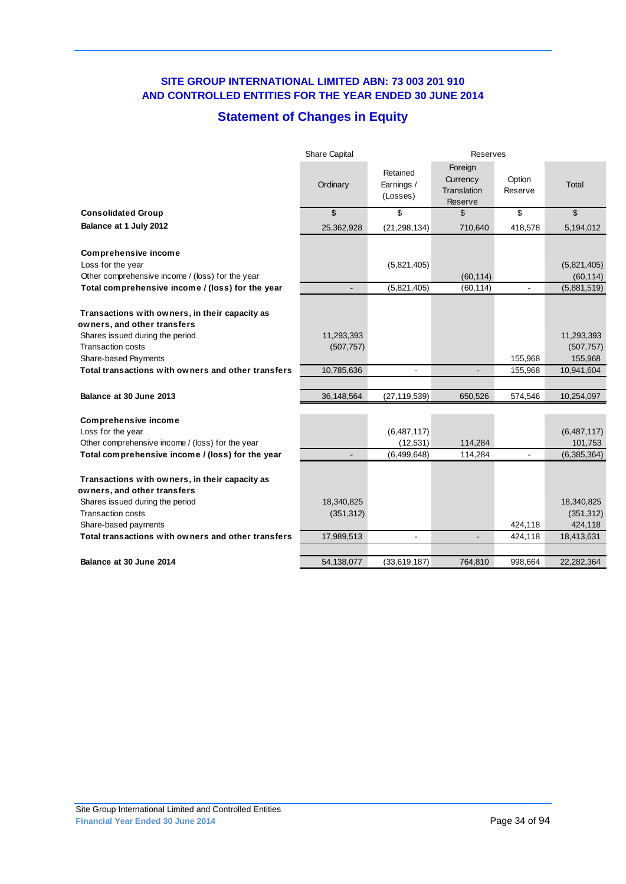## **SITE GROUP INTERNATIONAL LIMITED ABN: 73 003 201 910 AND CONTROLLED ENTITIES FOR THE YEAR ENDED 30 JUNE 2014**

# **Statement of Changes in Equity**

|                                                                               | <b>Share Capital</b> |                                    | <b>Reserves</b>                                      |                   |             |
|-------------------------------------------------------------------------------|----------------------|------------------------------------|------------------------------------------------------|-------------------|-------------|
|                                                                               | Ordinary             | Retained<br>Earnings /<br>(Losses) | Foreign<br>Currency<br><b>Translation</b><br>Reserve | Option<br>Reserve | Total       |
| <b>Consolidated Group</b>                                                     | \$                   | \$                                 | \$                                                   | \$                | \$          |
| Balance at 1 July 2012                                                        | 25,362,928           | (21, 298, 134)                     | 710,640                                              | 418,578           | 5,194,012   |
| <b>Comprehensive income</b>                                                   |                      |                                    |                                                      |                   |             |
| Loss for the year                                                             |                      | (5,821,405)                        |                                                      |                   | (5,821,405) |
| Other comprehensive income / (loss) for the year                              |                      |                                    | (60, 114)                                            |                   | (60, 114)   |
| Total comprehensive income / (loss) for the year                              |                      | (5,821,405)                        | (60, 114)                                            |                   | (5,881,519) |
| Transactions with owners, in their capacity as<br>owners, and other transfers |                      |                                    |                                                      |                   |             |
| Shares issued during the period                                               | 11,293,393           |                                    |                                                      |                   | 11,293,393  |
| Transaction costs                                                             | (507, 757)           |                                    |                                                      |                   | (507, 757)  |
| Share-based Payments                                                          |                      |                                    |                                                      | 155,968           | 155,968     |
| Total transactions with owners and other transfers                            | 10,785,636           |                                    |                                                      | 155,968           | 10,941,604  |
| Balance at 30 June 2013                                                       | 36,148,564           | (27, 119, 539)                     | 650,526                                              | 574,546           | 10,254,097  |
| <b>Comprehensive income</b>                                                   |                      |                                    |                                                      |                   |             |
| Loss for the year                                                             |                      | (6,487,117)                        |                                                      |                   | (6,487,117) |
| Other comprehensive income / (loss) for the year                              |                      | (12, 531)                          | 114,284                                              |                   | 101,753     |
| Total comprehensive income / (loss) for the year                              |                      | (6,499,648)                        | 114,284                                              | $\sim$            | (6,385,364) |
|                                                                               |                      |                                    |                                                      |                   |             |
| Transactions with owners, in their capacity as<br>owners, and other transfers |                      |                                    |                                                      |                   |             |
| Shares issued during the period                                               | 18,340,825           |                                    |                                                      |                   | 18,340,825  |
| <b>Transaction costs</b>                                                      | (351, 312)           |                                    |                                                      |                   | (351, 312)  |
| Share-based payments                                                          |                      |                                    |                                                      | 424,118           | 424,118     |
| Total transactions with owners and other transfers                            | 17,989,513           | $\blacksquare$                     |                                                      | 424,118           | 18,413,631  |
|                                                                               |                      |                                    |                                                      |                   |             |
| Balance at 30 June 2014                                                       | 54.138.077           | (33,619,187)                       | 764,810                                              | 998,664           | 22,282,364  |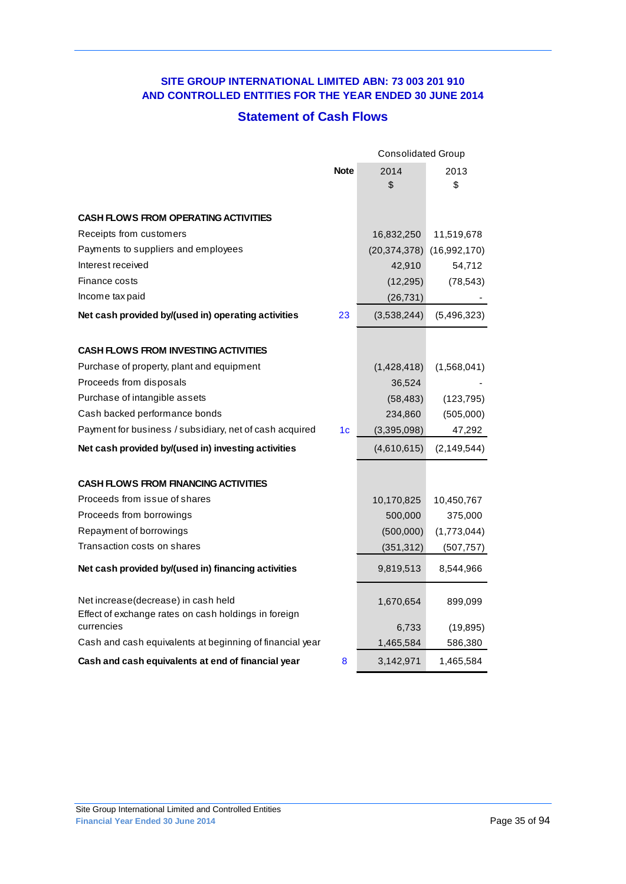## **SITE GROUP INTERNATIONAL LIMITED ABN: 73 003 201 910 AND CONTROLLED ENTITIES FOR THE YEAR ENDED 30 JUNE 2014**

## **Statement of Cash Flows**

|                                                                                             |                | <b>Consolidated Group</b> |               |  |
|---------------------------------------------------------------------------------------------|----------------|---------------------------|---------------|--|
|                                                                                             | <b>Note</b>    | 2014                      | 2013          |  |
|                                                                                             |                | \$                        | \$            |  |
| <b>CASH FLOWS FROM OPERATING ACTIVITIES</b>                                                 |                |                           |               |  |
| Receipts from customers                                                                     |                | 16,832,250                | 11,519,678    |  |
| Payments to suppliers and employees                                                         |                | (20, 374, 378)            | (16,992,170)  |  |
| Interest received                                                                           |                | 42,910                    | 54,712        |  |
| Finance costs                                                                               |                | (12, 295)                 | (78, 543)     |  |
| Income tax paid                                                                             |                | (26, 731)                 |               |  |
| Net cash provided by/(used in) operating activities                                         | 23             | (3,538,244)               | (5,496,323)   |  |
|                                                                                             |                |                           |               |  |
| <b>CASH FLOWS FROM INVESTING ACTIVITIES</b>                                                 |                |                           |               |  |
| Purchase of property, plant and equipment                                                   |                | (1,428,418)               | (1,568,041)   |  |
| Proceeds from disposals                                                                     |                | 36,524                    |               |  |
| Purchase of intangible assets                                                               |                | (58, 483)                 | (123, 795)    |  |
| Cash backed performance bonds                                                               |                | 234,860                   | (505,000)     |  |
| Payment for business / subsidiary, net of cash acquired                                     | 1 <sub>c</sub> | (3,395,098)               | 47,292        |  |
| Net cash provided by/(used in) investing activities                                         |                | (4,610,615)               | (2, 149, 544) |  |
| <b>CASH FLOWS FROM FINANCING ACTIVITIES</b>                                                 |                |                           |               |  |
| Proceeds from issue of shares                                                               |                | 10,170,825                | 10,450,767    |  |
| Proceeds from borrowings                                                                    |                | 500,000                   | 375,000       |  |
| Repayment of borrowings                                                                     |                | (500,000)                 | (1,773,044)   |  |
| Transaction costs on shares                                                                 |                | (351, 312)                | (507, 757)    |  |
| Net cash provided by/(used in) financing activities                                         |                | 9,819,513                 | 8,544,966     |  |
| Net increase(decrease) in cash held<br>Effect of exchange rates on cash holdings in foreign |                | 1,670,654                 | 899,099       |  |
| currencies                                                                                  |                | 6,733                     | (19, 895)     |  |
| Cash and cash equivalents at beginning of financial year                                    |                | 1,465,584                 | 586,380       |  |
| Cash and cash equivalents at end of financial year                                          | 8              | 3,142,971                 | 1,465,584     |  |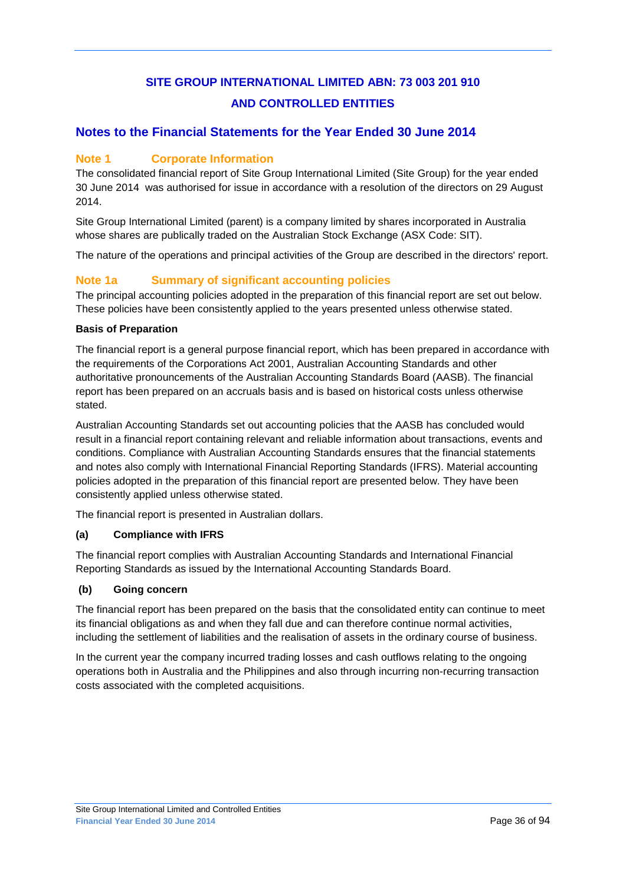# **SITE GROUP INTERNATIONAL LIMITED ABN: 73 003 201 910 AND CONTROLLED ENTITIES**

# **Notes to the Financial Statements for the Year Ended 30 June 2014**

## **Note 1 Corporate Information**

The consolidated financial report of Site Group International Limited (Site Group) for the year ended 30 June 2014 was authorised for issue in accordance with a resolution of the directors on 29 August 2014.

Site Group International Limited (parent) is a company limited by shares incorporated in Australia whose shares are publically traded on the Australian Stock Exchange (ASX Code: SIT).

The nature of the operations and principal activities of the Group are described in the directors' report.

## **Note 1a Summary of significant accounting policies**

The principal accounting policies adopted in the preparation of this financial report are set out below. These policies have been consistently applied to the years presented unless otherwise stated.

### **Basis of Preparation**

The financial report is a general purpose financial report, which has been prepared in accordance with the requirements of the Corporations Act 2001, Australian Accounting Standards and other authoritative pronouncements of the Australian Accounting Standards Board (AASB). The financial report has been prepared on an accruals basis and is based on historical costs unless otherwise stated.

Australian Accounting Standards set out accounting policies that the AASB has concluded would result in a financial report containing relevant and reliable information about transactions, events and conditions. Compliance with Australian Accounting Standards ensures that the financial statements and notes also comply with International Financial Reporting Standards (IFRS). Material accounting policies adopted in the preparation of this financial report are presented below. They have been consistently applied unless otherwise stated.

The financial report is presented in Australian dollars.

### **(a) Compliance with IFRS**

The financial report complies with Australian Accounting Standards and International Financial Reporting Standards as issued by the International Accounting Standards Board.

### **(b) Going concern**

The financial report has been prepared on the basis that the consolidated entity can continue to meet its financial obligations as and when they fall due and can therefore continue normal activities, including the settlement of liabilities and the realisation of assets in the ordinary course of business.

In the current year the company incurred trading losses and cash outflows relating to the ongoing operations both in Australia and the Philippines and also through incurring non-recurring transaction costs associated with the completed acquisitions.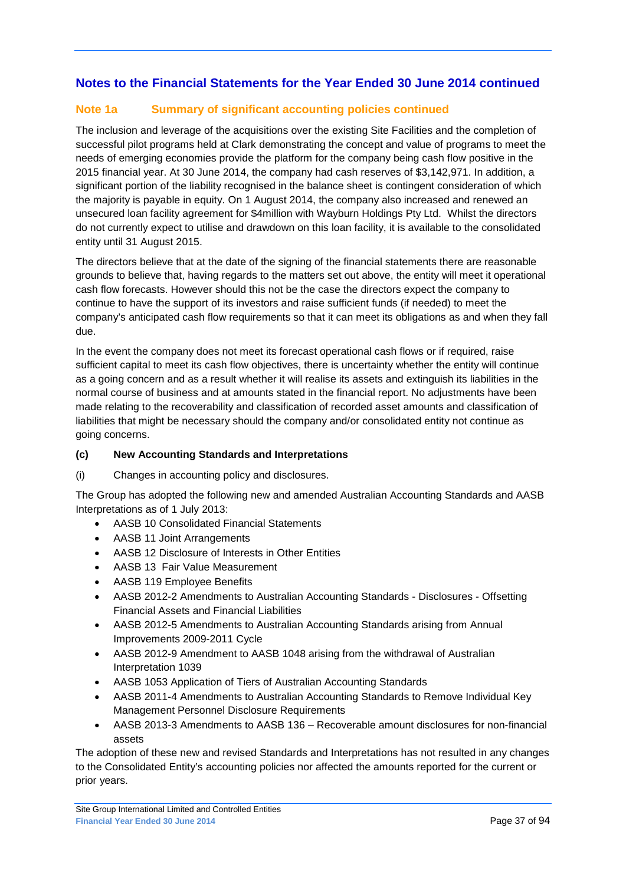## **Note 1a Summary of significant accounting policies continued**

The inclusion and leverage of the acquisitions over the existing Site Facilities and the completion of successful pilot programs held at Clark demonstrating the concept and value of programs to meet the needs of emerging economies provide the platform for the company being cash flow positive in the 2015 financial year. At 30 June 2014, the company had cash reserves of \$3,142,971. In addition, a significant portion of the liability recognised in the balance sheet is contingent consideration of which the majority is payable in equity. On 1 August 2014, the company also increased and renewed an unsecured loan facility agreement for \$4million with Wayburn Holdings Pty Ltd. Whilst the directors do not currently expect to utilise and drawdown on this loan facility, it is available to the consolidated entity until 31 August 2015.

The directors believe that at the date of the signing of the financial statements there are reasonable grounds to believe that, having regards to the matters set out above, the entity will meet it operational cash flow forecasts. However should this not be the case the directors expect the company to continue to have the support of its investors and raise sufficient funds (if needed) to meet the company's anticipated cash flow requirements so that it can meet its obligations as and when they fall due.

In the event the company does not meet its forecast operational cash flows or if required, raise sufficient capital to meet its cash flow objectives, there is uncertainty whether the entity will continue as a going concern and as a result whether it will realise its assets and extinguish its liabilities in the normal course of business and at amounts stated in the financial report. No adjustments have been made relating to the recoverability and classification of recorded asset amounts and classification of liabilities that might be necessary should the company and/or consolidated entity not continue as going concerns.

### **(c) New Accounting Standards and Interpretations**

(i) Changes in accounting policy and disclosures.

The Group has adopted the following new and amended Australian Accounting Standards and AASB Interpretations as of 1 July 2013:

- AASB 10 Consolidated Financial Statements
- AASB 11 Joint Arrangements
- AASB 12 Disclosure of Interests in Other Entities
- AASB 13 Fair Value Measurement
- AASB 119 Employee Benefits
- AASB 2012-2 Amendments to Australian Accounting Standards Disclosures Offsetting Financial Assets and Financial Liabilities
- AASB 2012-5 Amendments to Australian Accounting Standards arising from Annual Improvements 2009-2011 Cycle
- AASB 2012-9 Amendment to AASB 1048 arising from the withdrawal of Australian Interpretation 1039
- AASB 1053 Application of Tiers of Australian Accounting Standards
- AASB 2011-4 Amendments to Australian Accounting Standards to Remove Individual Key Management Personnel Disclosure Requirements
- AASB 2013-3 Amendments to AASB 136 Recoverable amount disclosures for non-financial assets

The adoption of these new and revised Standards and Interpretations has not resulted in any changes to the Consolidated Entity's accounting policies nor affected the amounts reported for the current or prior years.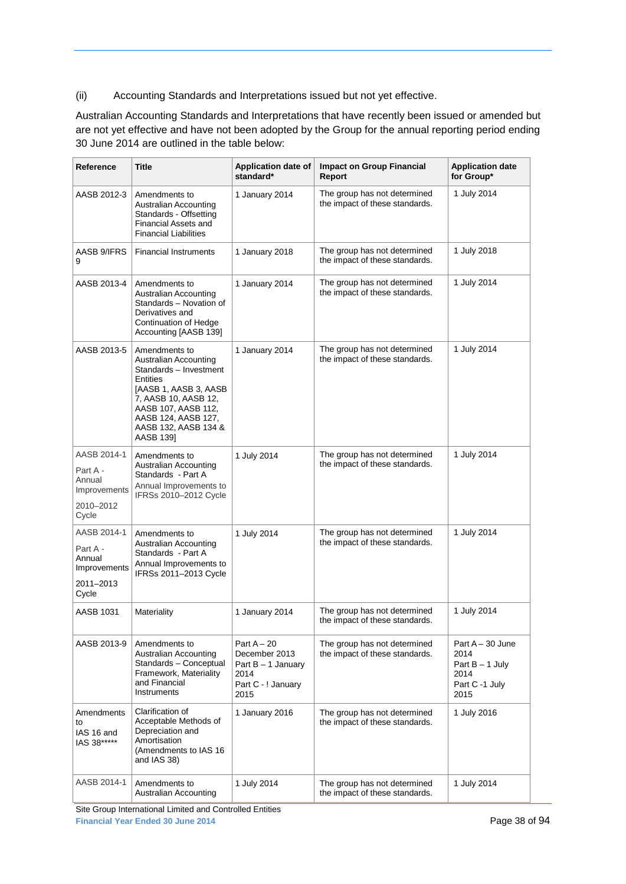## (ii) Accounting Standards and Interpretations issued but not yet effective.

Australian Accounting Standards and Interpretations that have recently been issued or amended but are not yet effective and have not been adopted by the Group for the annual reporting period ending 30 June 2014 are outlined in the table below:

| Reference                                                      | <b>Title</b>                                                                                                                                                                                                            | <b>Application date of</b><br>standard*                                                      | <b>Impact on Group Financial</b><br>Report                     | <b>Application date</b><br>for Group*                                         |
|----------------------------------------------------------------|-------------------------------------------------------------------------------------------------------------------------------------------------------------------------------------------------------------------------|----------------------------------------------------------------------------------------------|----------------------------------------------------------------|-------------------------------------------------------------------------------|
| AASB 2012-3                                                    | Amendments to<br>Australian Accounting<br>Standards - Offsetting<br>Financial Assets and<br><b>Financial Liabilities</b>                                                                                                | 1 January 2014                                                                               | The group has not determined<br>the impact of these standards. | 1 July 2014                                                                   |
| AASB 9/IFRS<br>9                                               | <b>Financial Instruments</b>                                                                                                                                                                                            | 1 January 2018                                                                               | The group has not determined<br>the impact of these standards. | 1 July 2018                                                                   |
| AASB 2013-4                                                    | Amendments to<br><b>Australian Accounting</b><br>Standards - Novation of<br>Derivatives and<br>Continuation of Hedge<br>Accounting [AASB 139]                                                                           | 1 January 2014                                                                               | The group has not determined<br>the impact of these standards. | 1 July 2014                                                                   |
| AASB 2013-5                                                    | Amendments to<br><b>Australian Accounting</b><br>Standards - Investment<br>Entities<br>[AASB 1, AASB 3, AASB<br>7, AASB 10, AASB 12,<br>AASB 107, AASB 112,<br>AASB 124, AASB 127,<br>AASB 132, AASB 134 &<br>AASB 139] | 1 January 2014                                                                               | The group has not determined<br>the impact of these standards. | 1 July 2014                                                                   |
| AASB 2014-1<br>Part A -<br>Annual<br>Improvements<br>2010-2012 | Amendments to<br>Australian Accounting<br>Standards - Part A<br>Annual Improvements to<br>IFRSs 2010-2012 Cycle                                                                                                         | 1 July 2014                                                                                  | The group has not determined<br>the impact of these standards. | 1 July 2014                                                                   |
| Cycle                                                          |                                                                                                                                                                                                                         |                                                                                              |                                                                |                                                                               |
| AASB 2014-1<br>Part A -<br>Annual<br>Improvements              | Amendments to<br>Australian Accounting<br>Standards - Part A<br>Annual Improvements to<br>IFRSs 2011-2013 Cycle                                                                                                         | 1 July 2014                                                                                  | The group has not determined<br>the impact of these standards. | 1 July 2014                                                                   |
| 2011-2013<br>Cycle                                             |                                                                                                                                                                                                                         |                                                                                              |                                                                |                                                                               |
| AASB 1031                                                      | Materiality                                                                                                                                                                                                             | 1 January 2014                                                                               | The group has not determined<br>the impact of these standards. | 1 July 2014                                                                   |
| AASB 2013-9                                                    | Amendments to<br><b>Australian Accounting</b><br>Standards - Conceptual<br>Framework, Materiality<br>and Financial<br>Instruments                                                                                       | Part $A - 20$<br>December 2013<br>Part $B - 1$ January<br>2014<br>Part C - ! January<br>2015 | The group has not determined<br>the impact of these standards. | Part A - 30 June<br>2014<br>Part B - 1 July<br>2014<br>Part C -1 July<br>2015 |
| Amendments<br>to<br>IAS 16 and<br>IAS 38*****                  | Clarification of<br>Acceptable Methods of<br>Depreciation and<br>Amortisation<br>(Amendments to IAS 16)<br>and IAS 38)                                                                                                  | 1 January 2016                                                                               | The group has not determined<br>the impact of these standards. | 1 July 2016                                                                   |
| AASB 2014-1                                                    | Amendments to<br><b>Australian Accounting</b>                                                                                                                                                                           | 1 July 2014                                                                                  | The group has not determined<br>the impact of these standards. | 1 July 2014                                                                   |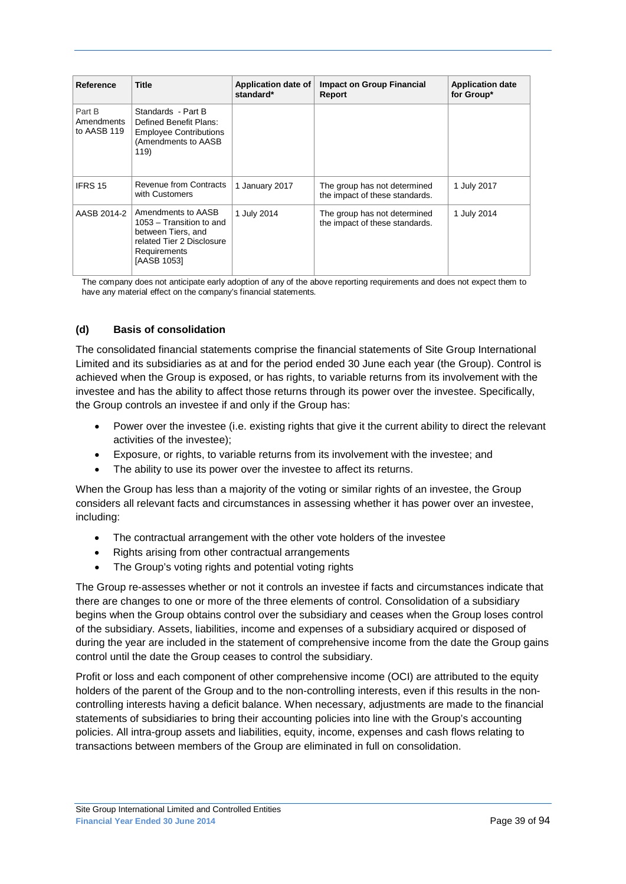| Reference                           | <b>Title</b>                                                                                                                            | Application date of<br>standard* | <b>Impact on Group Financial</b><br>Report                     | <b>Application date</b><br>for Group* |
|-------------------------------------|-----------------------------------------------------------------------------------------------------------------------------------------|----------------------------------|----------------------------------------------------------------|---------------------------------------|
| Part B<br>Amendments<br>to AASB 119 | Standards - Part B<br>Defined Benefit Plans:<br><b>Employee Contributions</b><br>(Amendments to AASB<br>119)                            |                                  |                                                                |                                       |
| IFRS 15                             | <b>Revenue from Contracts</b><br>with Customers                                                                                         | 1 January 2017                   | The group has not determined<br>the impact of these standards. | 1 July 2017                           |
| AASB 2014-2                         | Amendments to AASB<br>1053 – Transition to and<br>between Tiers, and<br>related Tier 2 Disclosure<br><b>Requirements</b><br>[AASB 1053] | 1 July 2014                      | The group has not determined<br>the impact of these standards. | 1 July 2014                           |

The company does not anticipate early adoption of any of the above reporting requirements and does not expect them to have any material effect on the company's financial statements.

## **(d) Basis of consolidation**

The consolidated financial statements comprise the financial statements of Site Group International Limited and its subsidiaries as at and for the period ended 30 June each year (the Group). Control is achieved when the Group is exposed, or has rights, to variable returns from its involvement with the investee and has the ability to affect those returns through its power over the investee. Specifically, the Group controls an investee if and only if the Group has:

- Power over the investee (i.e. existing rights that give it the current ability to direct the relevant activities of the investee);
- Exposure, or rights, to variable returns from its involvement with the investee; and
- The ability to use its power over the investee to affect its returns.

When the Group has less than a majority of the voting or similar rights of an investee, the Group considers all relevant facts and circumstances in assessing whether it has power over an investee, including:

- The contractual arrangement with the other vote holders of the investee
- Rights arising from other contractual arrangements
- The Group's voting rights and potential voting rights

The Group re-assesses whether or not it controls an investee if facts and circumstances indicate that there are changes to one or more of the three elements of control. Consolidation of a subsidiary begins when the Group obtains control over the subsidiary and ceases when the Group loses control of the subsidiary. Assets, liabilities, income and expenses of a subsidiary acquired or disposed of during the year are included in the statement of comprehensive income from the date the Group gains control until the date the Group ceases to control the subsidiary.

Profit or loss and each component of other comprehensive income (OCI) are attributed to the equity holders of the parent of the Group and to the non-controlling interests, even if this results in the noncontrolling interests having a deficit balance. When necessary, adjustments are made to the financial statements of subsidiaries to bring their accounting policies into line with the Group's accounting policies. All intra-group assets and liabilities, equity, income, expenses and cash flows relating to transactions between members of the Group are eliminated in full on consolidation.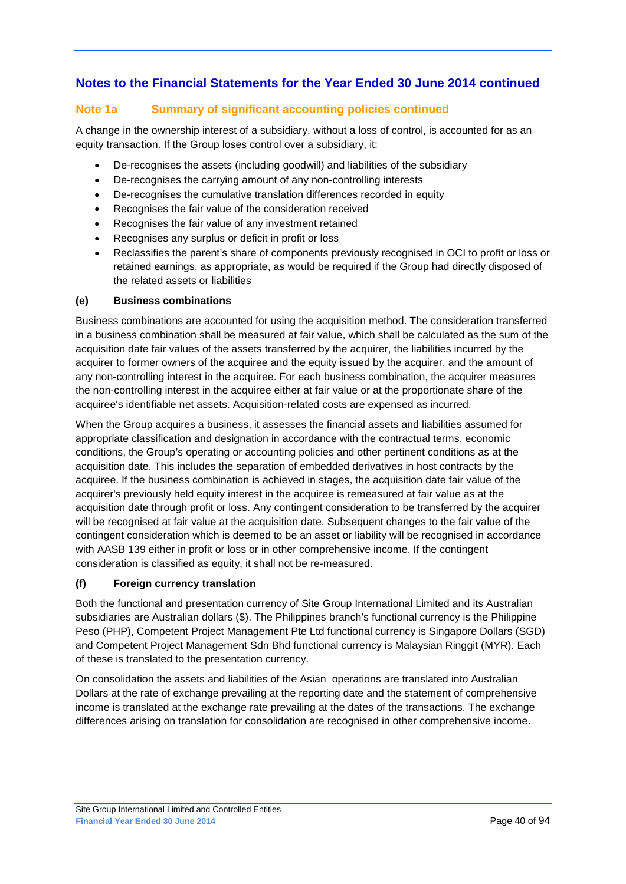## **Note 1a Summary of significant accounting policies continued**

A change in the ownership interest of a subsidiary, without a loss of control, is accounted for as an equity transaction. If the Group loses control over a subsidiary, it:

- De-recognises the assets (including goodwill) and liabilities of the subsidiary
- De-recognises the carrying amount of any non-controlling interests
- De-recognises the cumulative translation differences recorded in equity
- Recognises the fair value of the consideration received
- Recognises the fair value of any investment retained
- Recognises any surplus or deficit in profit or loss
- Reclassifies the parent's share of components previously recognised in OCI to profit or loss or retained earnings, as appropriate, as would be required if the Group had directly disposed of the related assets or liabilities

### **(e) Business combinations**

Business combinations are accounted for using the acquisition method. The consideration transferred in a business combination shall be measured at fair value, which shall be calculated as the sum of the acquisition date fair values of the assets transferred by the acquirer, the liabilities incurred by the acquirer to former owners of the acquiree and the equity issued by the acquirer, and the amount of any non-controlling interest in the acquiree. For each business combination, the acquirer measures the non-controlling interest in the acquiree either at fair value or at the proportionate share of the acquiree's identifiable net assets. Acquisition-related costs are expensed as incurred.

When the Group acquires a business, it assesses the financial assets and liabilities assumed for appropriate classification and designation in accordance with the contractual terms, economic conditions, the Group's operating or accounting policies and other pertinent conditions as at the acquisition date. This includes the separation of embedded derivatives in host contracts by the acquiree. If the business combination is achieved in stages, the acquisition date fair value of the acquirer's previously held equity interest in the acquiree is remeasured at fair value as at the acquisition date through profit or loss. Any contingent consideration to be transferred by the acquirer will be recognised at fair value at the acquisition date. Subsequent changes to the fair value of the contingent consideration which is deemed to be an asset or liability will be recognised in accordance with AASB 139 either in profit or loss or in other comprehensive income. If the contingent consideration is classified as equity, it shall not be re-measured.

## **(f) Foreign currency translation**

Both the functional and presentation currency of Site Group International Limited and its Australian subsidiaries are Australian dollars (\$). The Philippines branch's functional currency is the Philippine Peso (PHP), Competent Project Management Pte Ltd functional currency is Singapore Dollars (SGD) and Competent Project Management Sdn Bhd functional currency is Malaysian Ringgit (MYR). Each of these is translated to the presentation currency.

On consolidation the assets and liabilities of the Asian operations are translated into Australian Dollars at the rate of exchange prevailing at the reporting date and the statement of comprehensive income is translated at the exchange rate prevailing at the dates of the transactions. The exchange differences arising on translation for consolidation are recognised in other comprehensive income.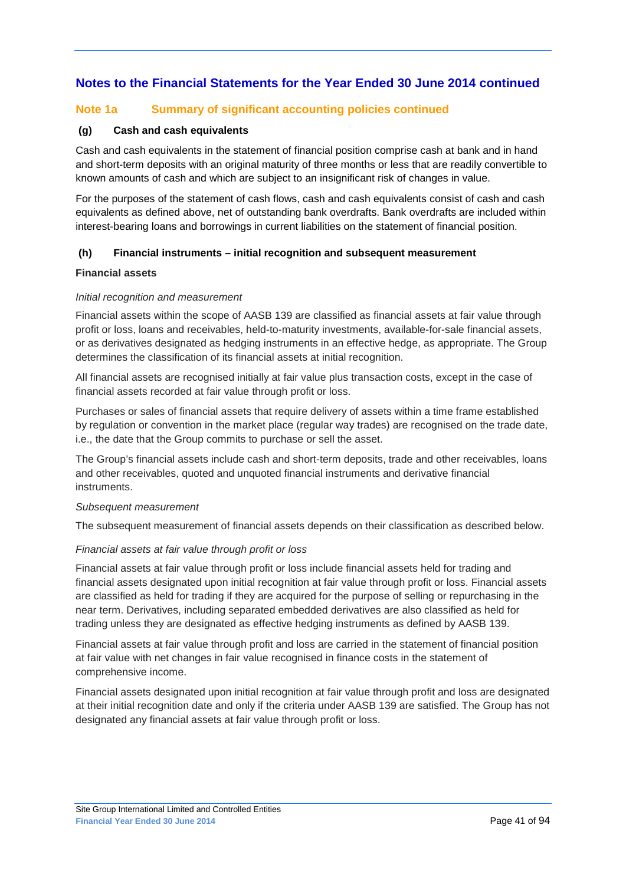## **Note 1a Summary of significant accounting policies continued**

### **(g) Cash and cash equivalents**

Cash and cash equivalents in the statement of financial position comprise cash at bank and in hand and short-term deposits with an original maturity of three months or less that are readily convertible to known amounts of cash and which are subject to an insignificant risk of changes in value.

For the purposes of the statement of cash flows, cash and cash equivalents consist of cash and cash equivalents as defined above, net of outstanding bank overdrafts. Bank overdrafts are included within interest-bearing loans and borrowings in current liabilities on the statement of financial position.

## **(h) Financial instruments – initial recognition and subsequent measurement**

### **Financial assets**

### *Initial recognition and measurement*

Financial assets within the scope of AASB 139 are classified as financial assets at fair value through profit or loss, loans and receivables, held-to-maturity investments, available-for-sale financial assets, or as derivatives designated as hedging instruments in an effective hedge, as appropriate. The Group determines the classification of its financial assets at initial recognition.

All financial assets are recognised initially at fair value plus transaction costs, except in the case of financial assets recorded at fair value through profit or loss.

Purchases or sales of financial assets that require delivery of assets within a time frame established by regulation or convention in the market place (regular way trades) are recognised on the trade date, i.e., the date that the Group commits to purchase or sell the asset.

The Group's financial assets include cash and short-term deposits, trade and other receivables, loans and other receivables, quoted and unquoted financial instruments and derivative financial instruments.

### *Subsequent measurement*

The subsequent measurement of financial assets depends on their classification as described below.

### *Financial assets at fair value through profit or loss*

Financial assets at fair value through profit or loss include financial assets held for trading and financial assets designated upon initial recognition at fair value through profit or loss. Financial assets are classified as held for trading if they are acquired for the purpose of selling or repurchasing in the near term. Derivatives, including separated embedded derivatives are also classified as held for trading unless they are designated as effective hedging instruments as defined by AASB 139.

Financial assets at fair value through profit and loss are carried in the statement of financial position at fair value with net changes in fair value recognised in finance costs in the statement of comprehensive income.

Financial assets designated upon initial recognition at fair value through profit and loss are designated at their initial recognition date and only if the criteria under AASB 139 are satisfied. The Group has not designated any financial assets at fair value through profit or loss.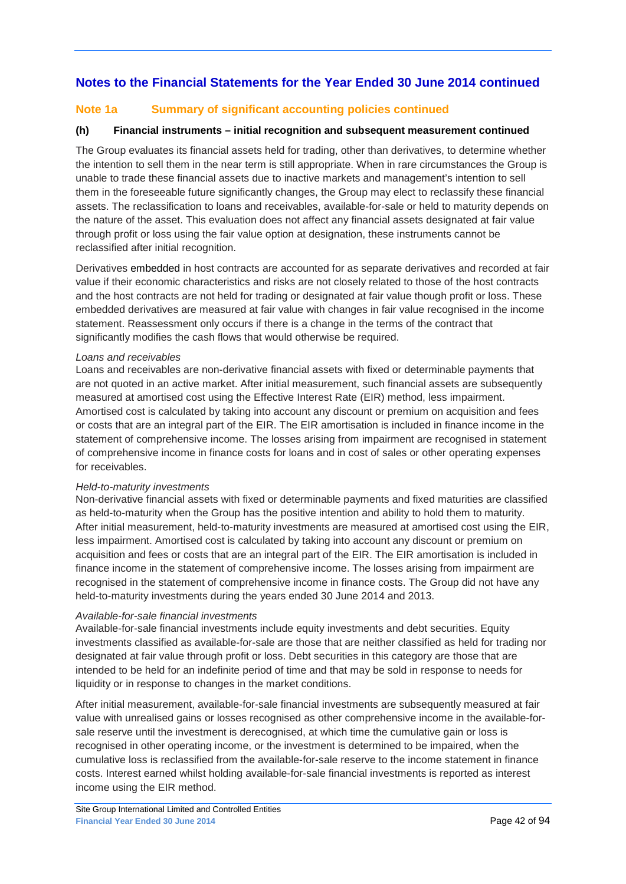## **Note 1a Summary of significant accounting policies continued**

### **(h) Financial instruments – initial recognition and subsequent measurement continued**

The Group evaluates its financial assets held for trading, other than derivatives, to determine whether the intention to sell them in the near term is still appropriate. When in rare circumstances the Group is unable to trade these financial assets due to inactive markets and management's intention to sell them in the foreseeable future significantly changes, the Group may elect to reclassify these financial assets. The reclassification to loans and receivables, available-for-sale or held to maturity depends on the nature of the asset. This evaluation does not affect any financial assets designated at fair value through profit or loss using the fair value option at designation, these instruments cannot be reclassified after initial recognition.

Derivatives embedded in host contracts are accounted for as separate derivatives and recorded at fair value if their economic characteristics and risks are not closely related to those of the host contracts and the host contracts are not held for trading or designated at fair value though profit or loss. These embedded derivatives are measured at fair value with changes in fair value recognised in the income statement. Reassessment only occurs if there is a change in the terms of the contract that significantly modifies the cash flows that would otherwise be required.

#### *Loans and receivables*

Loans and receivables are non-derivative financial assets with fixed or determinable payments that are not quoted in an active market. After initial measurement, such financial assets are subsequently measured at amortised cost using the Effective Interest Rate (EIR) method, less impairment. Amortised cost is calculated by taking into account any discount or premium on acquisition and fees or costs that are an integral part of the EIR. The EIR amortisation is included in finance income in the statement of comprehensive income. The losses arising from impairment are recognised in statement of comprehensive income in finance costs for loans and in cost of sales or other operating expenses for receivables.

#### *Held-to-maturity investments*

Non-derivative financial assets with fixed or determinable payments and fixed maturities are classified as held-to-maturity when the Group has the positive intention and ability to hold them to maturity. After initial measurement, held-to-maturity investments are measured at amortised cost using the EIR, less impairment. Amortised cost is calculated by taking into account any discount or premium on acquisition and fees or costs that are an integral part of the EIR. The EIR amortisation is included in finance income in the statement of comprehensive income. The losses arising from impairment are recognised in the statement of comprehensive income in finance costs. The Group did not have any held-to-maturity investments during the years ended 30 June 2014 and 2013.

#### *Available-for-sale financial investments*

Available-for-sale financial investments include equity investments and debt securities. Equity investments classified as available-for-sale are those that are neither classified as held for trading nor designated at fair value through profit or loss. Debt securities in this category are those that are intended to be held for an indefinite period of time and that may be sold in response to needs for liquidity or in response to changes in the market conditions.

After initial measurement, available-for-sale financial investments are subsequently measured at fair value with unrealised gains or losses recognised as other comprehensive income in the available-forsale reserve until the investment is derecognised, at which time the cumulative gain or loss is recognised in other operating income, or the investment is determined to be impaired, when the cumulative loss is reclassified from the available-for-sale reserve to the income statement in finance costs. Interest earned whilst holding available-for-sale financial investments is reported as interest income using the EIR method.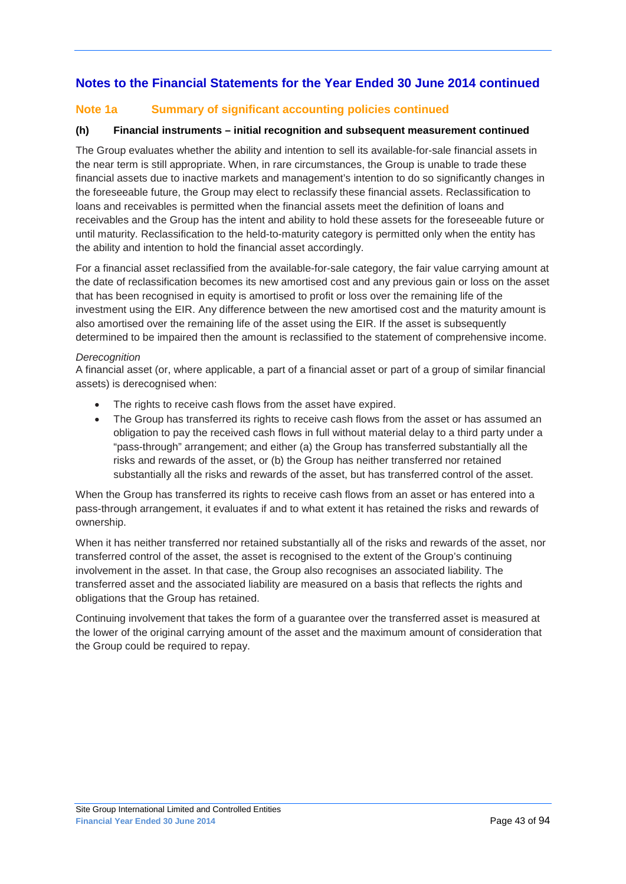## **Note 1a Summary of significant accounting policies continued**

### **(h) Financial instruments – initial recognition and subsequent measurement continued**

The Group evaluates whether the ability and intention to sell its available-for-sale financial assets in the near term is still appropriate. When, in rare circumstances, the Group is unable to trade these financial assets due to inactive markets and management's intention to do so significantly changes in the foreseeable future, the Group may elect to reclassify these financial assets. Reclassification to loans and receivables is permitted when the financial assets meet the definition of loans and receivables and the Group has the intent and ability to hold these assets for the foreseeable future or until maturity. Reclassification to the held-to-maturity category is permitted only when the entity has the ability and intention to hold the financial asset accordingly.

For a financial asset reclassified from the available-for-sale category, the fair value carrying amount at the date of reclassification becomes its new amortised cost and any previous gain or loss on the asset that has been recognised in equity is amortised to profit or loss over the remaining life of the investment using the EIR. Any difference between the new amortised cost and the maturity amount is also amortised over the remaining life of the asset using the EIR. If the asset is subsequently determined to be impaired then the amount is reclassified to the statement of comprehensive income.

#### *Derecognition*

A financial asset (or, where applicable, a part of a financial asset or part of a group of similar financial assets) is derecognised when:

- The rights to receive cash flows from the asset have expired.
- The Group has transferred its rights to receive cash flows from the asset or has assumed an obligation to pay the received cash flows in full without material delay to a third party under a "pass-through" arrangement; and either (a) the Group has transferred substantially all the risks and rewards of the asset, or (b) the Group has neither transferred nor retained substantially all the risks and rewards of the asset, but has transferred control of the asset.

When the Group has transferred its rights to receive cash flows from an asset or has entered into a pass-through arrangement, it evaluates if and to what extent it has retained the risks and rewards of ownership.

When it has neither transferred nor retained substantially all of the risks and rewards of the asset, nor transferred control of the asset, the asset is recognised to the extent of the Group's continuing involvement in the asset. In that case, the Group also recognises an associated liability. The transferred asset and the associated liability are measured on a basis that reflects the rights and obligations that the Group has retained.

Continuing involvement that takes the form of a guarantee over the transferred asset is measured at the lower of the original carrying amount of the asset and the maximum amount of consideration that the Group could be required to repay.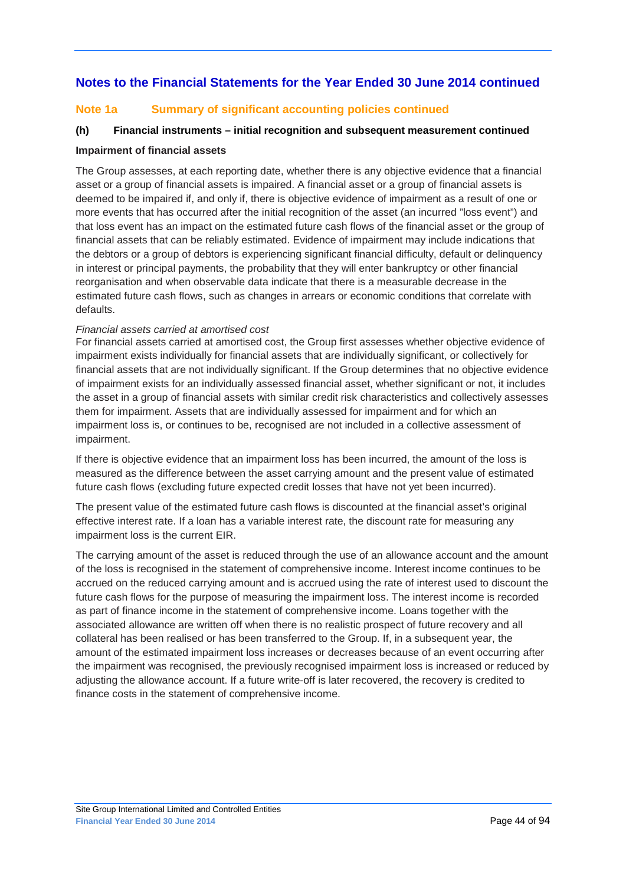## **Note 1a Summary of significant accounting policies continued**

### **(h) Financial instruments – initial recognition and subsequent measurement continued**

### **Impairment of financial assets**

The Group assesses, at each reporting date, whether there is any objective evidence that a financial asset or a group of financial assets is impaired. A financial asset or a group of financial assets is deemed to be impaired if, and only if, there is objective evidence of impairment as a result of one or more events that has occurred after the initial recognition of the asset (an incurred "loss event") and that loss event has an impact on the estimated future cash flows of the financial asset or the group of financial assets that can be reliably estimated. Evidence of impairment may include indications that the debtors or a group of debtors is experiencing significant financial difficulty, default or delinquency in interest or principal payments, the probability that they will enter bankruptcy or other financial reorganisation and when observable data indicate that there is a measurable decrease in the estimated future cash flows, such as changes in arrears or economic conditions that correlate with defaults.

### *Financial assets carried at amortised cost*

For financial assets carried at amortised cost, the Group first assesses whether objective evidence of impairment exists individually for financial assets that are individually significant, or collectively for financial assets that are not individually significant. If the Group determines that no objective evidence of impairment exists for an individually assessed financial asset, whether significant or not, it includes the asset in a group of financial assets with similar credit risk characteristics and collectively assesses them for impairment. Assets that are individually assessed for impairment and for which an impairment loss is, or continues to be, recognised are not included in a collective assessment of impairment.

If there is objective evidence that an impairment loss has been incurred, the amount of the loss is measured as the difference between the asset carrying amount and the present value of estimated future cash flows (excluding future expected credit losses that have not yet been incurred).

The present value of the estimated future cash flows is discounted at the financial asset's original effective interest rate. If a loan has a variable interest rate, the discount rate for measuring any impairment loss is the current EIR.

The carrying amount of the asset is reduced through the use of an allowance account and the amount of the loss is recognised in the statement of comprehensive income. Interest income continues to be accrued on the reduced carrying amount and is accrued using the rate of interest used to discount the future cash flows for the purpose of measuring the impairment loss. The interest income is recorded as part of finance income in the statement of comprehensive income. Loans together with the associated allowance are written off when there is no realistic prospect of future recovery and all collateral has been realised or has been transferred to the Group. If, in a subsequent year, the amount of the estimated impairment loss increases or decreases because of an event occurring after the impairment was recognised, the previously recognised impairment loss is increased or reduced by adjusting the allowance account. If a future write-off is later recovered, the recovery is credited to finance costs in the statement of comprehensive income.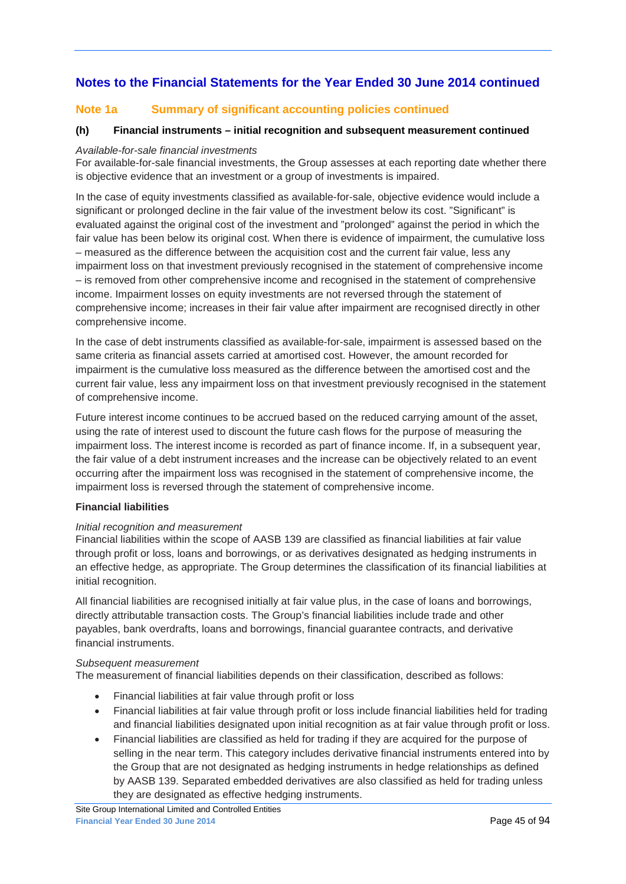# **Note 1a Summary of significant accounting policies continued**

## **(h) Financial instruments – initial recognition and subsequent measurement continued**

### *Available-for-sale financial investments*

For available-for-sale financial investments, the Group assesses at each reporting date whether there is objective evidence that an investment or a group of investments is impaired.

In the case of equity investments classified as available-for-sale, objective evidence would include a significant or prolonged decline in the fair value of the investment below its cost. "Significant" is evaluated against the original cost of the investment and "prolonged" against the period in which the fair value has been below its original cost. When there is evidence of impairment, the cumulative loss – measured as the difference between the acquisition cost and the current fair value, less any impairment loss on that investment previously recognised in the statement of comprehensive income – is removed from other comprehensive income and recognised in the statement of comprehensive income. Impairment losses on equity investments are not reversed through the statement of comprehensive income; increases in their fair value after impairment are recognised directly in other comprehensive income.

In the case of debt instruments classified as available-for-sale, impairment is assessed based on the same criteria as financial assets carried at amortised cost. However, the amount recorded for impairment is the cumulative loss measured as the difference between the amortised cost and the current fair value, less any impairment loss on that investment previously recognised in the statement of comprehensive income.

Future interest income continues to be accrued based on the reduced carrying amount of the asset, using the rate of interest used to discount the future cash flows for the purpose of measuring the impairment loss. The interest income is recorded as part of finance income. If, in a subsequent year, the fair value of a debt instrument increases and the increase can be objectively related to an event occurring after the impairment loss was recognised in the statement of comprehensive income, the impairment loss is reversed through the statement of comprehensive income.

### **Financial liabilities**

### *Initial recognition and measurement*

Financial liabilities within the scope of AASB 139 are classified as financial liabilities at fair value through profit or loss, loans and borrowings, or as derivatives designated as hedging instruments in an effective hedge, as appropriate. The Group determines the classification of its financial liabilities at initial recognition.

All financial liabilities are recognised initially at fair value plus, in the case of loans and borrowings, directly attributable transaction costs. The Group's financial liabilities include trade and other payables, bank overdrafts, loans and borrowings, financial guarantee contracts, and derivative financial instruments.

### *Subsequent measurement*

The measurement of financial liabilities depends on their classification, described as follows:

- Financial liabilities at fair value through profit or loss
- Financial liabilities at fair value through profit or loss include financial liabilities held for trading and financial liabilities designated upon initial recognition as at fair value through profit or loss.
- Financial liabilities are classified as held for trading if they are acquired for the purpose of selling in the near term. This category includes derivative financial instruments entered into by the Group that are not designated as hedging instruments in hedge relationships as defined by AASB 139. Separated embedded derivatives are also classified as held for trading unless they are designated as effective hedging instruments.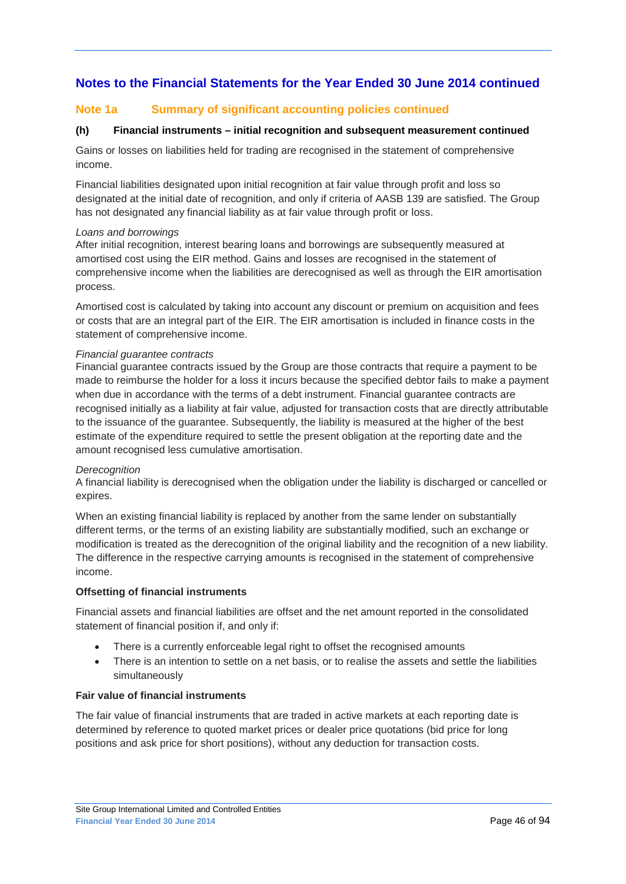## **Note 1a Summary of significant accounting policies continued**

### **(h) Financial instruments – initial recognition and subsequent measurement continued**

Gains or losses on liabilities held for trading are recognised in the statement of comprehensive income.

Financial liabilities designated upon initial recognition at fair value through profit and loss so designated at the initial date of recognition, and only if criteria of AASB 139 are satisfied. The Group has not designated any financial liability as at fair value through profit or loss.

### *Loans and borrowings*

After initial recognition, interest bearing loans and borrowings are subsequently measured at amortised cost using the EIR method. Gains and losses are recognised in the statement of comprehensive income when the liabilities are derecognised as well as through the EIR amortisation process.

Amortised cost is calculated by taking into account any discount or premium on acquisition and fees or costs that are an integral part of the EIR. The EIR amortisation is included in finance costs in the statement of comprehensive income.

### *Financial guarantee contracts*

Financial guarantee contracts issued by the Group are those contracts that require a payment to be made to reimburse the holder for a loss it incurs because the specified debtor fails to make a payment when due in accordance with the terms of a debt instrument. Financial guarantee contracts are recognised initially as a liability at fair value, adjusted for transaction costs that are directly attributable to the issuance of the guarantee. Subsequently, the liability is measured at the higher of the best estimate of the expenditure required to settle the present obligation at the reporting date and the amount recognised less cumulative amortisation.

#### *Derecognition*

A financial liability is derecognised when the obligation under the liability is discharged or cancelled or expires.

When an existing financial liability is replaced by another from the same lender on substantially different terms, or the terms of an existing liability are substantially modified, such an exchange or modification is treated as the derecognition of the original liability and the recognition of a new liability. The difference in the respective carrying amounts is recognised in the statement of comprehensive income.

### **Offsetting of financial instruments**

Financial assets and financial liabilities are offset and the net amount reported in the consolidated statement of financial position if, and only if:

- There is a currently enforceable legal right to offset the recognised amounts
- There is an intention to settle on a net basis, or to realise the assets and settle the liabilities simultaneously

#### **Fair value of financial instruments**

The fair value of financial instruments that are traded in active markets at each reporting date is determined by reference to quoted market prices or dealer price quotations (bid price for long positions and ask price for short positions), without any deduction for transaction costs.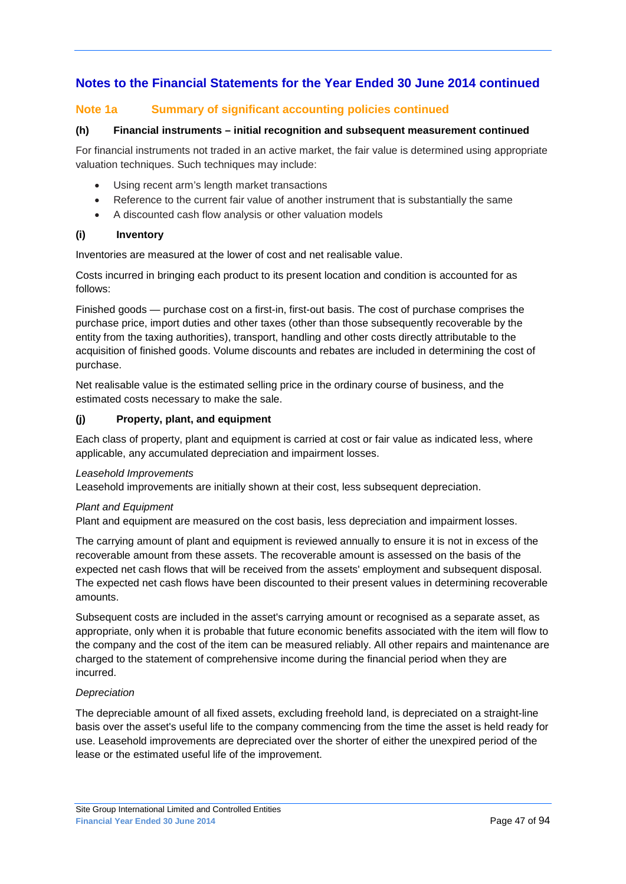## **Note 1a Summary of significant accounting policies continued**

### **(h) Financial instruments – initial recognition and subsequent measurement continued**

For financial instruments not traded in an active market, the fair value is determined using appropriate valuation techniques. Such techniques may include:

- Using recent arm's length market transactions
- Reference to the current fair value of another instrument that is substantially the same
- A discounted cash flow analysis or other valuation models

### **(i) Inventory**

Inventories are measured at the lower of cost and net realisable value.

Costs incurred in bringing each product to its present location and condition is accounted for as follows:

Finished goods — purchase cost on a first-in, first-out basis. The cost of purchase comprises the purchase price, import duties and other taxes (other than those subsequently recoverable by the entity from the taxing authorities), transport, handling and other costs directly attributable to the acquisition of finished goods. Volume discounts and rebates are included in determining the cost of purchase.

Net realisable value is the estimated selling price in the ordinary course of business, and the estimated costs necessary to make the sale.

### **(j) Property, plant, and equipment**

Each class of property, plant and equipment is carried at cost or fair value as indicated less, where applicable, any accumulated depreciation and impairment losses.

#### *Leasehold Improvements*

Leasehold improvements are initially shown at their cost, less subsequent depreciation.

#### *Plant and Equipment*

Plant and equipment are measured on the cost basis, less depreciation and impairment losses.

The carrying amount of plant and equipment is reviewed annually to ensure it is not in excess of the recoverable amount from these assets. The recoverable amount is assessed on the basis of the expected net cash flows that will be received from the assets' employment and subsequent disposal. The expected net cash flows have been discounted to their present values in determining recoverable amounts.

Subsequent costs are included in the asset's carrying amount or recognised as a separate asset, as appropriate, only when it is probable that future economic benefits associated with the item will flow to the company and the cost of the item can be measured reliably. All other repairs and maintenance are charged to the statement of comprehensive income during the financial period when they are incurred.

### *Depreciation*

The depreciable amount of all fixed assets, excluding freehold land, is depreciated on a straight-line basis over the asset's useful life to the company commencing from the time the asset is held ready for use. Leasehold improvements are depreciated over the shorter of either the unexpired period of the lease or the estimated useful life of the improvement.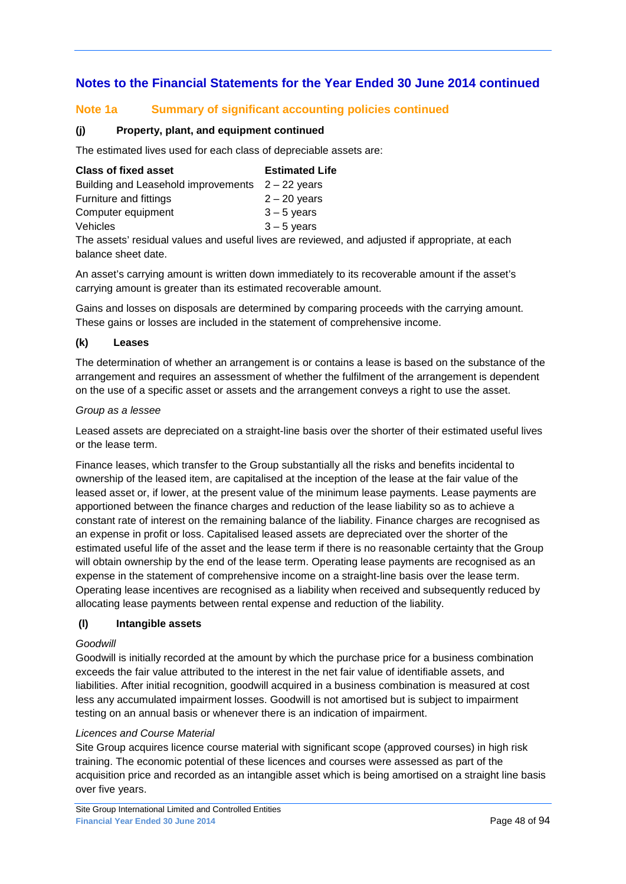## **Note 1a Summary of significant accounting policies continued**

## **(j) Property, plant, and equipment continued**

The estimated lives used for each class of depreciable assets are:

| <b>Class of fixed asset</b>                        | <b>Estimated Life</b> |
|----------------------------------------------------|-----------------------|
| Building and Leasehold improvements $2 - 22$ years |                       |
| Furniture and fittings                             | $2 - 20$ years        |
| Computer equipment                                 | $3 - 5$ years         |
| Vehicles                                           | $3 - 5$ years         |
|                                                    |                       |

The assets' residual values and useful lives are reviewed, and adjusted if appropriate, at each balance sheet date.

An asset's carrying amount is written down immediately to its recoverable amount if the asset's carrying amount is greater than its estimated recoverable amount.

Gains and losses on disposals are determined by comparing proceeds with the carrying amount. These gains or losses are included in the statement of comprehensive income.

### **(k) Leases**

The determination of whether an arrangement is or contains a lease is based on the substance of the arrangement and requires an assessment of whether the fulfilment of the arrangement is dependent on the use of a specific asset or assets and the arrangement conveys a right to use the asset.

### *Group as a lessee*

Leased assets are depreciated on a straight-line basis over the shorter of their estimated useful lives or the lease term.

Finance leases, which transfer to the Group substantially all the risks and benefits incidental to ownership of the leased item, are capitalised at the inception of the lease at the fair value of the leased asset or, if lower, at the present value of the minimum lease payments. Lease payments are apportioned between the finance charges and reduction of the lease liability so as to achieve a constant rate of interest on the remaining balance of the liability. Finance charges are recognised as an expense in profit or loss. Capitalised leased assets are depreciated over the shorter of the estimated useful life of the asset and the lease term if there is no reasonable certainty that the Group will obtain ownership by the end of the lease term. Operating lease payments are recognised as an expense in the statement of comprehensive income on a straight-line basis over the lease term. Operating lease incentives are recognised as a liability when received and subsequently reduced by allocating lease payments between rental expense and reduction of the liability.

### **(l) Intangible assets**

### *Goodwill*

Goodwill is initially recorded at the amount by which the purchase price for a business combination exceeds the fair value attributed to the interest in the net fair value of identifiable assets, and liabilities. After initial recognition, goodwill acquired in a business combination is measured at cost less any accumulated impairment losses. Goodwill is not amortised but is subject to impairment testing on an annual basis or whenever there is an indication of impairment.

### *Licences and Course Material*

Site Group acquires licence course material with significant scope (approved courses) in high risk training. The economic potential of these licences and courses were assessed as part of the acquisition price and recorded as an intangible asset which is being amortised on a straight line basis over five years.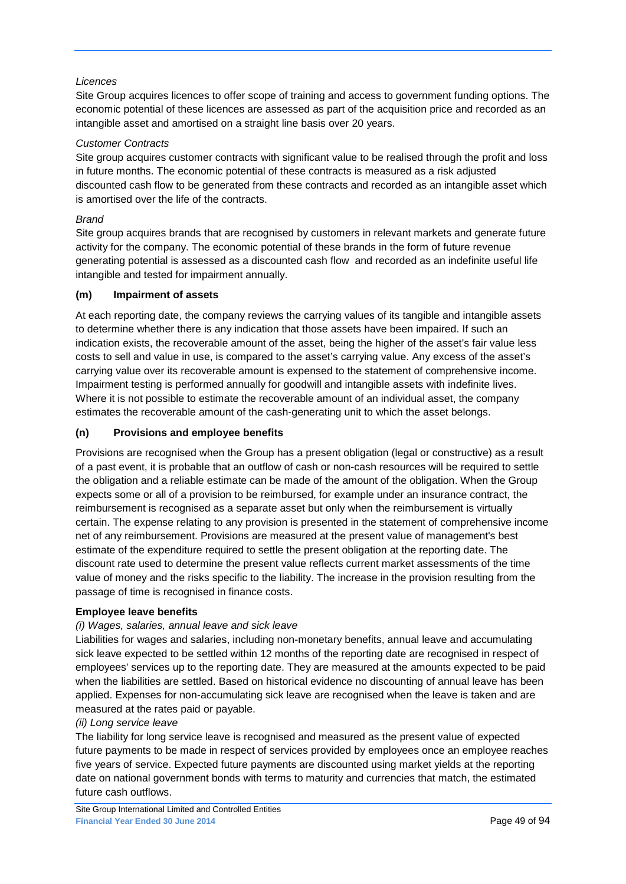### *Licences*

Site Group acquires licences to offer scope of training and access to government funding options. The economic potential of these licences are assessed as part of the acquisition price and recorded as an intangible asset and amortised on a straight line basis over 20 years.

### *Customer Contracts*

Site group acquires customer contracts with significant value to be realised through the profit and loss in future months. The economic potential of these contracts is measured as a risk adjusted discounted cash flow to be generated from these contracts and recorded as an intangible asset which is amortised over the life of the contracts.

### *Brand*

Site group acquires brands that are recognised by customers in relevant markets and generate future activity for the company. The economic potential of these brands in the form of future revenue generating potential is assessed as a discounted cash flow and recorded as an indefinite useful life intangible and tested for impairment annually.

### **(m) Impairment of assets**

At each reporting date, the company reviews the carrying values of its tangible and intangible assets to determine whether there is any indication that those assets have been impaired. If such an indication exists, the recoverable amount of the asset, being the higher of the asset's fair value less costs to sell and value in use, is compared to the asset's carrying value. Any excess of the asset's carrying value over its recoverable amount is expensed to the statement of comprehensive income. Impairment testing is performed annually for goodwill and intangible assets with indefinite lives. Where it is not possible to estimate the recoverable amount of an individual asset, the company estimates the recoverable amount of the cash-generating unit to which the asset belongs.

### **(n) Provisions and employee benefits**

Provisions are recognised when the Group has a present obligation (legal or constructive) as a result of a past event, it is probable that an outflow of cash or non-cash resources will be required to settle the obligation and a reliable estimate can be made of the amount of the obligation. When the Group expects some or all of a provision to be reimbursed, for example under an insurance contract, the reimbursement is recognised as a separate asset but only when the reimbursement is virtually certain. The expense relating to any provision is presented in the statement of comprehensive income net of any reimbursement. Provisions are measured at the present value of management's best estimate of the expenditure required to settle the present obligation at the reporting date. The discount rate used to determine the present value reflects current market assessments of the time value of money and the risks specific to the liability. The increase in the provision resulting from the passage of time is recognised in finance costs.

#### **Employee leave benefits**

## *(i) Wages, salaries, annual leave and sick leave*

Liabilities for wages and salaries, including non-monetary benefits, annual leave and accumulating sick leave expected to be settled within 12 months of the reporting date are recognised in respect of employees' services up to the reporting date. They are measured at the amounts expected to be paid when the liabilities are settled. Based on historical evidence no discounting of annual leave has been applied. Expenses for non-accumulating sick leave are recognised when the leave is taken and are measured at the rates paid or payable.

### *(ii) Long service leave*

The liability for long service leave is recognised and measured as the present value of expected future payments to be made in respect of services provided by employees once an employee reaches five years of service. Expected future payments are discounted using market yields at the reporting date on national government bonds with terms to maturity and currencies that match, the estimated future cash outflows.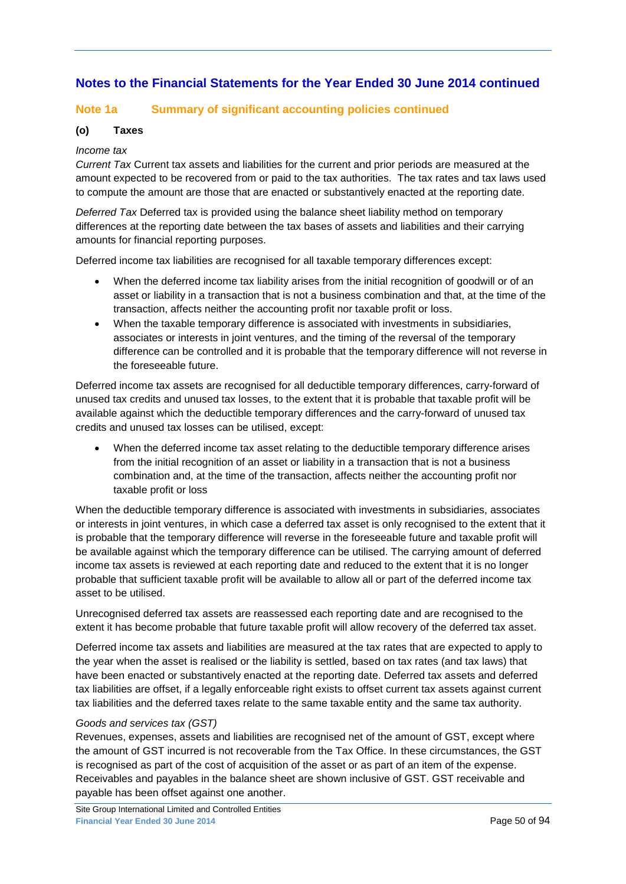## **Note 1a Summary of significant accounting policies continued**

### **(o) Taxes**

### *Income tax*

*Current Tax* Current tax assets and liabilities for the current and prior periods are measured at the amount expected to be recovered from or paid to the tax authorities. The tax rates and tax laws used to compute the amount are those that are enacted or substantively enacted at the reporting date.

*Deferred Tax* Deferred tax is provided using the balance sheet liability method on temporary differences at the reporting date between the tax bases of assets and liabilities and their carrying amounts for financial reporting purposes.

Deferred income tax liabilities are recognised for all taxable temporary differences except:

- When the deferred income tax liability arises from the initial recognition of goodwill or of an asset or liability in a transaction that is not a business combination and that, at the time of the transaction, affects neither the accounting profit nor taxable profit or loss.
- When the taxable temporary difference is associated with investments in subsidiaries, associates or interests in joint ventures, and the timing of the reversal of the temporary difference can be controlled and it is probable that the temporary difference will not reverse in the foreseeable future.

Deferred income tax assets are recognised for all deductible temporary differences, carry-forward of unused tax credits and unused tax losses, to the extent that it is probable that taxable profit will be available against which the deductible temporary differences and the carry-forward of unused tax credits and unused tax losses can be utilised, except:

• When the deferred income tax asset relating to the deductible temporary difference arises from the initial recognition of an asset or liability in a transaction that is not a business combination and, at the time of the transaction, affects neither the accounting profit nor taxable profit or loss

When the deductible temporary difference is associated with investments in subsidiaries, associates or interests in joint ventures, in which case a deferred tax asset is only recognised to the extent that it is probable that the temporary difference will reverse in the foreseeable future and taxable profit will be available against which the temporary difference can be utilised. The carrying amount of deferred income tax assets is reviewed at each reporting date and reduced to the extent that it is no longer probable that sufficient taxable profit will be available to allow all or part of the deferred income tax asset to be utilised.

Unrecognised deferred tax assets are reassessed each reporting date and are recognised to the extent it has become probable that future taxable profit will allow recovery of the deferred tax asset.

Deferred income tax assets and liabilities are measured at the tax rates that are expected to apply to the year when the asset is realised or the liability is settled, based on tax rates (and tax laws) that have been enacted or substantively enacted at the reporting date. Deferred tax assets and deferred tax liabilities are offset, if a legally enforceable right exists to offset current tax assets against current tax liabilities and the deferred taxes relate to the same taxable entity and the same tax authority.

### *Goods and services tax (GST)*

Revenues, expenses, assets and liabilities are recognised net of the amount of GST, except where the amount of GST incurred is not recoverable from the Tax Office. In these circumstances, the GST is recognised as part of the cost of acquisition of the asset or as part of an item of the expense. Receivables and payables in the balance sheet are shown inclusive of GST. GST receivable and payable has been offset against one another.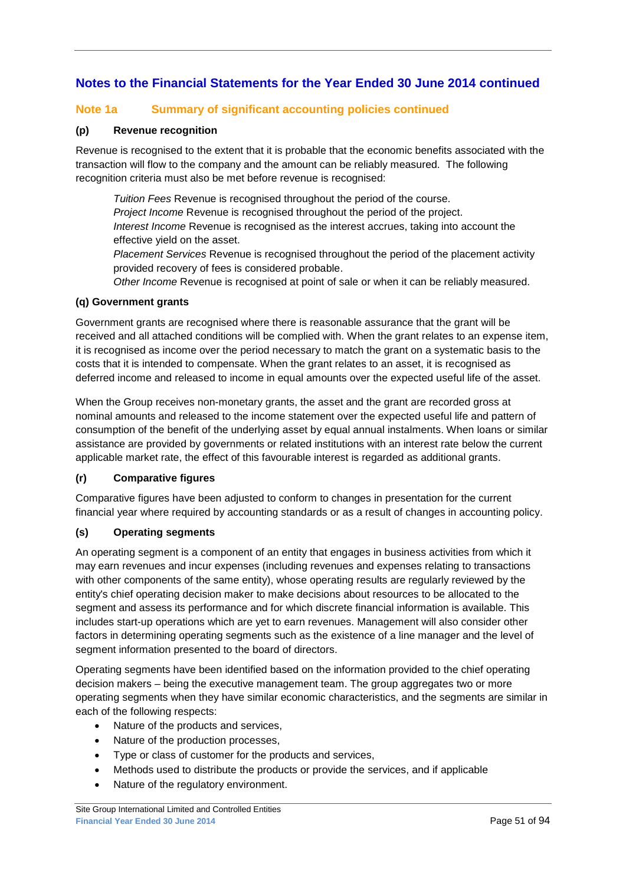## **Note 1a Summary of significant accounting policies continued**

## **(p) Revenue recognition**

Revenue is recognised to the extent that it is probable that the economic benefits associated with the transaction will flow to the company and the amount can be reliably measured. The following recognition criteria must also be met before revenue is recognised:

*Tuition Fees* Revenue is recognised throughout the period of the course. *Project Income* Revenue is recognised throughout the period of the project. *Interest Income* Revenue is recognised as the interest accrues, taking into account the effective yield on the asset.

*Placement Services* Revenue is recognised throughout the period of the placement activity provided recovery of fees is considered probable.

*Other Income* Revenue is recognised at point of sale or when it can be reliably measured.

### **(q) Government grants**

Government grants are recognised where there is reasonable assurance that the grant will be received and all attached conditions will be complied with. When the grant relates to an expense item, it is recognised as income over the period necessary to match the grant on a systematic basis to the costs that it is intended to compensate. When the grant relates to an asset, it is recognised as deferred income and released to income in equal amounts over the expected useful life of the asset.

When the Group receives non-monetary grants, the asset and the grant are recorded gross at nominal amounts and released to the income statement over the expected useful life and pattern of consumption of the benefit of the underlying asset by equal annual instalments. When loans or similar assistance are provided by governments or related institutions with an interest rate below the current applicable market rate, the effect of this favourable interest is regarded as additional grants.

### **(r) Comparative figures**

Comparative figures have been adjusted to conform to changes in presentation for the current financial year where required by accounting standards or as a result of changes in accounting policy.

## **(s) Operating segments**

An operating segment is a component of an entity that engages in business activities from which it may earn revenues and incur expenses (including revenues and expenses relating to transactions with other components of the same entity), whose operating results are regularly reviewed by the entity's chief operating decision maker to make decisions about resources to be allocated to the segment and assess its performance and for which discrete financial information is available. This includes start-up operations which are yet to earn revenues. Management will also consider other factors in determining operating segments such as the existence of a line manager and the level of segment information presented to the board of directors.

Operating segments have been identified based on the information provided to the chief operating decision makers – being the executive management team. The group aggregates two or more operating segments when they have similar economic characteristics, and the segments are similar in each of the following respects:

- Nature of the products and services,
- Nature of the production processes,
- Type or class of customer for the products and services,
- Methods used to distribute the products or provide the services, and if applicable
- Nature of the regulatory environment.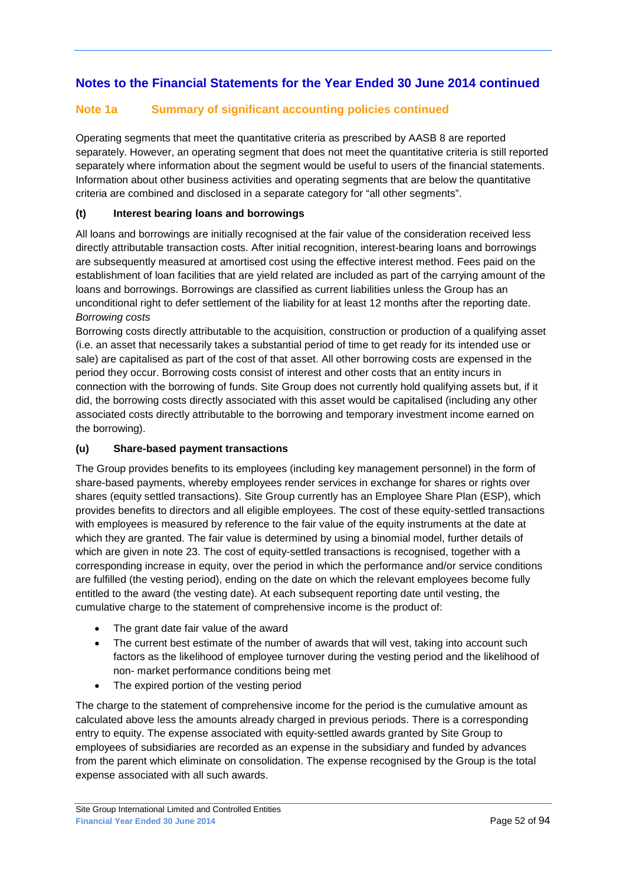# **Note 1a Summary of significant accounting policies continued**

Operating segments that meet the quantitative criteria as prescribed by AASB 8 are reported separately. However, an operating segment that does not meet the quantitative criteria is still reported separately where information about the segment would be useful to users of the financial statements. Information about other business activities and operating segments that are below the quantitative criteria are combined and disclosed in a separate category for "all other segments".

## **(t) Interest bearing loans and borrowings**

All loans and borrowings are initially recognised at the fair value of the consideration received less directly attributable transaction costs. After initial recognition, interest-bearing loans and borrowings are subsequently measured at amortised cost using the effective interest method. Fees paid on the establishment of loan facilities that are yield related are included as part of the carrying amount of the loans and borrowings. Borrowings are classified as current liabilities unless the Group has an unconditional right to defer settlement of the liability for at least 12 months after the reporting date. *Borrowing costs*

Borrowing costs directly attributable to the acquisition, construction or production of a qualifying asset (i.e. an asset that necessarily takes a substantial period of time to get ready for its intended use or sale) are capitalised as part of the cost of that asset. All other borrowing costs are expensed in the period they occur. Borrowing costs consist of interest and other costs that an entity incurs in connection with the borrowing of funds. Site Group does not currently hold qualifying assets but, if it did, the borrowing costs directly associated with this asset would be capitalised (including any other associated costs directly attributable to the borrowing and temporary investment income earned on the borrowing).

## **(u) Share-based payment transactions**

The Group provides benefits to its employees (including key management personnel) in the form of share-based payments, whereby employees render services in exchange for shares or rights over shares (equity settled transactions). Site Group currently has an Employee Share Plan (ESP), which provides benefits to directors and all eligible employees. The cost of these equity-settled transactions with employees is measured by reference to the fair value of the equity instruments at the date at which they are granted. The fair value is determined by using a binomial model, further details of which are given in note 23. The cost of equity-settled transactions is recognised, together with a corresponding increase in equity, over the period in which the performance and/or service conditions are fulfilled (the vesting period), ending on the date on which the relevant employees become fully entitled to the award (the vesting date). At each subsequent reporting date until vesting, the cumulative charge to the statement of comprehensive income is the product of:

- The grant date fair value of the award
- The current best estimate of the number of awards that will vest, taking into account such factors as the likelihood of employee turnover during the vesting period and the likelihood of non- market performance conditions being met
- The expired portion of the vesting period

The charge to the statement of comprehensive income for the period is the cumulative amount as calculated above less the amounts already charged in previous periods. There is a corresponding entry to equity. The expense associated with equity-settled awards granted by Site Group to employees of subsidiaries are recorded as an expense in the subsidiary and funded by advances from the parent which eliminate on consolidation. The expense recognised by the Group is the total expense associated with all such awards.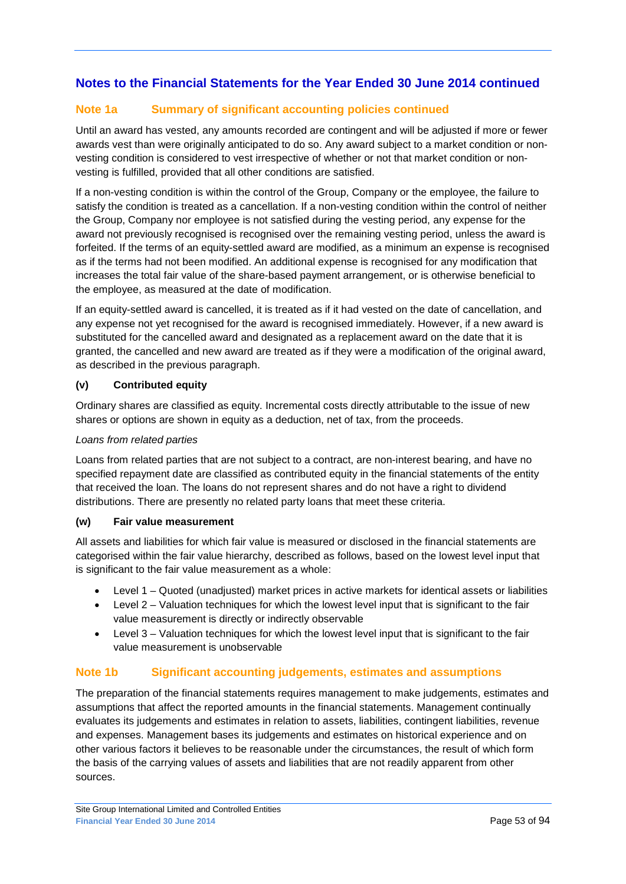# **Note 1a Summary of significant accounting policies continued**

Until an award has vested, any amounts recorded are contingent and will be adjusted if more or fewer awards vest than were originally anticipated to do so. Any award subject to a market condition or nonvesting condition is considered to vest irrespective of whether or not that market condition or nonvesting is fulfilled, provided that all other conditions are satisfied.

If a non-vesting condition is within the control of the Group, Company or the employee, the failure to satisfy the condition is treated as a cancellation. If a non-vesting condition within the control of neither the Group, Company nor employee is not satisfied during the vesting period, any expense for the award not previously recognised is recognised over the remaining vesting period, unless the award is forfeited. If the terms of an equity-settled award are modified, as a minimum an expense is recognised as if the terms had not been modified. An additional expense is recognised for any modification that increases the total fair value of the share-based payment arrangement, or is otherwise beneficial to the employee, as measured at the date of modification.

If an equity-settled award is cancelled, it is treated as if it had vested on the date of cancellation, and any expense not yet recognised for the award is recognised immediately. However, if a new award is substituted for the cancelled award and designated as a replacement award on the date that it is granted, the cancelled and new award are treated as if they were a modification of the original award, as described in the previous paragraph.

## **(v) Contributed equity**

Ordinary shares are classified as equity. Incremental costs directly attributable to the issue of new shares or options are shown in equity as a deduction, net of tax, from the proceeds.

### *Loans from related parties*

Loans from related parties that are not subject to a contract, are non-interest bearing, and have no specified repayment date are classified as contributed equity in the financial statements of the entity that received the loan. The loans do not represent shares and do not have a right to dividend distributions. There are presently no related party loans that meet these criteria.

### **(w) Fair value measurement**

All assets and liabilities for which fair value is measured or disclosed in the financial statements are categorised within the fair value hierarchy, described as follows, based on the lowest level input that is significant to the fair value measurement as a whole:

- Level 1 Quoted (unadjusted) market prices in active markets for identical assets or liabilities
- Level 2 Valuation techniques for which the lowest level input that is significant to the fair value measurement is directly or indirectly observable
- Level 3 Valuation techniques for which the lowest level input that is significant to the fair value measurement is unobservable

## **Note 1b Significant accounting judgements, estimates and assumptions**

The preparation of the financial statements requires management to make judgements, estimates and assumptions that affect the reported amounts in the financial statements. Management continually evaluates its judgements and estimates in relation to assets, liabilities, contingent liabilities, revenue and expenses. Management bases its judgements and estimates on historical experience and on other various factors it believes to be reasonable under the circumstances, the result of which form the basis of the carrying values of assets and liabilities that are not readily apparent from other sources.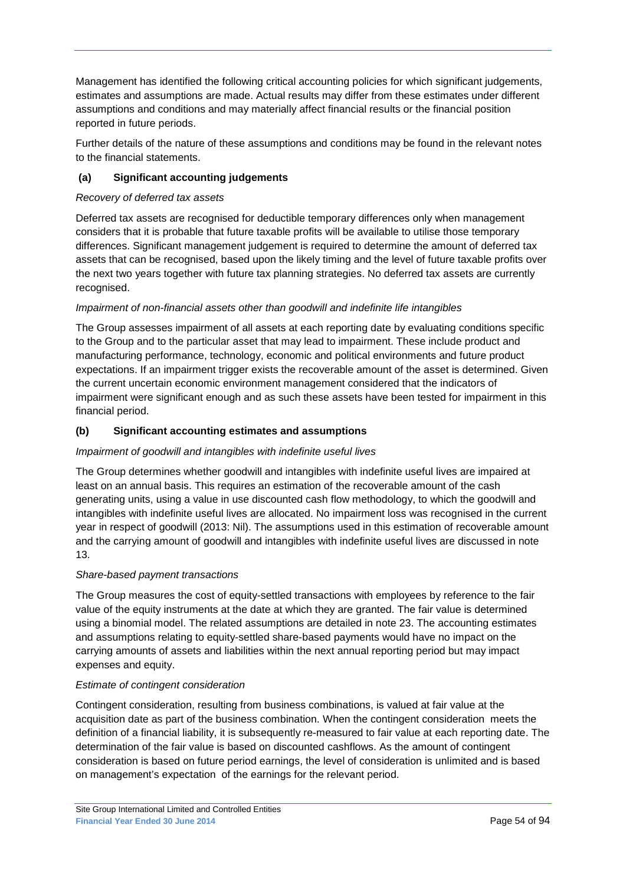Management has identified the following critical accounting policies for which significant judgements, estimates and assumptions are made. Actual results may differ from these estimates under different assumptions and conditions and may materially affect financial results or the financial position reported in future periods.

Further details of the nature of these assumptions and conditions may be found in the relevant notes to the financial statements.

## **(a) Significant accounting judgements**

## *Recovery of deferred tax assets*

Deferred tax assets are recognised for deductible temporary differences only when management considers that it is probable that future taxable profits will be available to utilise those temporary differences. Significant management judgement is required to determine the amount of deferred tax assets that can be recognised, based upon the likely timing and the level of future taxable profits over the next two years together with future tax planning strategies. No deferred tax assets are currently recognised.

## *Impairment of non-financial assets other than goodwill and indefinite life intangibles*

The Group assesses impairment of all assets at each reporting date by evaluating conditions specific to the Group and to the particular asset that may lead to impairment. These include product and manufacturing performance, technology, economic and political environments and future product expectations. If an impairment trigger exists the recoverable amount of the asset is determined. Given the current uncertain economic environment management considered that the indicators of impairment were significant enough and as such these assets have been tested for impairment in this financial period.

## **(b) Significant accounting estimates and assumptions**

### *Impairment of goodwill and intangibles with indefinite useful lives*

The Group determines whether goodwill and intangibles with indefinite useful lives are impaired at least on an annual basis. This requires an estimation of the recoverable amount of the cash generating units, using a value in use discounted cash flow methodology, to which the goodwill and intangibles with indefinite useful lives are allocated. No impairment loss was recognised in the current year in respect of goodwill (2013: Nil). The assumptions used in this estimation of recoverable amount and the carrying amount of goodwill and intangibles with indefinite useful lives are discussed in note 13.

### *Share-based payment transactions*

The Group measures the cost of equity-settled transactions with employees by reference to the fair value of the equity instruments at the date at which they are granted. The fair value is determined using a binomial model. The related assumptions are detailed in note 23. The accounting estimates and assumptions relating to equity-settled share-based payments would have no impact on the carrying amounts of assets and liabilities within the next annual reporting period but may impact expenses and equity.

### *Estimate of contingent consideration*

Contingent consideration, resulting from business combinations, is valued at fair value at the acquisition date as part of the business combination. When the contingent consideration meets the definition of a financial liability, it is subsequently re-measured to fair value at each reporting date. The determination of the fair value is based on discounted cashflows. As the amount of contingent consideration is based on future period earnings, the level of consideration is unlimited and is based on management's expectation of the earnings for the relevant period.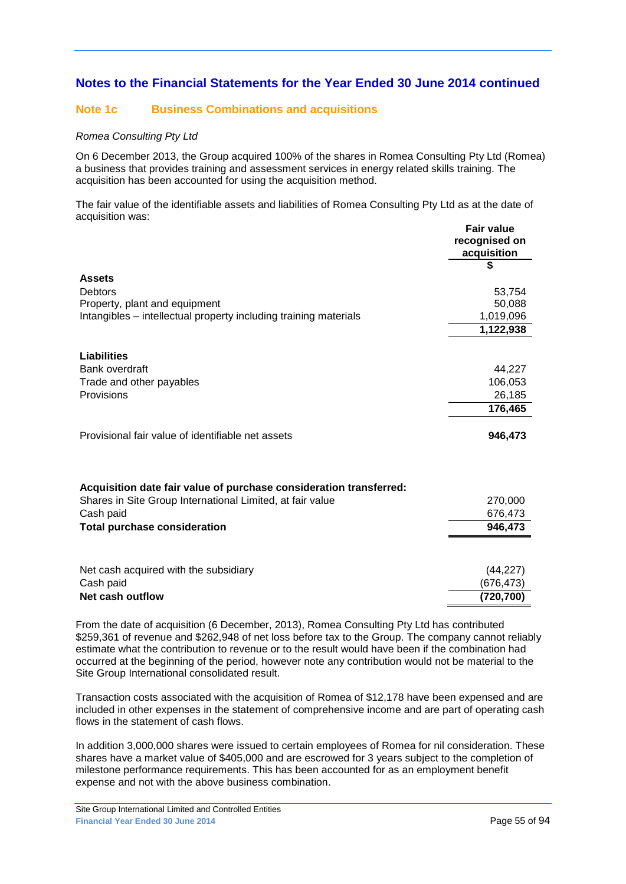### **Note 1c Business Combinations and acquisitions**

#### *Romea Consulting Pty Ltd*

On 6 December 2013, the Group acquired 100% of the shares in Romea Consulting Pty Ltd (Romea) a business that provides training and assessment services in energy related skills training. The acquisition has been accounted for using the acquisition method.

The fair value of the identifiable assets and liabilities of Romea Consulting Pty Ltd as at the date of acquisition was:

|                                                                    | Fair value<br>recognised on |
|--------------------------------------------------------------------|-----------------------------|
|                                                                    | acquisition                 |
| <b>Assets</b>                                                      | \$                          |
| Debtors                                                            |                             |
| Property, plant and equipment                                      | 53,754<br>50,088            |
| Intangibles – intellectual property including training materials   | 1,019,096                   |
|                                                                    | 1,122,938                   |
|                                                                    |                             |
| <b>Liabilities</b>                                                 |                             |
| Bank overdraft                                                     | 44,227                      |
| Trade and other payables                                           | 106,053                     |
| Provisions                                                         | 26,185                      |
|                                                                    | 176,465                     |
|                                                                    |                             |
| Provisional fair value of identifiable net assets                  | 946,473                     |
|                                                                    |                             |
|                                                                    |                             |
|                                                                    |                             |
| Acquisition date fair value of purchase consideration transferred: |                             |
| Shares in Site Group International Limited, at fair value          | 270,000                     |
| Cash paid                                                          | 676,473                     |
| <b>Total purchase consideration</b>                                | 946,473                     |
|                                                                    |                             |
|                                                                    |                             |
| Net cash acquired with the subsidiary                              | (44, 227)                   |
| Cash paid                                                          | (676,473)                   |
| <b>Net cash outflow</b>                                            | (720,700)                   |

From the date of acquisition (6 December, 2013), Romea Consulting Pty Ltd has contributed \$259,361 of revenue and \$262,948 of net loss before tax to the Group. The company cannot reliably estimate what the contribution to revenue or to the result would have been if the combination had occurred at the beginning of the period, however note any contribution would not be material to the Site Group International consolidated result.

Transaction costs associated with the acquisition of Romea of \$12,178 have been expensed and are included in other expenses in the statement of comprehensive income and are part of operating cash flows in the statement of cash flows.

In addition 3,000,000 shares were issued to certain employees of Romea for nil consideration. These shares have a market value of \$405,000 and are escrowed for 3 years subject to the completion of milestone performance requirements. This has been accounted for as an employment benefit expense and not with the above business combination.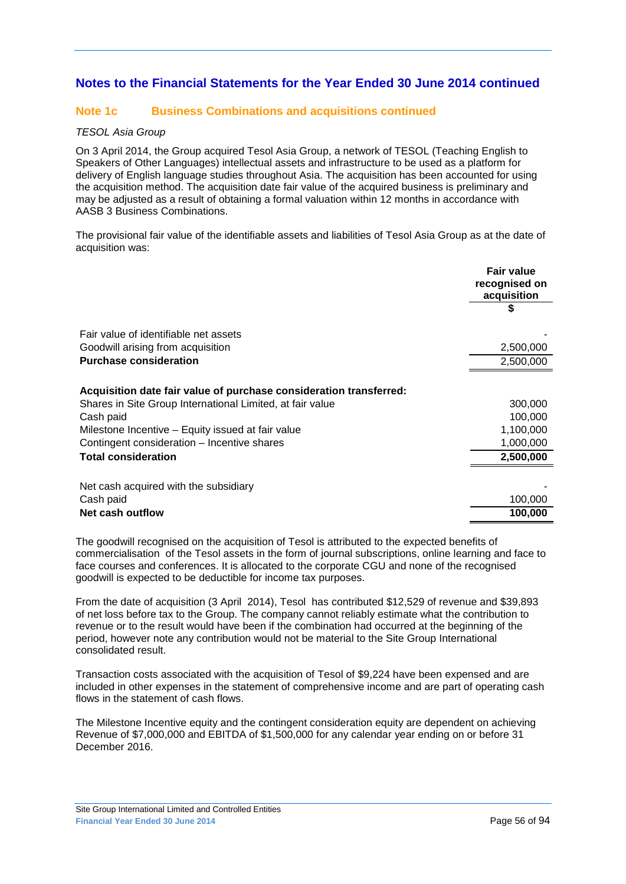## **Note 1c Business Combinations and acquisitions continued**

### *TESOL Asia Group*

On 3 April 2014, the Group acquired Tesol Asia Group, a network of TESOL (Teaching English to Speakers of Other Languages) intellectual assets and infrastructure to be used as a platform for delivery of English language studies throughout Asia. The acquisition has been accounted for using the acquisition method. The acquisition date fair value of the acquired business is preliminary and may be adjusted as a result of obtaining a formal valuation within 12 months in accordance with AASB 3 Business Combinations.

The provisional fair value of the identifiable assets and liabilities of Tesol Asia Group as at the date of acquisition was:

|                                                                    | <b>Fair value</b><br>recognised on<br>acquisition |
|--------------------------------------------------------------------|---------------------------------------------------|
|                                                                    | \$                                                |
| Fair value of identifiable net assets                              |                                                   |
| Goodwill arising from acquisition                                  | 2,500,000                                         |
| <b>Purchase consideration</b>                                      | 2,500,000                                         |
| Acquisition date fair value of purchase consideration transferred: |                                                   |
| Shares in Site Group International Limited, at fair value          | 300,000                                           |
| Cash paid                                                          | 100,000                                           |
| Milestone Incentive - Equity issued at fair value                  | 1,100,000                                         |
| Contingent consideration - Incentive shares                        | 1,000,000                                         |
| <b>Total consideration</b>                                         | 2,500,000                                         |
|                                                                    |                                                   |
| Net cash acquired with the subsidiary                              |                                                   |
| Cash paid                                                          | 100,000                                           |
| Net cash outflow                                                   | 100,000                                           |

The goodwill recognised on the acquisition of Tesol is attributed to the expected benefits of commercialisation of the Tesol assets in the form of journal subscriptions, online learning and face to face courses and conferences. It is allocated to the corporate CGU and none of the recognised goodwill is expected to be deductible for income tax purposes.

From the date of acquisition (3 April 2014), Tesol has contributed \$12,529 of revenue and \$39,893 of net loss before tax to the Group. The company cannot reliably estimate what the contribution to revenue or to the result would have been if the combination had occurred at the beginning of the period, however note any contribution would not be material to the Site Group International consolidated result.

Transaction costs associated with the acquisition of Tesol of \$9,224 have been expensed and are included in other expenses in the statement of comprehensive income and are part of operating cash flows in the statement of cash flows.

The Milestone Incentive equity and the contingent consideration equity are dependent on achieving Revenue of \$7,000,000 and EBITDA of \$1,500,000 for any calendar year ending on or before 31 December 2016.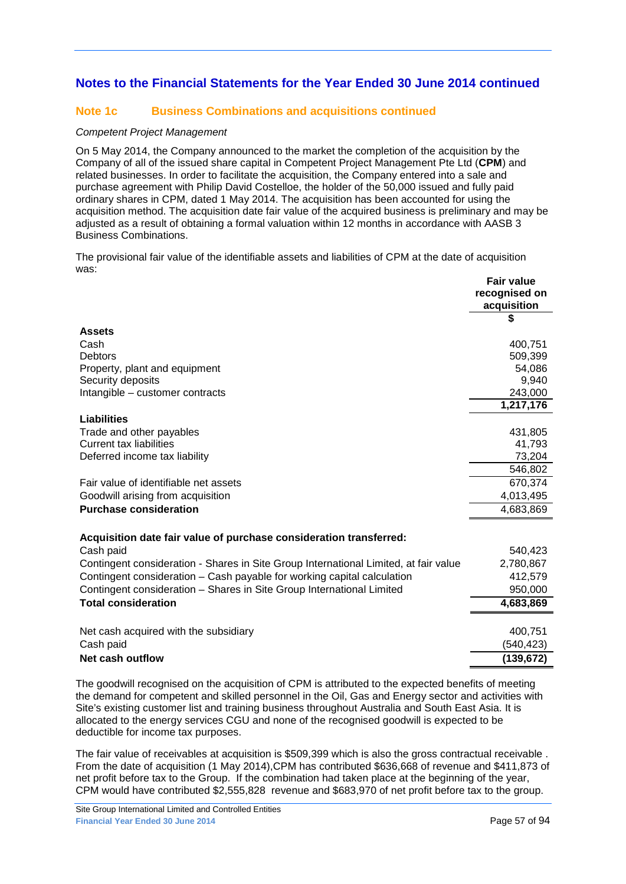## **Note 1c Business Combinations and acquisitions continued**

#### *Competent Project Management*

On 5 May 2014, the Company announced to the market the completion of the acquisition by the Company of all of the issued share capital in Competent Project Management Pte Ltd (**CPM**) and related businesses. In order to facilitate the acquisition, the Company entered into a sale and purchase agreement with Philip David Costelloe, the holder of the 50,000 issued and fully paid ordinary shares in CPM, dated 1 May 2014. The acquisition has been accounted for using the acquisition method. The acquisition date fair value of the acquired business is preliminary and may be adjusted as a result of obtaining a formal valuation within 12 months in accordance with AASB 3 Business Combinations.

The provisional fair value of the identifiable assets and liabilities of CPM at the date of acquisition was:

|                                                                                      | Fair value    |
|--------------------------------------------------------------------------------------|---------------|
|                                                                                      | recognised on |
|                                                                                      | acquisition   |
|                                                                                      |               |
| <b>Assets</b>                                                                        |               |
| Cash                                                                                 | 400,751       |
| Debtors                                                                              | 509,399       |
| Property, plant and equipment                                                        | 54,086        |
| Security deposits                                                                    | 9,940         |
| Intangible - customer contracts                                                      | 243,000       |
|                                                                                      | 1,217,176     |
| Liabilities                                                                          |               |
| Trade and other payables                                                             | 431,805       |
| <b>Current tax liabilities</b>                                                       | 41,793        |
| Deferred income tax liability                                                        | 73,204        |
|                                                                                      | 546,802       |
| Fair value of identifiable net assets                                                | 670,374       |
| Goodwill arising from acquisition                                                    | 4,013,495     |
| <b>Purchase consideration</b>                                                        | 4,683,869     |
| Acquisition date fair value of purchase consideration transferred:                   |               |
| Cash paid                                                                            | 540,423       |
| Contingent consideration - Shares in Site Group International Limited, at fair value | 2,780,867     |
| Contingent consideration - Cash payable for working capital calculation              | 412,579       |
| Contingent consideration - Shares in Site Group International Limited                | 950,000       |
| <b>Total consideration</b>                                                           | 4,683,869     |
|                                                                                      |               |
| Net cash acquired with the subsidiary                                                | 400,751       |
| Cash paid                                                                            | (540, 423)    |
| <b>Net cash outflow</b>                                                              | (139, 672)    |
|                                                                                      |               |

The goodwill recognised on the acquisition of CPM is attributed to the expected benefits of meeting the demand for competent and skilled personnel in the Oil, Gas and Energy sector and activities with Site's existing customer list and training business throughout Australia and South East Asia. It is allocated to the energy services CGU and none of the recognised goodwill is expected to be deductible for income tax purposes.

The fair value of receivables at acquisition is \$509,399 which is also the gross contractual receivable . From the date of acquisition (1 May 2014),CPM has contributed \$636,668 of revenue and \$411,873 of net profit before tax to the Group. If the combination had taken place at the beginning of the year, CPM would have contributed \$2,555,828 revenue and \$683,970 of net profit before tax to the group.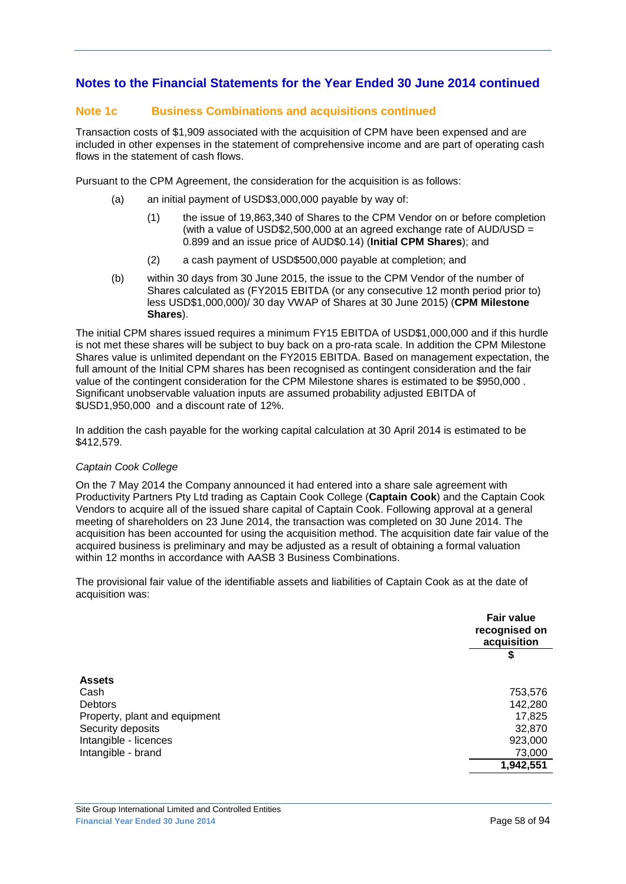## **Note 1c Business Combinations and acquisitions continued**

Transaction costs of \$1,909 associated with the acquisition of CPM have been expensed and are included in other expenses in the statement of comprehensive income and are part of operating cash flows in the statement of cash flows.

Pursuant to the CPM Agreement, the consideration for the acquisition is as follows:

- (a) an initial payment of USD\$3,000,000 payable by way of:
	- (1) the issue of 19,863,340 of Shares to the CPM Vendor on or before completion (with a value of USD\$2,500,000 at an agreed exchange rate of AUD/USD = 0.899 and an issue price of AUD\$0.14) (**Initial CPM Shares**); and
	- (2) a cash payment of USD\$500,000 payable at completion; and
- (b) within 30 days from 30 June 2015, the issue to the CPM Vendor of the number of Shares calculated as (FY2015 EBITDA (or any consecutive 12 month period prior to) less USD\$1,000,000)/ 30 day VWAP of Shares at 30 June 2015) (**CPM Milestone Shares**).

The initial CPM shares issued requires a minimum FY15 EBITDA of USD\$1,000,000 and if this hurdle is not met these shares will be subject to buy back on a pro-rata scale. In addition the CPM Milestone Shares value is unlimited dependant on the FY2015 EBITDA. Based on management expectation, the full amount of the Initial CPM shares has been recognised as contingent consideration and the fair value of the contingent consideration for the CPM Milestone shares is estimated to be \$950,000 . Significant unobservable valuation inputs are assumed probability adjusted EBITDA of \$USD1,950,000 and a discount rate of 12%.

In addition the cash payable for the working capital calculation at 30 April 2014 is estimated to be \$412,579.

### *Captain Cook College*

On the 7 May 2014 the Company announced it had entered into a share sale agreement with Productivity Partners Pty Ltd trading as Captain Cook College (**Captain Cook**) and the Captain Cook Vendors to acquire all of the issued share capital of Captain Cook. Following approval at a general meeting of shareholders on 23 June 2014, the transaction was completed on 30 June 2014. The acquisition has been accounted for using the acquisition method. The acquisition date fair value of the acquired business is preliminary and may be adjusted as a result of obtaining a formal valuation within 12 months in accordance with AASB 3 Business Combinations.

The provisional fair value of the identifiable assets and liabilities of Captain Cook as at the date of acquisition was:

|                               | <b>Fair value</b><br>recognised on<br>acquisition |
|-------------------------------|---------------------------------------------------|
|                               | \$                                                |
| <b>Assets</b>                 |                                                   |
| Cash                          | 753,576                                           |
| <b>Debtors</b>                | 142,280                                           |
| Property, plant and equipment | 17,825                                            |
| Security deposits             | 32,870                                            |
| Intangible - licences         | 923,000                                           |
| Intangible - brand            | 73,000                                            |
|                               | 1,942,551                                         |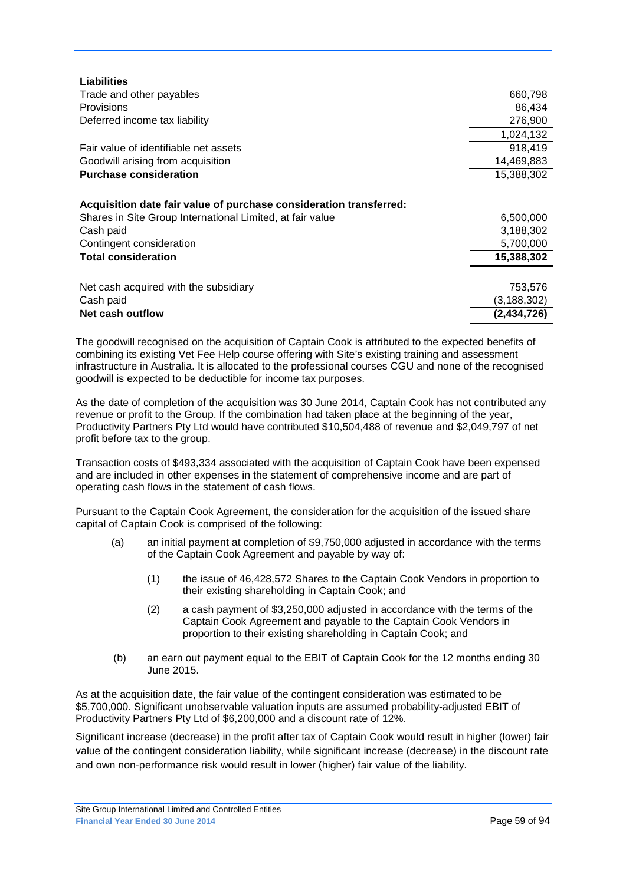| Liabilities                                                            |                        |
|------------------------------------------------------------------------|------------------------|
| Trade and other payables                                               | 660,798                |
| Provisions                                                             | 86.434                 |
| Deferred income tax liability                                          | 276,900                |
|                                                                        | 1,024,132              |
| Fair value of identifiable net assets                                  | 918,419                |
| Goodwill arising from acquisition                                      | 14,469,883             |
| <b>Purchase consideration</b>                                          | 15,388,302             |
| Acquisition date fair value of purchase consideration transferred:     |                        |
| Shares in Site Group International Limited, at fair value<br>Cash paid | 6,500,000<br>3,188,302 |
| Contingent consideration                                               | 5,700,000              |
| <b>Total consideration</b>                                             | 15,388,302             |
|                                                                        |                        |
| Net cash acquired with the subsidiary                                  | 753,576                |
| Cash paid                                                              | (3, 188, 302)          |
| Net cash outflow                                                       | (2, 434, 726)          |

The goodwill recognised on the acquisition of Captain Cook is attributed to the expected benefits of combining its existing Vet Fee Help course offering with Site's existing training and assessment infrastructure in Australia. It is allocated to the professional courses CGU and none of the recognised goodwill is expected to be deductible for income tax purposes.

As the date of completion of the acquisition was 30 June 2014, Captain Cook has not contributed any revenue or profit to the Group. If the combination had taken place at the beginning of the year, Productivity Partners Pty Ltd would have contributed \$10,504,488 of revenue and \$2,049,797 of net profit before tax to the group.

Transaction costs of \$493,334 associated with the acquisition of Captain Cook have been expensed and are included in other expenses in the statement of comprehensive income and are part of operating cash flows in the statement of cash flows.

Pursuant to the Captain Cook Agreement, the consideration for the acquisition of the issued share capital of Captain Cook is comprised of the following:

- (a) an initial payment at completion of \$9,750,000 adjusted in accordance with the terms of the Captain Cook Agreement and payable by way of:
	- (1) the issue of 46,428,572 Shares to the Captain Cook Vendors in proportion to their existing shareholding in Captain Cook; and
	- (2) a cash payment of \$3,250,000 adjusted in accordance with the terms of the Captain Cook Agreement and payable to the Captain Cook Vendors in proportion to their existing shareholding in Captain Cook; and
- (b) an earn out payment equal to the EBIT of Captain Cook for the 12 months ending 30 June 2015.

As at the acquisition date, the fair value of the contingent consideration was estimated to be \$5,700,000. Significant unobservable valuation inputs are assumed probability-adjusted EBIT of Productivity Partners Pty Ltd of \$6,200,000 and a discount rate of 12%.

Significant increase (decrease) in the profit after tax of Captain Cook would result in higher (lower) fair value of the contingent consideration liability, while significant increase (decrease) in the discount rate and own non-performance risk would result in lower (higher) fair value of the liability.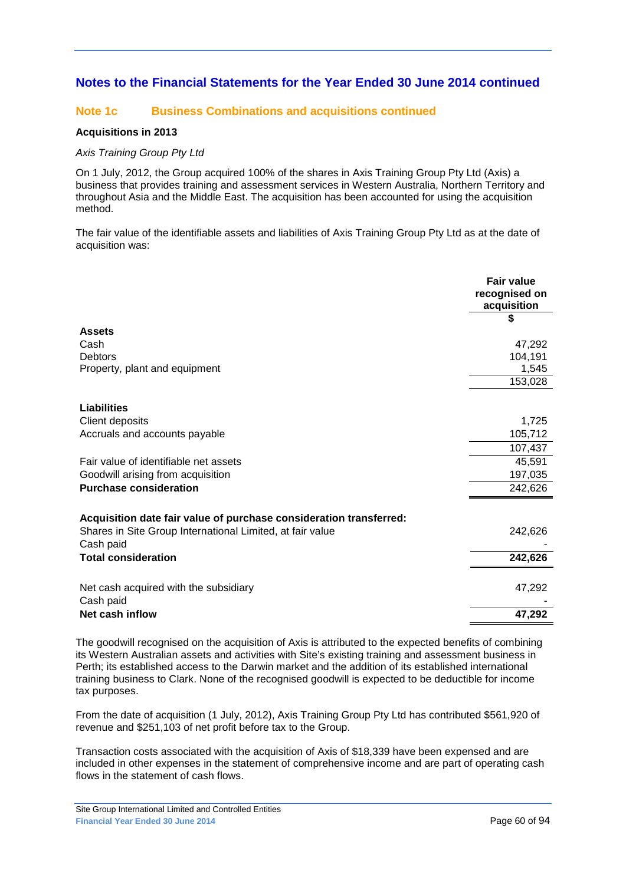## **Note 1c Business Combinations and acquisitions continued**

### **Acquisitions in 2013**

#### *Axis Training Group Pty Ltd*

On 1 July, 2012, the Group acquired 100% of the shares in Axis Training Group Pty Ltd (Axis) a business that provides training and assessment services in Western Australia, Northern Territory and throughout Asia and the Middle East. The acquisition has been accounted for using the acquisition method.

The fair value of the identifiable assets and liabilities of Axis Training Group Pty Ltd as at the date of acquisition was:

|                                                                    | <b>Fair value</b><br>recognised on<br>acquisition |
|--------------------------------------------------------------------|---------------------------------------------------|
|                                                                    | \$                                                |
| <b>Assets</b>                                                      |                                                   |
| Cash                                                               | 47,292                                            |
| <b>Debtors</b>                                                     | 104,191                                           |
| Property, plant and equipment                                      | 1,545                                             |
|                                                                    | 153,028                                           |
| <b>Liabilities</b>                                                 |                                                   |
| Client deposits                                                    | 1,725                                             |
| Accruals and accounts payable                                      | 105,712                                           |
|                                                                    | 107,437                                           |
| Fair value of identifiable net assets                              | 45,591                                            |
| Goodwill arising from acquisition                                  | 197,035                                           |
| <b>Purchase consideration</b>                                      | 242,626                                           |
|                                                                    |                                                   |
| Acquisition date fair value of purchase consideration transferred: |                                                   |
| Shares in Site Group International Limited, at fair value          | 242,626                                           |
| Cash paid<br><b>Total consideration</b>                            | 242,626                                           |
|                                                                    |                                                   |
| Net cash acquired with the subsidiary                              | 47,292                                            |
| Cash paid                                                          |                                                   |
| Net cash inflow                                                    | 47,292                                            |
|                                                                    |                                                   |

The goodwill recognised on the acquisition of Axis is attributed to the expected benefits of combining its Western Australian assets and activities with Site's existing training and assessment business in Perth; its established access to the Darwin market and the addition of its established international training business to Clark. None of the recognised goodwill is expected to be deductible for income tax purposes.

From the date of acquisition (1 July, 2012), Axis Training Group Pty Ltd has contributed \$561,920 of revenue and \$251,103 of net profit before tax to the Group.

Transaction costs associated with the acquisition of Axis of \$18,339 have been expensed and are included in other expenses in the statement of comprehensive income and are part of operating cash flows in the statement of cash flows.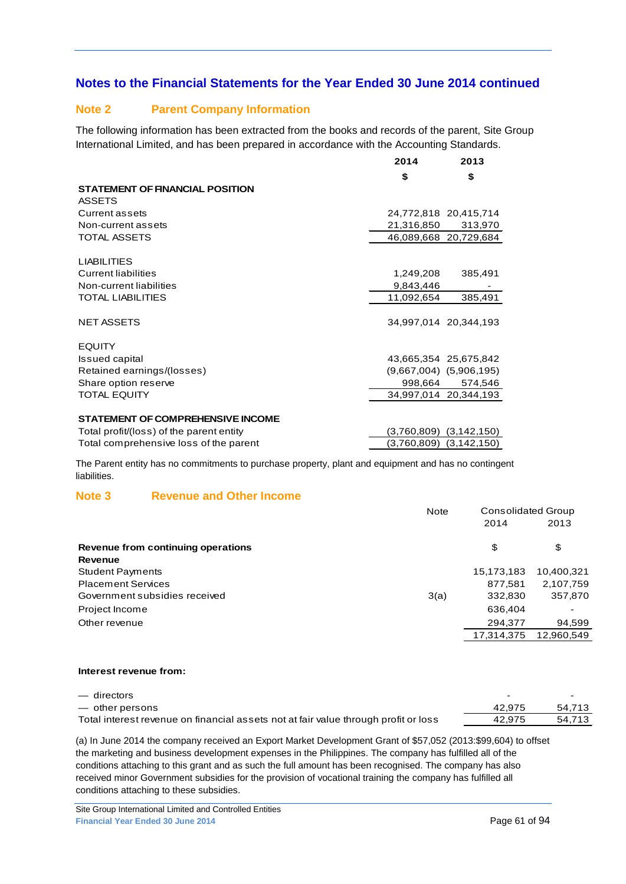## **Note 2 Parent Company Information**

The following information has been extracted from the books and records of the parent, Site Group International Limited, and has been prepared in accordance with the Accounting Standards.

**2014 2013**

|                                          | \$         | \$                          |
|------------------------------------------|------------|-----------------------------|
| <b>STATEMENT OF FINANCIAL POSITION</b>   |            |                             |
| <b>ASSETS</b>                            |            |                             |
| <b>Current assets</b>                    |            | 24,772,818 20,415,714       |
| Non-current assets                       | 21,316,850 | 313,970                     |
| TOTAL ASSETS                             |            | 46,089,668 20,729,684       |
| <b>LIABILITIES</b>                       |            |                             |
| Current liabilities                      | 1,249,208  | 385,491                     |
| Non-current liabilities                  | 9,843,446  |                             |
| <b>TOTAL LIABILITIES</b>                 | 11,092,654 | 385,491                     |
| <b>NET ASSETS</b>                        |            | 34,997,014 20,344,193       |
| <b>EQUITY</b>                            |            |                             |
| <b>Issued capital</b>                    |            | 43,665,354 25,675,842       |
| Retained earnings/(losses)               |            | $(9,667,004)$ $(5,906,195)$ |
| Share option reserve                     | 998,664    | 574,546                     |
| <b>TOTAL EQUITY</b>                      |            | 34,997,014 20,344,193       |
| <b>STATEMENT OF COMPREHENSIVE INCOME</b> |            |                             |
| Total profit/(loss) of the parent entity |            | (3,760,809) (3,142,150)     |

The Parent entity has no commitments to purchase property, plant and equipment and has no contingent liabilities.

Total comprehensive loss of the parent (3,760,809) (3,142,150)

#### **Note 3 Revenue and Other Income**

|                                    | <b>Note</b> | <b>Consolidated Group</b> |            |
|------------------------------------|-------------|---------------------------|------------|
|                                    |             | 2014                      | 2013       |
| Revenue from continuing operations |             | \$                        | \$         |
| Revenue                            |             |                           |            |
| <b>Student Payments</b>            |             | 15,173,183                | 10,400,321 |
| <b>Placement Services</b>          |             | 877,581                   | 2,107,759  |
| Government subsidies received      | 3(a)        | 332,830                   | 357,870    |
| Project Income                     |             | 636,404                   |            |
| Other revenue                      |             | 294,377                   | 94,599     |
|                                    |             | 17,314,375                | 12,960,549 |

#### **Interest revenue from:**

| — directors                                                                         |        |        |
|-------------------------------------------------------------------------------------|--------|--------|
| — other persons                                                                     | 42.975 | 54.713 |
| Total interest revenue on financial assets not at fair value through profit or loss | 42.975 | 54.713 |

(a) In June 2014 the company received an Export Market Development Grant of \$57,052 (2013:\$99,604) to offset the marketing and business development expenses in the Philippines. The company has fulfilled all of the conditions attaching to this grant and as such the full amount has been recognised. The company has also received minor Government subsidies for the provision of vocational training the company has fulfilled all conditions attaching to these subsidies.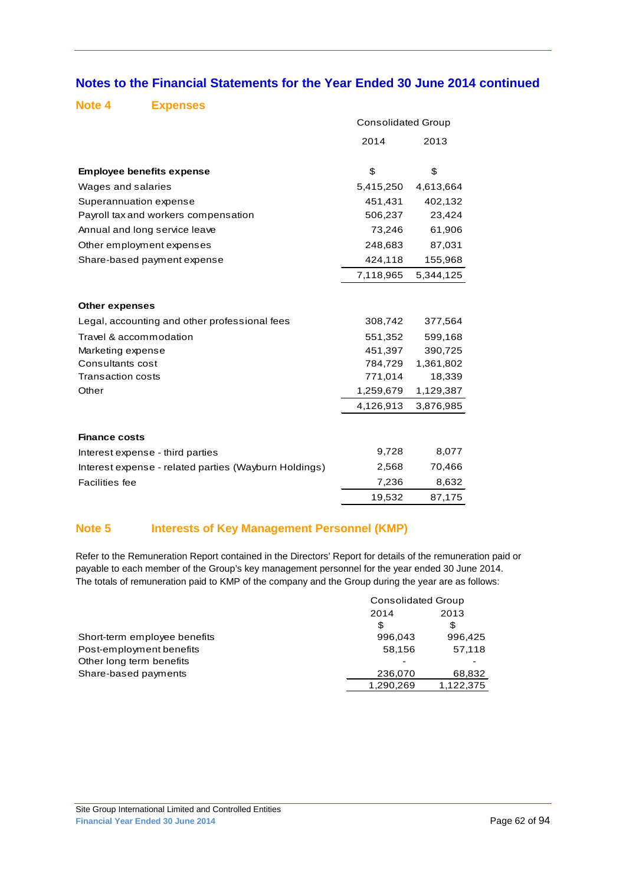## **Note 4 Expenses**

|                                                       | <b>Consolidated Group</b> |           |  |
|-------------------------------------------------------|---------------------------|-----------|--|
|                                                       | 2014                      | 2013      |  |
| <b>Employee benefits expense</b>                      | \$                        | \$        |  |
| Wages and salaries                                    | 5,415,250                 | 4,613,664 |  |
| Superannuation expense                                | 451,431                   | 402,132   |  |
| Payroll tax and workers compensation                  | 506,237                   | 23,424    |  |
| Annual and long service leave                         | 73,246                    | 61,906    |  |
| Other employment expenses                             | 248,683                   | 87,031    |  |
| Share-based payment expense                           | 424,118                   | 155,968   |  |
|                                                       | 7,118,965                 | 5,344,125 |  |
| <b>Other expenses</b>                                 |                           |           |  |
| Legal, accounting and other professional fees         | 308,742                   | 377,564   |  |
| Travel & accommodation                                | 551,352                   | 599,168   |  |
| Marketing expense                                     | 451,397                   | 390,725   |  |
| Consultants cost                                      | 784,729                   | 1,361,802 |  |
| <b>Transaction costs</b>                              | 771,014                   | 18,339    |  |
| Other                                                 | 1,259,679                 | 1,129,387 |  |
|                                                       | 4,126,913                 | 3,876,985 |  |
| <b>Finance costs</b>                                  |                           |           |  |
| Interest expense - third parties                      | 9,728                     | 8,077     |  |
| Interest expense - related parties (Wayburn Holdings) | 2,568                     | 70,466    |  |
| <b>Facilities fee</b>                                 | 7,236                     | 8,632     |  |
|                                                       | 19,532                    | 87,175    |  |

## **Note 5 Interests of Key Management Personnel (KMP)**

Refer to the Remuneration Report contained in the Directors' Report for details of the remuneration paid or payable to each member of the Group's key management personnel for the year ended 30 June 2014. The totals of remuneration paid to KMP of the company and the Group during the year are as follows:

|                              | <b>Consolidated Group</b> |           |  |
|------------------------------|---------------------------|-----------|--|
|                              | 2014                      | 2013      |  |
|                              | \$.                       | S         |  |
| Short-term employee benefits | 996.043                   | 996.425   |  |
| Post-employment benefits     | 58.156                    | 57,118    |  |
| Other long term benefits     |                           |           |  |
| Share-based payments         | 236,070                   | 68,832    |  |
|                              | 1,290,269                 | 1,122,375 |  |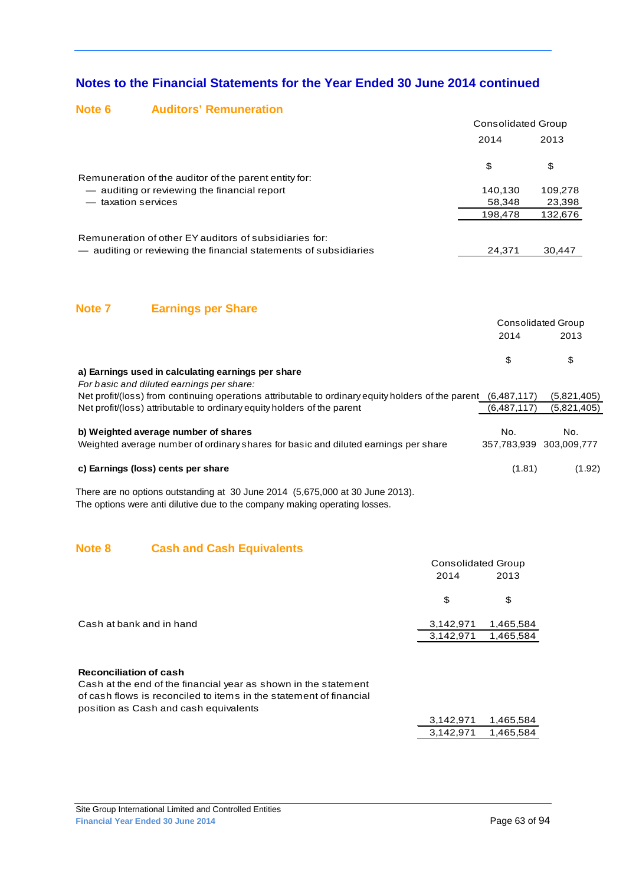### **Note 6 Auditors' Remuneration**

|                                                                  | <b>Consolidated Group</b> |         |
|------------------------------------------------------------------|---------------------------|---------|
|                                                                  | 2014                      | 2013    |
| Remuneration of the auditor of the parent entity for:            | \$                        | \$      |
| — auditing or reviewing the financial report                     | 140.130                   | 109,278 |
| taxation services                                                | 58,348                    | 23,398  |
|                                                                  | 198,478                   | 132,676 |
| Remuneration of other EY auditors of subsidiaries for:           |                           |         |
| — auditing or reviewing the financial statements of subsidiaries | 24,371                    | 30,447  |
|                                                                  |                           |         |

### **Note 7 Earnings per Share**

|                                                                                                                |                         | <b>Consolidated Group</b> |
|----------------------------------------------------------------------------------------------------------------|-------------------------|---------------------------|
|                                                                                                                | 2014                    | 2013                      |
|                                                                                                                | \$                      | \$                        |
| a) Earnings used in calculating earnings per share                                                             |                         |                           |
| For basic and diluted earnings per share:                                                                      |                         |                           |
| Net profit/(loss) from continuing operations attributable to ordinary equity holders of the parent (6,487,117) |                         | (5,821,405)               |
| Net profit/(loss) attributable to ordinary equity holders of the parent                                        | (6,487,117)             | (5,821,405)               |
| b) Weighted average number of shares                                                                           | No.                     | No.                       |
| Weighted average number of ordinary shares for basic and diluted earnings per share                            | 357.783.939 303.009.777 |                           |
| c) Earnings (loss) cents per share                                                                             | (1.81)                  | (1.92)                    |

There are no options outstanding at 30 June 2014 (5,675,000 at 30 June 2013). The options were anti dilutive due to the company making operating losses.

## **Note 8 Cash and Cash Equivalents**

|                                                                                                             | <b>Consolidated Group</b> |           |  |
|-------------------------------------------------------------------------------------------------------------|---------------------------|-----------|--|
|                                                                                                             | 2014                      | 2013      |  |
|                                                                                                             | \$                        | \$        |  |
| Cash at bank and in hand                                                                                    | 3,142,971                 | 1,465,584 |  |
|                                                                                                             | 3,142,971                 | 1.465.584 |  |
|                                                                                                             |                           |           |  |
| <b>Reconciliation of cash</b>                                                                               |                           |           |  |
| Cash at the end of the financial year as shown in the statement                                             |                           |           |  |
| of cash flows is reconciled to items in the statement of financial<br>position as Cash and cash equivalents |                           |           |  |
|                                                                                                             | 3.142,971                 | 1,465,584 |  |
|                                                                                                             | 3,142,971                 | 1,465,584 |  |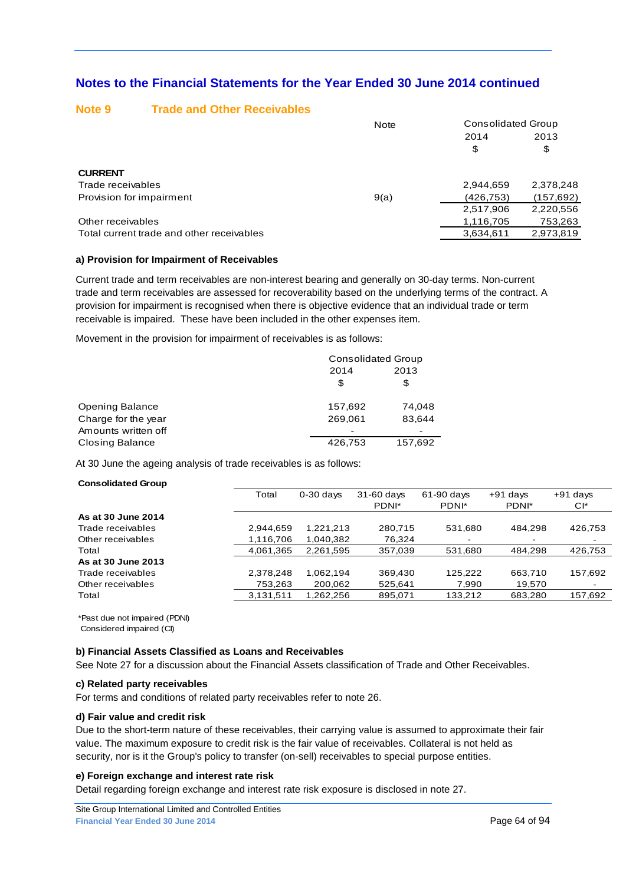### **Note 9 Trade and Other Receivables**

|                                           | <b>Note</b> | <b>Consolidated Group</b> |            |
|-------------------------------------------|-------------|---------------------------|------------|
|                                           |             | 2014                      | 2013       |
|                                           |             | \$                        | \$         |
| <b>CURRENT</b>                            |             |                           |            |
| Trade receivables                         |             | 2,944,659                 | 2,378,248  |
| Provision for impairment                  | 9(a)        | (426, 753)                | (157, 692) |
|                                           |             | 2,517,906                 | 2,220,556  |
| Other receivables                         |             | 1,116,705                 | 753,263    |
| Total current trade and other receivables |             | 3,634,611                 | 2,973,819  |
|                                           |             |                           |            |

#### **a) Provision for Impairment of Receivables**

Current trade and term receivables are non-interest bearing and generally on 30-day terms. Non-current trade and term receivables are assessed for recoverability based on the underlying terms of the contract. A provision for impairment is recognised when there is objective evidence that an individual trade or term receivable is impaired. These have been included in the other expenses item.

Movement in the provision for impairment of receivables is as follows:

|                        | <b>Consolidated Group</b> |         |  |
|------------------------|---------------------------|---------|--|
|                        | 2014                      | 2013    |  |
|                        | S                         | \$      |  |
| <b>Opening Balance</b> | 157,692                   | 74,048  |  |
| Charge for the year    | 269,061                   | 83,644  |  |
| Amounts written off    | $\overline{\phantom{0}}$  |         |  |
| <b>Closing Balance</b> | 426,753                   | 157,692 |  |

At 30 June the ageing analysis of trade receivables is as follows:

#### **Consolidated Group**

|                    | Total     | $0-30$ days | $31-60$ days | $61-90$ days | $+91$ days | $+91$ days               |
|--------------------|-----------|-------------|--------------|--------------|------------|--------------------------|
|                    |           |             | PDNI*        | PDNI*        | PDNI*      | $Cl^*$                   |
| As at 30 June 2014 |           |             |              |              |            |                          |
| Trade receivables  | 2,944,659 | 1.221.213   | 280,715      | 531,680      | 484.298    | 426,753                  |
| Other receivables  | 1,116,706 | 1,040,382   | 76,324       |              |            | $\overline{\phantom{a}}$ |
| Total              | 4,061,365 | 2.261.595   | 357.039      | 531,680      | 484.298    | 426,753                  |
| As at 30 June 2013 |           |             |              |              |            |                          |
| Trade receivables  | 2,378,248 | 1.062.194   | 369,430      | 125.222      | 663.710    | 157,692                  |
| Other receivables  | 753,263   | 200,062     | 525,641      | 7,990        | 19,570     | $\qquad \qquad =$        |
| Total              | 3,131,511 | 1,262,256   | 895,071      | 133,212      | 683,280    | 157,692                  |
|                    |           |             |              |              |            |                          |

\*Past due not impaired (PDNI) Considered impaired (CI)

#### **b) Financial Assets Classified as Loans and Receivables**

See Note 27 for a discussion about the Financial Assets classification of Trade and Other Receivables.

#### **c) Related party receivables**

For terms and conditions of related party receivables refer to note 26.

#### **d) Fair value and credit risk**

Due to the short-term nature of these receivables, their carrying value is assumed to approximate their fair value. The maximum exposure to credit risk is the fair value of receivables. Collateral is not held as security, nor is it the Group's policy to transfer (on-sell) receivables to special purpose entities.

#### **e) Foreign exchange and interest rate risk**

Detail regarding foreign exchange and interest rate risk exposure is disclosed in note 27.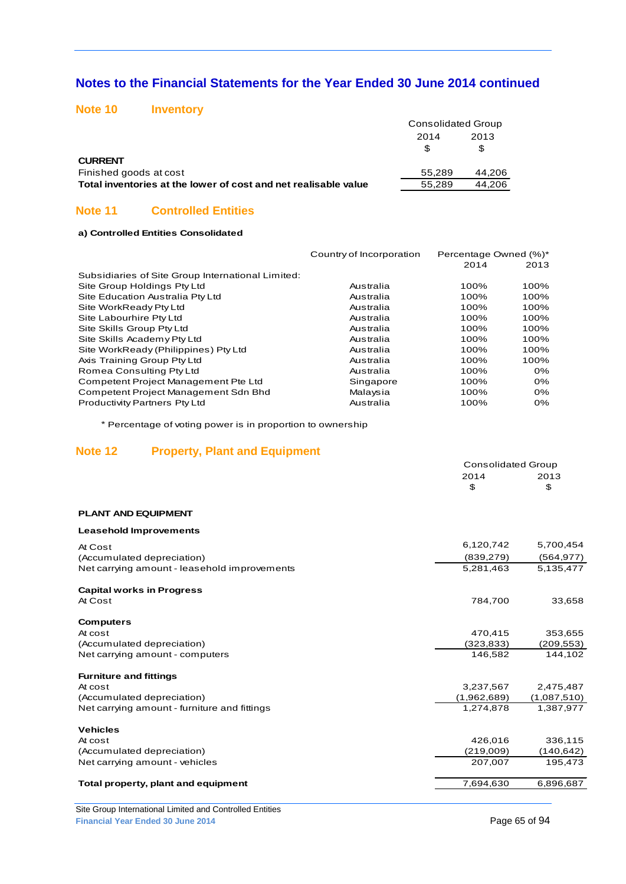### **Note 10 Inventory**

|                                                                 | <b>Consolidated Group</b> |        |
|-----------------------------------------------------------------|---------------------------|--------|
|                                                                 | 2014                      | 2013   |
|                                                                 | SS.                       |        |
| <b>CURRENT</b>                                                  |                           |        |
| Finished goods at cost                                          | 55.289                    | 44.206 |
| Total inventories at the lower of cost and net realisable value | 55.289                    | 44.206 |

## **Note 11 Controlled Entities**

#### **a) Controlled Entities Consolidated**

| Country of Incorporation | Percentage Owned (%)* |      |
|--------------------------|-----------------------|------|
|                          | 2014                  | 2013 |
|                          |                       |      |
| Australia                | 100%                  | 100% |
| Australia                | 100%                  | 100% |
| Australia                | 100%                  | 100% |
| Australia                | 100%                  | 100% |
| Australia                | 100%                  | 100% |
| Australia                | 100%                  | 100% |
| Australia                | 100%                  | 100% |
| Australia                | 100%                  | 100% |
| Australia                | 100%                  | 0%   |
| Singapore                | 100%                  | 0%   |
| Malaysia                 | 100%                  | 0%   |
| Australia                | 100%                  | 0%   |
|                          |                       |      |

\* Percentage of voting power is in proportion to ownership

## **Note 12 Property, Plant and Equipment**

|                                              |             | <b>Consolidated Group</b> |  |
|----------------------------------------------|-------------|---------------------------|--|
|                                              | 2014        | 2013                      |  |
|                                              | \$          | \$                        |  |
| <b>PLANT AND EQUIPMENT</b>                   |             |                           |  |
| <b>Leasehold Improvements</b>                |             |                           |  |
| At Cost                                      | 6,120,742   | 5,700,454                 |  |
| (Accumulated depreciation)                   | (839, 279)  | (564, 977)                |  |
| Net carrying amount - leasehold improvements | 5,281,463   | 5,135,477                 |  |
| <b>Capital works in Progress</b>             |             |                           |  |
| At Cost                                      | 784,700     | 33,658                    |  |
| <b>Computers</b>                             |             |                           |  |
| At cost                                      | 470,415     | 353,655                   |  |
| (Accumulated depreciation)                   | (323, 833)  | (209, 553)                |  |
| Net carrying amount - computers              | 146,582     | 144,102                   |  |
| <b>Furniture and fittings</b>                |             |                           |  |
| At cost                                      | 3,237,567   | 2,475,487                 |  |
| (Accumulated depreciation)                   | (1,962,689) | (1,087,510)               |  |
| Net carrying amount - furniture and fittings | 1,274,878   | 1.387.977                 |  |
| <b>Vehicles</b>                              |             |                           |  |
| At cost                                      | 426,016     | 336,115                   |  |
| (Accumulated depreciation)                   | (219,009)   | (140, 642)                |  |
| Net carrying amount - vehicles               | 207,007     | 195,473                   |  |
| Total property, plant and equipment          | 7,694,630   | 6,896,687                 |  |
|                                              |             |                           |  |

Site Group International Limited and Controlled Entities **Financial Year Ended 30 June 2014 Page 65 of 94**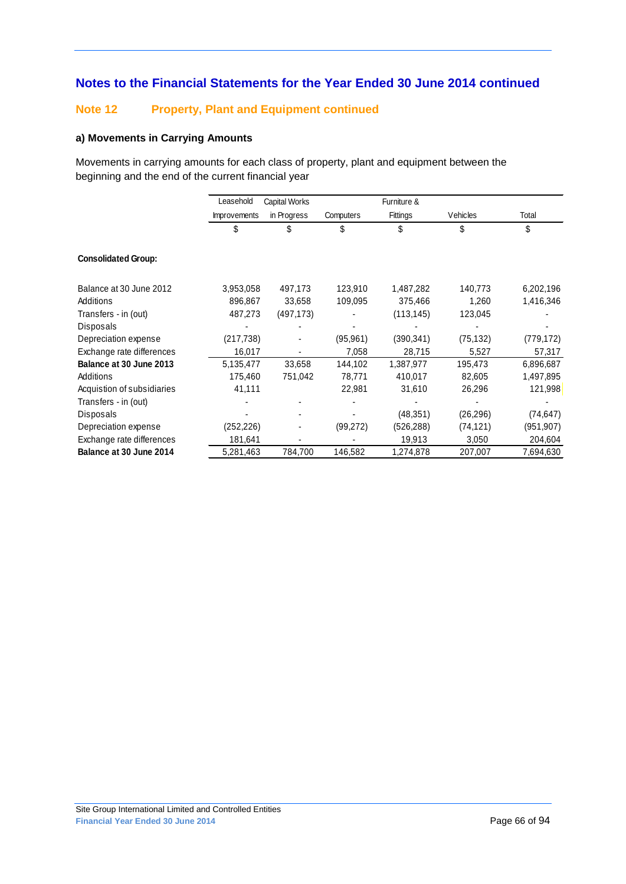## **Note 12 Property, Plant and Equipment continued**

### **a) Movements in Carrying Amounts**

Movements in carrying amounts for each class of property, plant and equipment between the beginning and the end of the current financial year

|                            | Leasehold                 | Capital Works |                       | Furniture & |           |            |
|----------------------------|---------------------------|---------------|-----------------------|-------------|-----------|------------|
|                            | <b>Improvements</b><br>\$ | in Progress   | Fittings<br>Computers |             | Vehicles  | Total      |
|                            |                           | \$            | \$                    | \$          | \$        | \$         |
| <b>Consolidated Group:</b> |                           |               |                       |             |           |            |
| Balance at 30 June 2012    | 3,953,058                 | 497,173       | 123,910               | 1,487,282   | 140,773   | 6,202,196  |
| Additions                  | 896,867                   | 33,658        | 109,095               | 375,466     | 1,260     | 1,416,346  |
| Transfers - in (out)       | 487,273                   | (497, 173)    |                       | (113, 145)  | 123,045   |            |
| Disposals                  |                           |               |                       |             |           |            |
| Depreciation expense       | (217, 738)                |               | (95, 961)             | (390, 341)  | (75, 132) | (779, 172) |
| Exchange rate differences  | 16,017                    |               | 7,058                 | 28,715      | 5,527     | 57,317     |
| Balance at 30 June 2013    | 5,135,477                 | 33,658        | 144,102               | 1,387,977   | 195,473   | 6,896,687  |
| Additions                  | 175,460                   | 751,042       | 78,771                | 410,017     | 82,605    | 1,497,895  |
| Acquistion of subsidiaries | 41,111                    |               | 22,981                | 31,610      | 26,296    | 121,998    |
| Transfers - in (out)       |                           |               |                       |             |           |            |
| Disposals                  |                           |               |                       | (48, 351)   | (26, 296) | (74, 647)  |
| Depreciation expense       | (252, 226)                |               | (99, 272)             | (526, 288)  | (74, 121) | (951, 907) |
| Exchange rate differences  | 181,641                   |               |                       | 19,913      | 3,050     | 204,604    |
| Balance at 30 June 2014    | 5,281,463                 | 784,700       | 146,582               | 1,274,878   | 207,007   | 7,694,630  |
|                            |                           |               |                       |             |           |            |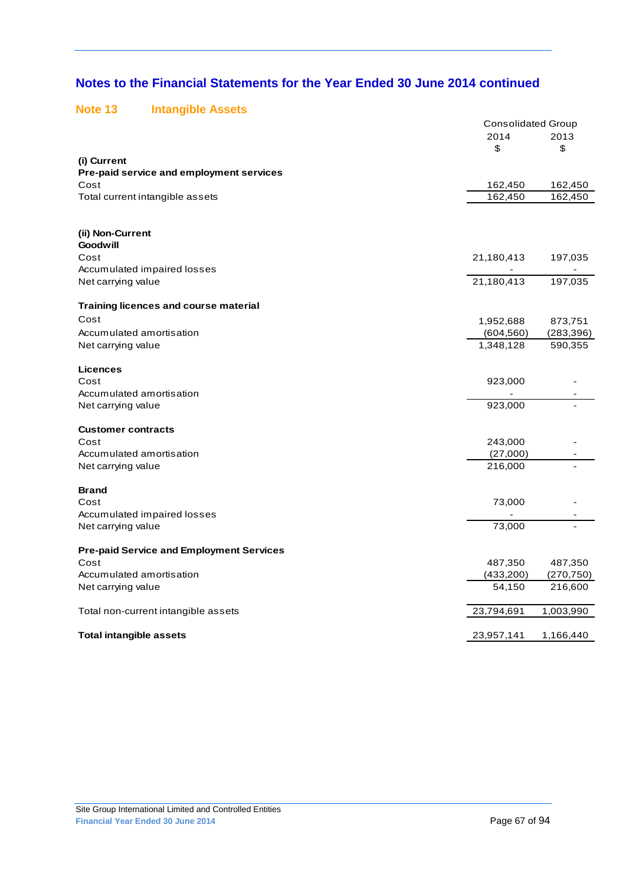# **Note 13 Intangible Assets**

|                                                 | <b>Consolidated Group</b> |            |
|-------------------------------------------------|---------------------------|------------|
|                                                 | 2014                      | 2013       |
|                                                 | \$                        | \$         |
| (i) Current                                     |                           |            |
| Pre-paid service and employment services        |                           |            |
| Cost                                            | 162,450                   | 162,450    |
| Total current intangible assets                 | 162,450                   | 162,450    |
|                                                 |                           |            |
|                                                 |                           |            |
| (ii) Non-Current                                |                           |            |
| <b>Goodwill</b>                                 |                           |            |
| Cost                                            | 21,180,413                | 197,035    |
| Accumulated impaired losses                     |                           |            |
| Net carrying value                              | 21,180,413                | 197,035    |
|                                                 |                           |            |
| Training licences and course material           |                           |            |
| Cost                                            | 1,952,688                 | 873,751    |
| Accumulated amortisation                        | (604, 560)                | (283, 396) |
| Net carrying value                              | 1,348,128                 | 590,355    |
|                                                 |                           |            |
| <b>Licences</b>                                 |                           |            |
| Cost                                            | 923,000                   |            |
| Accumulated amortisation                        |                           |            |
| Net carrying value                              | 923,000                   |            |
| <b>Customer contracts</b>                       |                           |            |
| Cost                                            | 243,000                   |            |
| Accumulated amortisation                        | (27,000)                  |            |
| Net carrying value                              | 216,000                   |            |
|                                                 |                           |            |
| <b>Brand</b>                                    |                           |            |
| Cost                                            | 73,000                    |            |
| Accumulated impaired losses                     |                           |            |
| Net carrying value                              | 73,000                    |            |
|                                                 |                           |            |
| <b>Pre-paid Service and Employment Services</b> |                           |            |
| Cost                                            | 487,350                   | 487,350    |
| Accumulated amortisation                        | (433, 200)                | (270, 750) |
| Net carrying value                              | 54,150                    | 216,600    |
|                                                 |                           |            |
| Total non-current intangible assets             | 23,794,691                | 1,003,990  |
|                                                 |                           |            |
| <b>Total intangible assets</b>                  | 23,957,141                | 1,166,440  |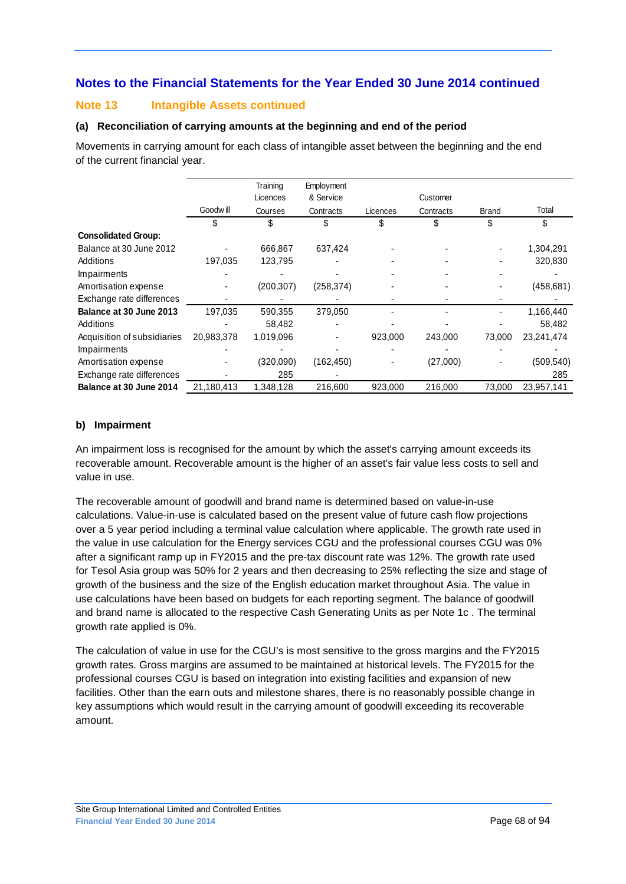### **Note 13 Intangible Assets continued**

### **(a) Reconciliation of carrying amounts at the beginning and end of the period**

Movements in carrying amount for each class of intangible asset between the beginning and the end of the current financial year.

|                             |            | Training   | Employment |          |           |              |            |
|-----------------------------|------------|------------|------------|----------|-----------|--------------|------------|
|                             |            | Licences   | & Service  |          | Customer  |              |            |
|                             | Goodw ill  | Courses    | Contracts  | Licences | Contracts | <b>Brand</b> | Total      |
|                             | \$         | \$         | \$         | \$       | \$        | \$           | \$         |
| <b>Consolidated Group:</b>  |            |            |            |          |           |              |            |
| Balance at 30 June 2012     |            | 666,867    | 637,424    |          |           |              | 1,304,291  |
| Additions                   | 197,035    | 123,795    |            |          |           |              | 320,830    |
| Impairments                 |            |            |            |          |           |              |            |
| Amortisation expense        |            | (200, 307) | (258, 374) |          |           |              | (458, 681) |
| Exchange rate differences   |            |            |            |          |           |              |            |
| Balance at 30 June 2013     | 197,035    | 590,355    | 379,050    |          |           |              | 1,166,440  |
| Additions                   |            | 58,482     |            |          |           |              | 58,482     |
| Acquisition of subsidiaries | 20,983,378 | 1,019,096  |            | 923,000  | 243.000   | 73,000       | 23,241,474 |
| Impairments                 |            |            |            |          |           |              |            |
| Amortisation expense        |            | (320,090)  | (162, 450) |          | (27,000)  |              | (509, 540) |
| Exchange rate differences   |            | 285        |            |          |           |              | 285        |
| Balance at 30 June 2014     | 21,180,413 | 1,348,128  | 216,600    | 923,000  | 216,000   | 73,000       | 23,957,141 |

### **b) Impairment**

An impairment loss is recognised for the amount by which the asset's carrying amount exceeds its recoverable amount. Recoverable amount is the higher of an asset's fair value less costs to sell and value in use.

The recoverable amount of goodwill and brand name is determined based on value-in-use calculations. Value-in-use is calculated based on the present value of future cash flow projections over a 5 year period including a terminal value calculation where applicable. The growth rate used in the value in use calculation for the Energy services CGU and the professional courses CGU was 0% after a significant ramp up in FY2015 and the pre-tax discount rate was 12%. The growth rate used for Tesol Asia group was 50% for 2 years and then decreasing to 25% reflecting the size and stage of growth of the business and the size of the English education market throughout Asia. The value in use calculations have been based on budgets for each reporting segment. The balance of goodwill and brand name is allocated to the respective Cash Generating Units as per Note 1c . The terminal growth rate applied is 0%.

The calculation of value in use for the CGU's is most sensitive to the gross margins and the FY2015 growth rates. Gross margins are assumed to be maintained at historical levels. The FY2015 for the professional courses CGU is based on integration into existing facilities and expansion of new facilities. Other than the earn outs and milestone shares, there is no reasonably possible change in key assumptions which would result in the carrying amount of goodwill exceeding its recoverable amount.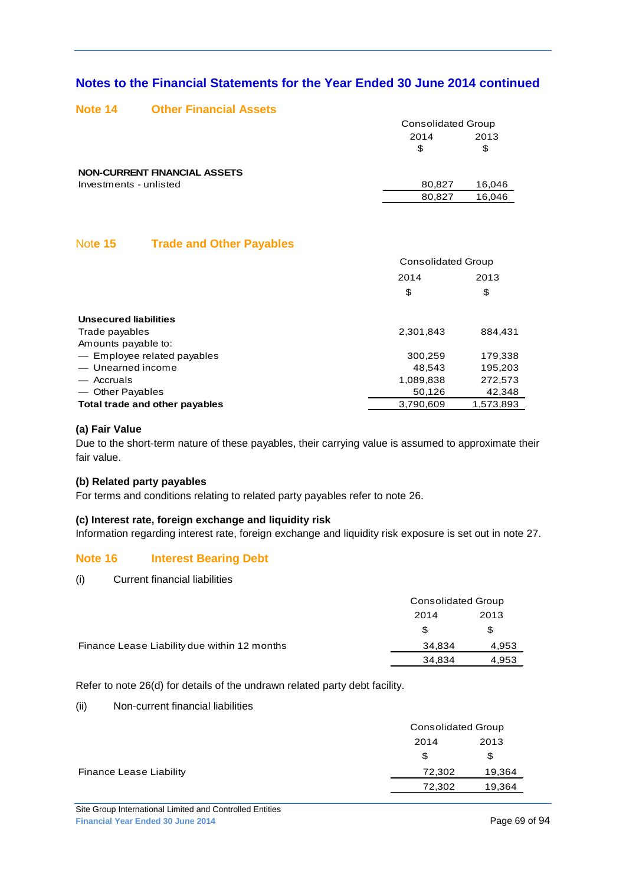Consolidated Group

### **Note 14 Other Financial Assets**

|                              | 2014   | 2013   |
|------------------------------|--------|--------|
|                              | \$.    | S      |
| NON-CURRENT FINANCIAL ASSETS |        |        |
| Investments - unlisted       | 80.827 | 16,046 |
|                              | 80.827 | 16.046 |
|                              |        |        |

### Not**e 15 Trade and Other Payables**

|                                | <b>Consolidated Group</b> |           |
|--------------------------------|---------------------------|-----------|
|                                | 2014                      | 2013      |
|                                | \$                        | \$        |
| <b>Unsecured liabilities</b>   |                           |           |
| Trade payables                 | 2,301,843                 | 884.431   |
| Amounts payable to:            |                           |           |
| - Employee related payables    | 300,259                   | 179,338   |
| - Unearned income              | 48.543                    | 195,203   |
| — Accruals                     | 1.089.838                 | 272,573   |
| — Other Payables               | 50,126                    | 42,348    |
| Total trade and other payables | 3,790,609                 | 1,573,893 |

#### **(a) Fair Value**

Due to the short-term nature of these payables, their carrying value is assumed to approximate their fair value.

#### **(b) Related party payables**

For terms and conditions relating to related party payables refer to note 26.

#### **(c) Interest rate, foreign exchange and liquidity risk**

Information regarding interest rate, foreign exchange and liquidity risk exposure is set out in note 27.

### **Note 16 Interest Bearing Debt**

(i) Current financial liabilities

|                                              |        | <b>Consolidated Group</b> |  |
|----------------------------------------------|--------|---------------------------|--|
|                                              | 2014   | 2013                      |  |
|                                              | S      |                           |  |
| Finance Lease Liability due within 12 months | 34.834 | 4,953                     |  |
|                                              | 34,834 | 4.953                     |  |

Refer to note 26(d) for details of the undrawn related party debt facility.

#### (ii) Non-current financial liabilities

|                         | <b>Consolidated Group</b> |        |
|-------------------------|---------------------------|--------|
|                         | 2014                      | 2013   |
|                         | S                         | \$     |
| Finance Lease Liability | 72,302                    | 19,364 |
|                         | 72,302                    | 19,364 |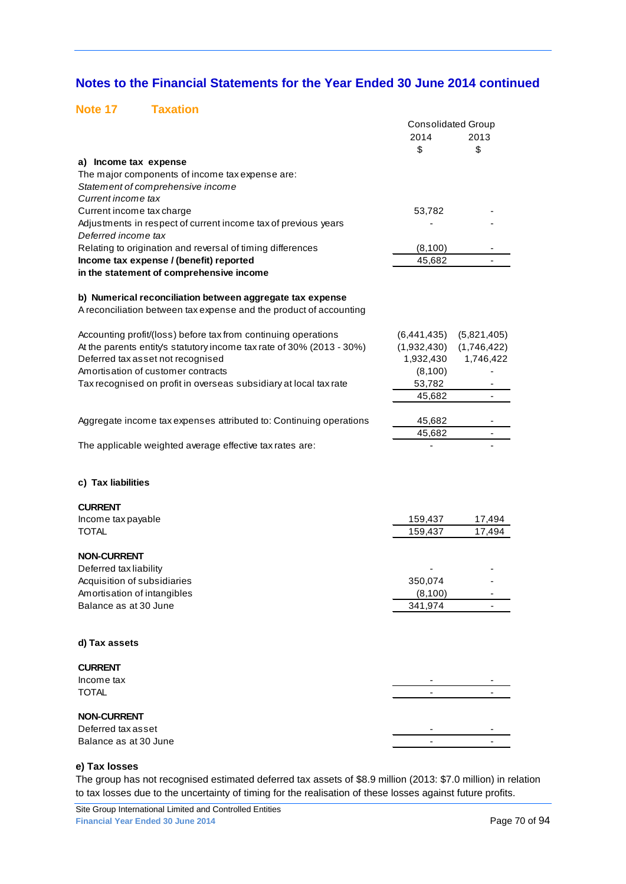### **Note 17 Taxation**

|                                                                | <b>Consolidated Group</b> |      |
|----------------------------------------------------------------|---------------------------|------|
|                                                                | 2014                      | 2013 |
|                                                                | \$                        | \$   |
| a) Income tax expense                                          |                           |      |
| The major components of income tax expense are:                |                           |      |
| Statement of comprehensive income                              |                           |      |
| Current income tax                                             |                           |      |
| Current income tax charge                                      | 53,782                    |      |
| Adjustments in respect of current income tax of previous years |                           |      |
| Deferred income tax                                            |                           |      |
| Relating to origination and reversal of timing differences     | (8,100)                   |      |
| Income tax expense / (benefit) reported                        | 45,682                    |      |
| in the statement of comprehensive income                       |                           |      |

#### **b) Numerical reconciliation between aggregate tax expense**

A reconciliation between tax expense and the product of accounting

| Accounting profit/(loss) before tax from continuing operations        | (6,441,435) | (5,821,405) |
|-----------------------------------------------------------------------|-------------|-------------|
| At the parents entity's statutory income tax rate of 30% (2013 - 30%) | (1,932,430) | (1,746,422) |
| Deferred tax asset not recognised                                     | 1,932,430   | 1,746,422   |
| Amortisation of customer contracts                                    | (8,100)     |             |
| Tax recognised on profit in overseas subsidiary at local tax rate     | 53,782      |             |
|                                                                       | 45,682      |             |
| Aggregate income tax expenses attributed to: Continuing operations    | 45,682      |             |
|                                                                       | 45,682      |             |
| The applicable weighted average effective tax rates are:              |             |             |

**c) Tax liabilities**

| <b>CURRENT</b>              |          |        |
|-----------------------------|----------|--------|
| Income tax payable          | 159,437  | 17,494 |
| <b>TOTAL</b>                | 159,437  | 17,494 |
|                             |          |        |
| <b>NON-CURRENT</b>          |          |        |
| Deferred tax liability      |          |        |
| Acquisition of subsidiaries | 350,074  |        |
| Amortisation of intangibles | (8, 100) |        |
| Balance as at 30 June       | 341,974  |        |
|                             |          |        |
| d) Tax assets               |          |        |
| <b>CURRENT</b>              |          |        |
| Income tax                  |          |        |
| <b>TOTAL</b>                |          |        |
| <b>NON-CURRENT</b>          |          |        |
| Deferred tax asset          |          |        |

#### **e) Tax losses**

The group has not recognised estimated deferred tax assets of \$8.9 million (2013: \$7.0 million) in relation to tax losses due to the uncertainty of timing for the realisation of these losses against future profits.

Balance as at 30 June - -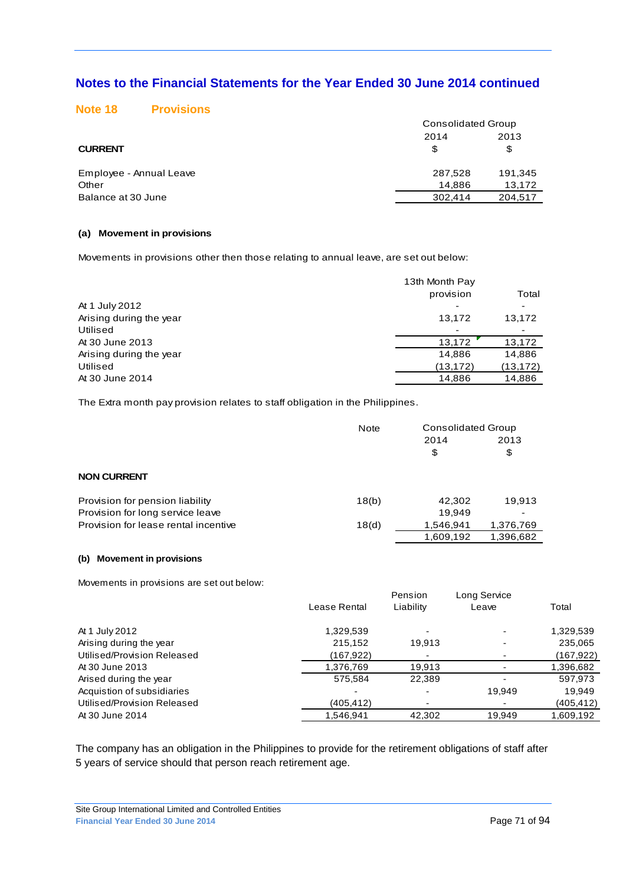### **Note 18 Provisions**

|                         | <b>Consolidated Group</b> |         |
|-------------------------|---------------------------|---------|
|                         | 2014                      | 2013    |
| <b>CURRENT</b>          | S                         | \$      |
| Employee - Annual Leave | 287,528                   | 191,345 |
| Other                   | 14.886                    | 13,172  |
| Balance at 30 June      | 302.414                   | 204,517 |

#### **(a) Movement in provisions**

Movements in provisions other then those relating to annual leave, are set out below:

|                         | 13th Month Pay |          |
|-------------------------|----------------|----------|
|                         | provision      | Total    |
| At 1 July 2012          |                |          |
| Arising during the year | 13,172         | 13,172   |
| Utilised                |                | ۰        |
| At 30 June 2013         | 13,172         | 13,172   |
| Arising during the year | 14,886         | 14,886   |
| Utilised                | (13,172)       | (13,172) |
| At 30 June 2014         | 14,886         | 14,886   |

The Extra month pay provision relates to staff obligation in the Philippines.

|                                      | <b>Note</b> | <b>Consolidated Group</b> |           |
|--------------------------------------|-------------|---------------------------|-----------|
|                                      |             | 2014                      | 2013      |
|                                      |             | \$                        | \$        |
| <b>NON CURRENT</b>                   |             |                           |           |
| Provision for pension liability      | 18(b)       | 42,302                    | 19.913    |
| Provision for long service leave     |             | 19.949                    |           |
| Provision for lease rental incentive | 18(d)       | 1,546,941                 | 1,376,769 |
|                                      |             | 1,609,192                 | 1,396,682 |

#### **(b) Movement in provisions**

Movements in provisions are set out below:

|                             | Lease Rental | Pension<br>Liability | Long Service<br>Leave | Total     |
|-----------------------------|--------------|----------------------|-----------------------|-----------|
| At 1 July 2012              | 1,329,539    |                      |                       | 1,329,539 |
| Arising during the year     | 215,152      | 19.913               |                       | 235,065   |
| Utilised/Provision Released | (167,922)    |                      |                       | (167,922) |
| At 30 June 2013             | 1,376,769    | 19,913               |                       | 1,396,682 |
| Arised during the year      | 575.584      | 22,389               |                       | 597,973   |
| Acquistion of subsidiaries  |              |                      | 19.949                | 19.949    |
| Utilised/Provision Released | (405, 412)   |                      |                       | (405,412) |
| At 30 June 2014             | 1.546.941    | 42,302               | 19.949                | 1,609,192 |

The company has an obligation in the Philippines to provide for the retirement obligations of staff after 5 years of service should that person reach retirement age.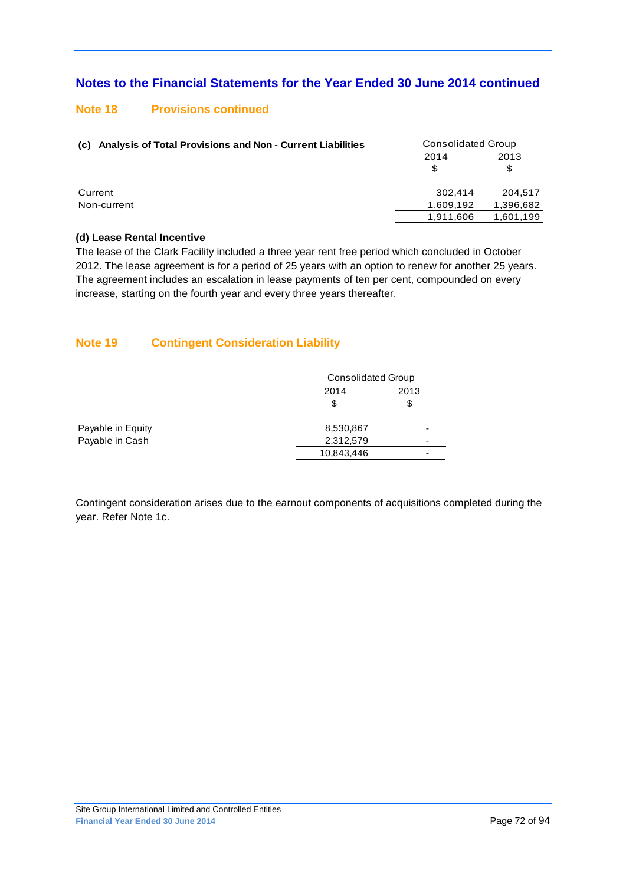### **Note 18 Provisions continued**

| 2014      | 2013                      |
|-----------|---------------------------|
| \$.       | \$                        |
| 302.414   | 204.517                   |
| 1,609,192 | 1,396,682                 |
| 1,911,606 | 1,601,199                 |
|           | <b>Consolidated Group</b> |

#### **(d) Lease Rental Incentive**

The lease of the Clark Facility included a three year rent free period which concluded in October 2012. The lease agreement is for a period of 25 years with an option to renew for another 25 years. The agreement includes an escalation in lease payments of ten per cent, compounded on every increase, starting on the fourth year and every three years thereafter.

### **Note 19 Contingent Consideration Liability**

|                   | <b>Consolidated Group</b> |      |  |
|-------------------|---------------------------|------|--|
|                   | 2014                      | 2013 |  |
|                   | \$                        | \$   |  |
| Payable in Equity | 8,530,867                 | -    |  |
| Payable in Cash   | 2,312,579                 | -    |  |
|                   | 10,843,446                | -    |  |

Contingent consideration arises due to the earnout components of acquisitions completed during the year. Refer Note 1c.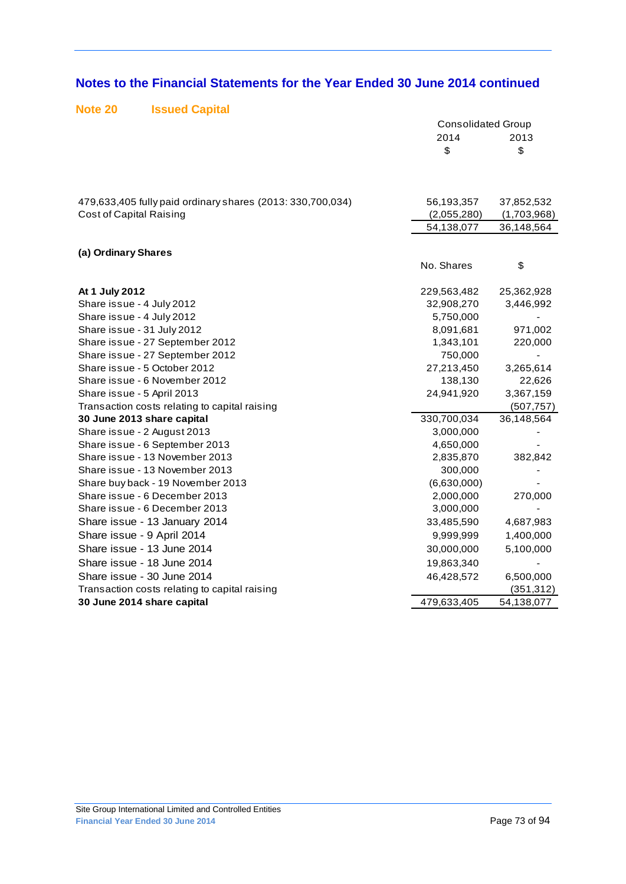| <b>Issued Capital</b><br>Note 20                           |                           |             |
|------------------------------------------------------------|---------------------------|-------------|
|                                                            | <b>Consolidated Group</b> |             |
|                                                            | 2014                      | 2013        |
|                                                            | \$                        | \$          |
|                                                            |                           |             |
|                                                            |                           |             |
| 479,633,405 fully paid ordinary shares (2013: 330,700,034) | 56,193,357                | 37,852,532  |
| <b>Cost of Capital Raising</b>                             | (2,055,280)               | (1,703,968) |
|                                                            | 54,138,077                | 36,148,564  |
| (a) Ordinary Shares                                        |                           |             |
|                                                            | No. Shares                | \$          |
| At 1 July 2012                                             | 229,563,482               | 25,362,928  |
| Share issue - 4 July 2012                                  | 32,908,270                | 3,446,992   |
| Share issue - 4 July 2012                                  | 5,750,000                 |             |
| Share issue - 31 July 2012                                 | 8,091,681                 | 971,002     |
| Share issue - 27 September 2012                            | 1,343,101                 | 220,000     |
| Share issue - 27 September 2012                            | 750,000                   |             |
| Share issue - 5 October 2012                               | 27,213,450                | 3,265,614   |
| Share issue - 6 November 2012                              | 138,130                   | 22,626      |
| Share issue - 5 April 2013                                 | 24,941,920                | 3,367,159   |
| Transaction costs relating to capital raising              |                           | (507, 757)  |
| 30 June 2013 share capital                                 | 330,700,034               | 36,148,564  |
| Share issue - 2 August 2013                                | 3,000,000                 |             |
| Share issue - 6 September 2013                             | 4,650,000                 |             |
| Share issue - 13 November 2013                             | 2,835,870                 | 382,842     |
| Share issue - 13 November 2013                             | 300,000                   |             |
| Share buy back - 19 November 2013                          | (6,630,000)               |             |
| Share issue - 6 December 2013                              | 2,000,000                 | 270,000     |
| Share issue - 6 December 2013                              | 3,000,000                 |             |
| Share issue - 13 January 2014                              | 33,485,590                | 4,687,983   |
| Share issue - 9 April 2014                                 | 9,999,999                 | 1,400,000   |
| Share issue - 13 June 2014                                 | 30,000,000                | 5,100,000   |
| Share issue - 18 June 2014                                 | 19,863,340                |             |
| Share issue - 30 June 2014                                 | 46,428,572                | 6,500,000   |
| Transaction costs relating to capital raising              |                           | (351, 312)  |
| 30 June 2014 share capital                                 | 479,633,405               | 54,138,077  |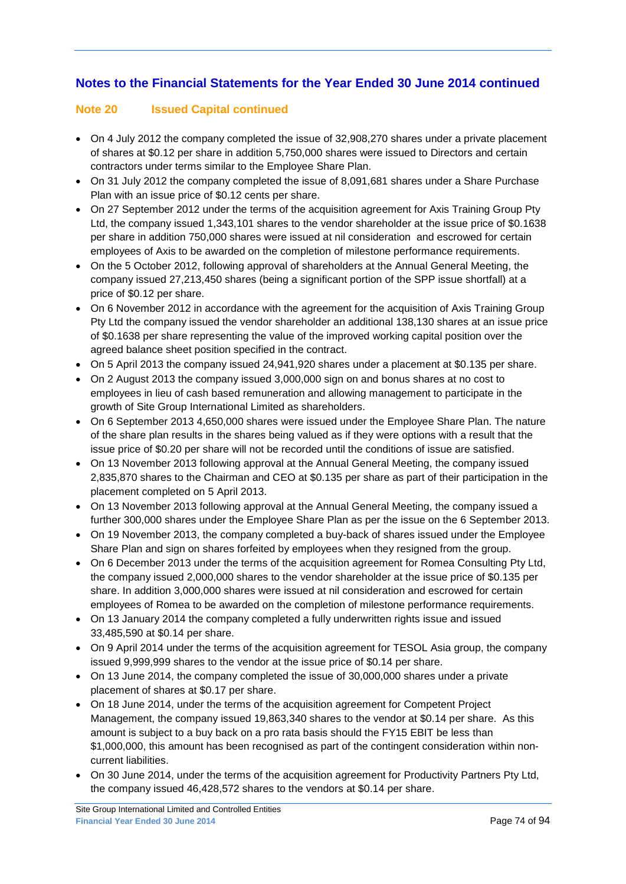### **Note 20 Issued Capital continued**

- On 4 July 2012 the company completed the issue of 32,908,270 shares under a private placement of shares at \$0.12 per share in addition 5,750,000 shares were issued to Directors and certain contractors under terms similar to the Employee Share Plan.
- On 31 July 2012 the company completed the issue of 8,091,681 shares under a Share Purchase Plan with an issue price of \$0.12 cents per share.
- On 27 September 2012 under the terms of the acquisition agreement for Axis Training Group Pty Ltd, the company issued 1,343,101 shares to the vendor shareholder at the issue price of \$0.1638 per share in addition 750,000 shares were issued at nil consideration and escrowed for certain employees of Axis to be awarded on the completion of milestone performance requirements.
- On the 5 October 2012, following approval of shareholders at the Annual General Meeting, the company issued 27,213,450 shares (being a significant portion of the SPP issue shortfall) at a price of \$0.12 per share.
- On 6 November 2012 in accordance with the agreement for the acquisition of Axis Training Group Pty Ltd the company issued the vendor shareholder an additional 138,130 shares at an issue price of \$0.1638 per share representing the value of the improved working capital position over the agreed balance sheet position specified in the contract.
- On 5 April 2013 the company issued 24,941,920 shares under a placement at \$0.135 per share.
- On 2 August 2013 the company issued 3,000,000 sign on and bonus shares at no cost to employees in lieu of cash based remuneration and allowing management to participate in the growth of Site Group International Limited as shareholders.
- On 6 September 2013 4,650,000 shares were issued under the Employee Share Plan. The nature of the share plan results in the shares being valued as if they were options with a result that the issue price of \$0.20 per share will not be recorded until the conditions of issue are satisfied.
- On 13 November 2013 following approval at the Annual General Meeting, the company issued 2,835,870 shares to the Chairman and CEO at \$0.135 per share as part of their participation in the placement completed on 5 April 2013.
- On 13 November 2013 following approval at the Annual General Meeting, the company issued a further 300,000 shares under the Employee Share Plan as per the issue on the 6 September 2013.
- On 19 November 2013, the company completed a buy-back of shares issued under the Employee Share Plan and sign on shares forfeited by employees when they resigned from the group.
- On 6 December 2013 under the terms of the acquisition agreement for Romea Consulting Pty Ltd, the company issued 2,000,000 shares to the vendor shareholder at the issue price of \$0.135 per share. In addition 3,000,000 shares were issued at nil consideration and escrowed for certain employees of Romea to be awarded on the completion of milestone performance requirements.
- On 13 January 2014 the company completed a fully underwritten rights issue and issued 33,485,590 at \$0.14 per share.
- On 9 April 2014 under the terms of the acquisition agreement for TESOL Asia group, the company issued 9,999,999 shares to the vendor at the issue price of \$0.14 per share.
- On 13 June 2014, the company completed the issue of 30,000,000 shares under a private placement of shares at \$0.17 per share.
- On 18 June 2014, under the terms of the acquisition agreement for Competent Project Management, the company issued 19,863,340 shares to the vendor at \$0.14 per share. As this amount is subject to a buy back on a pro rata basis should the FY15 EBIT be less than \$1,000,000, this amount has been recognised as part of the contingent consideration within noncurrent liabilities.
- On 30 June 2014, under the terms of the acquisition agreement for Productivity Partners Pty Ltd, the company issued 46,428,572 shares to the vendors at \$0.14 per share.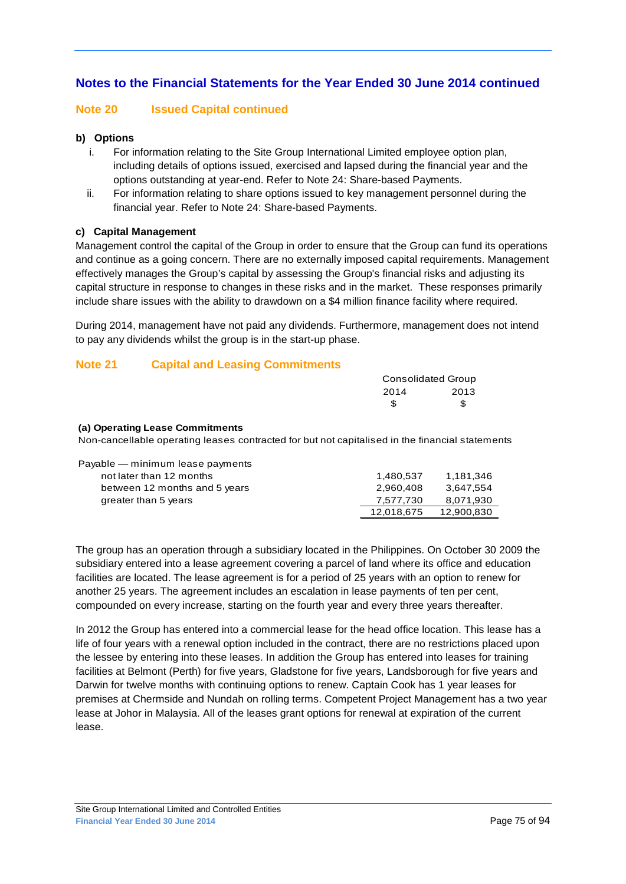### **Note 20 Issued Capital continued**

#### **b) Options**

- i. For information relating to the Site Group International Limited employee option plan, including details of options issued, exercised and lapsed during the financial year and the options outstanding at year-end. Refer to Note 24: Share-based Payments.
- ii. For information relating to share options issued to key management personnel during the financial year. Refer to Note 24: Share-based Payments.

#### **c) Capital Management**

Management control the capital of the Group in order to ensure that the Group can fund its operations and continue as a going concern. There are no externally imposed capital requirements. Management effectively manages the Group's capital by assessing the Group's financial risks and adjusting its capital structure in response to changes in these risks and in the market. These responses primarily include share issues with the ability to drawdown on a \$4 million finance facility where required.

During 2014, management have not paid any dividends. Furthermore, management does not intend to pay any dividends whilst the group is in the start-up phase.

### **Note 21 Capital and Leasing Commitments**

|  | __ |                           |      |
|--|----|---------------------------|------|
|  |    | <b>Consolidated Group</b> |      |
|  |    | 2014                      | 2013 |
|  |    | S                         |      |
|  |    |                           |      |

#### **(a) Operating Lease Commitments**

Non-cancellable operating leases contracted for but not capitalised in the financial statements

| Payable — minimum lease payments |            |            |
|----------------------------------|------------|------------|
| not later than 12 months         | 1.480.537  | 1.181.346  |
| between 12 months and 5 years    | 2.960.408  | 3.647.554  |
| greater than 5 years             | 7.577.730  | 8,071,930  |
|                                  | 12.018.675 | 12,900,830 |

The group has an operation through a subsidiary located in the Philippines. On October 30 2009 the subsidiary entered into a lease agreement covering a parcel of land where its office and education facilities are located. The lease agreement is for a period of 25 years with an option to renew for another 25 years. The agreement includes an escalation in lease payments of ten per cent, compounded on every increase, starting on the fourth year and every three years thereafter.

In 2012 the Group has entered into a commercial lease for the head office location. This lease has a life of four years with a renewal option included in the contract, there are no restrictions placed upon the lessee by entering into these leases. In addition the Group has entered into leases for training facilities at Belmont (Perth) for five years, Gladstone for five years, Landsborough for five years and Darwin for twelve months with continuing options to renew. Captain Cook has 1 year leases for premises at Chermside and Nundah on rolling terms. Competent Project Management has a two year lease at Johor in Malaysia. All of the leases grant options for renewal at expiration of the current lease.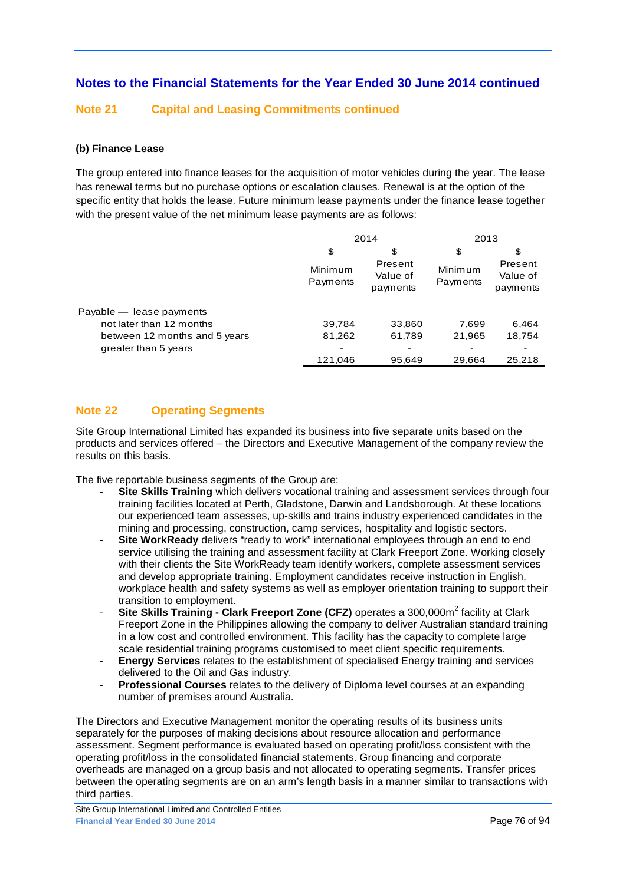### **Note 21 Capital and Leasing Commitments continued**

#### **(b) Finance Lease**

The group entered into finance leases for the acquisition of motor vehicles during the year. The lease has renewal terms but no purchase options or escalation clauses. Renewal is at the option of the specific entity that holds the lease. Future minimum lease payments under the finance lease together with the present value of the net minimum lease payments are as follows:

|                               | 2014                                                   |        | 2013                |                                 |
|-------------------------------|--------------------------------------------------------|--------|---------------------|---------------------------------|
|                               | \$                                                     | \$     |                     | \$                              |
|                               | Present<br>Minimum<br>Value of<br>Payments<br>payments |        | Minimum<br>Payments | Present<br>Value of<br>payments |
| Payable - lease payments      |                                                        |        |                     |                                 |
| not later than 12 months      | 39,784                                                 | 33,860 | 7,699               | 6,464                           |
| between 12 months and 5 years | 81,262                                                 | 61,789 | 21,965              | 18,754                          |
| greater than 5 years          | $\overline{\phantom{0}}$                               |        |                     |                                 |
|                               | 121,046                                                | 95,649 | 29,664              | 25.218                          |

### **Note 22 Operating Segments**

Site Group International Limited has expanded its business into five separate units based on the products and services offered – the Directors and Executive Management of the company review the results on this basis.

The five reportable business segments of the Group are:

- **Site Skills Training** which delivers vocational training and assessment services through four training facilities located at Perth, Gladstone, Darwin and Landsborough. At these locations our experienced team assesses, up-skills and trains industry experienced candidates in the mining and processing, construction, camp services, hospitality and logistic sectors.
- **Site WorkReady** delivers "ready to work" international employees through an end to end service utilising the training and assessment facility at Clark Freeport Zone. Working closely with their clients the Site WorkReady team identify workers, complete assessment services and develop appropriate training. Employment candidates receive instruction in English, workplace health and safety systems as well as employer orientation training to support their transition to employment.
- **Site Skills Training Clark Freeport Zone (CFZ)** operates a 300,000m<sup>2</sup> facility at Clark Freeport Zone in the Philippines allowing the company to deliver Australian standard training in a low cost and controlled environment. This facility has the capacity to complete large scale residential training programs customised to meet client specific requirements.
- **Energy Services** relates to the establishment of specialised Energy training and services delivered to the Oil and Gas industry.
- **Professional Courses** relates to the delivery of Diploma level courses at an expanding number of premises around Australia.

The Directors and Executive Management monitor the operating results of its business units separately for the purposes of making decisions about resource allocation and performance assessment. Segment performance is evaluated based on operating profit/loss consistent with the operating profit/loss in the consolidated financial statements. Group financing and corporate overheads are managed on a group basis and not allocated to operating segments. Transfer prices between the operating segments are on an arm's length basis in a manner similar to transactions with third parties.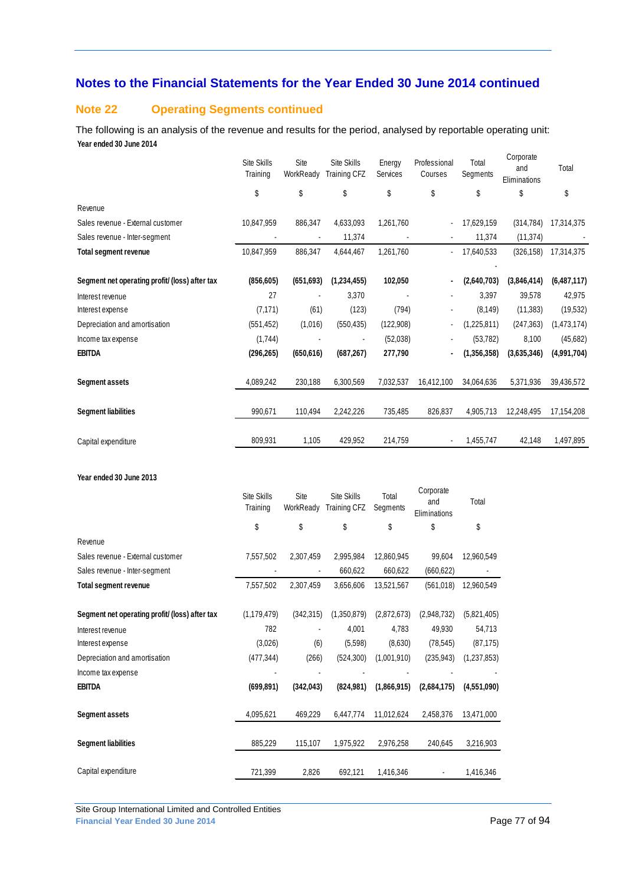### **Note 22 Operating Segments continued**

The following is an analysis of the revenue and results for the period, analysed by reportable operating unit: **Year ended 30 June 2014**

|                                                | Site Skills<br>Training | Site<br>WorkReady | Site Skills<br><b>Training CFZ</b> | Energy<br>Services       | Professional<br>Courses  | Total<br>Segments | Corporate<br>and<br>Eliminations | Total       |
|------------------------------------------------|-------------------------|-------------------|------------------------------------|--------------------------|--------------------------|-------------------|----------------------------------|-------------|
|                                                | \$                      | \$                | \$                                 | \$                       | \$                       | \$                | \$                               | \$          |
| Revenue                                        |                         |                   |                                    |                          |                          |                   |                                  |             |
| Sales revenue - External customer              | 10,847,959              | 886,347           | 4,633,093                          | 1,261,760                |                          | 17,629,159        | (314, 784)                       | 17,314,375  |
| Sales revenue - Inter-segment                  |                         |                   | 11,374                             | $\overline{\phantom{a}}$ |                          | 11,374            | (11, 374)                        |             |
| <b>Total segment revenue</b>                   | 10,847,959              | 886,347           | 4,644,467                          | 1,261,760                | $\overline{\phantom{0}}$ | 17,640,533        | (326, 158)                       | 17,314,375  |
| Segment net operating profit/ (loss) after tax | (856, 605)              | (651, 693)        | (1,234,455)                        | 102,050                  |                          | (2,640,703)       | (3,846,414)                      | (6,487,117) |
| Interest revenue                               | 27                      |                   | 3,370                              |                          |                          | 3,397             | 39,578                           | 42,975      |
| Interest expense                               | (7, 171)                | (61)              | (123)                              | (794)                    |                          | (8, 149)          | (11, 383)                        | (19, 532)   |
| Depreciation and amortisation                  | (551, 452)              | (1,016)           | (550, 435)                         | (122,908)                |                          | (1,225,811)       | (247, 363)                       | (1,473,174) |
| Income tax expense                             | (1,744)                 |                   | $\overline{\phantom{a}}$           | (52,038)                 |                          | (53, 782)         | 8,100                            | (45,682)    |
| <b>EBITDA</b>                                  | (296, 265)              | (650, 616)        | (687, 267)                         | 277,790                  |                          | (1,356,358)       | (3,635,346)                      | (4,991,704) |
| <b>Segment assets</b>                          | 4,089,242               | 230,188           | 6,300,569                          | 7,032,537                | 16,412,100               | 34,064,636        | 5,371,936                        | 39,436,572  |
| <b>Segment liabilities</b>                     | 990,671                 | 110,494           | 2,242,226                          | 735,485                  | 826,837                  | 4,905,713         | 12,248,495                       | 17,154,208  |
| Capital expenditure                            | 809,931                 | 1,105             | 429,952                            | 214,759                  |                          | 1,455,747         | 42,148                           | 1,497,895   |

**Year ended 30 June 2013**

|                                                | Site Skills<br>Training | Site<br>WorkReady | Site Skills<br><b>Training CFZ</b> | Total<br>Segments | Corporate<br>and<br>Eliminations | Total         |
|------------------------------------------------|-------------------------|-------------------|------------------------------------|-------------------|----------------------------------|---------------|
|                                                | \$                      | \$                | \$                                 | \$                | \$                               | \$            |
| Revenue                                        |                         |                   |                                    |                   |                                  |               |
| Sales revenue - External customer              | 7,557,502               | 2,307,459         | 2,995,984                          | 12,860,945        | 99,604                           | 12,960,549    |
| Sales revenue - Inter-segment                  |                         |                   | 660,622                            | 660,622           | (660, 622)                       |               |
| <b>Total segment revenue</b>                   | 7,557,502               | 2,307,459         | 3,656,606                          | 13,521,567        | (561, 018)                       | 12,960,549    |
| Segment net operating profit/ (loss) after tax | (1, 179, 479)           | (342, 315)        | (1,350,879)                        | (2,872,673)       | (2,948,732)                      | (5,821,405)   |
| Interest revenue                               | 782                     |                   | 4,001                              | 4,783             | 49,930                           | 54,713        |
| Interest expense                               | (3,026)                 | (6)               | (5,598)                            | (8,630)           | (78, 545)                        | (87, 175)     |
| Depreciation and amortisation                  | (477, 344)              | (266)             | (524, 300)                         | (1,001,910)       | (235, 943)                       | (1, 237, 853) |
| Income tax expense                             |                         |                   |                                    |                   |                                  |               |
| <b>EBITDA</b>                                  | (699, 891)              | (342, 043)        | (824, 981)                         | (1,866,915)       | (2,684,175)                      | (4,551,090)   |
| <b>Segment assets</b>                          | 4,095,621               | 469,229           | 6,447,774                          | 11,012,624        | 2,458,376                        | 13,471,000    |
| <b>Segment liabilities</b>                     | 885,229                 | 115,107           | 1,975,922                          | 2,976,258         | 240,645                          | 3,216,903     |
| Capital expenditure                            | 721,399                 | 2,826             | 692,121                            | 1,416,346         |                                  | 1,416,346     |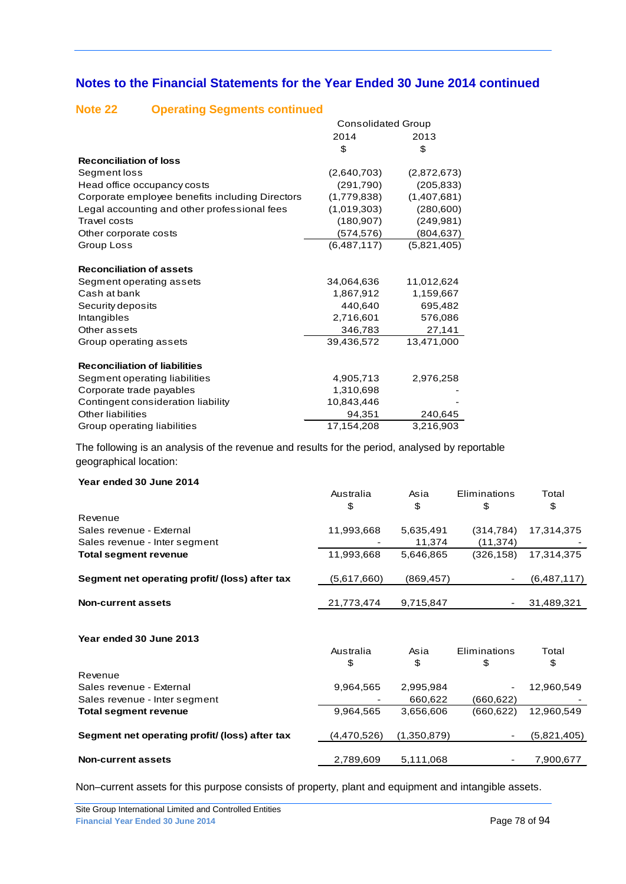| <b>Note 22</b> |  |  | <b>Operating Segments continued</b> |
|----------------|--|--|-------------------------------------|
|----------------|--|--|-------------------------------------|

|                                                 | <b>Consolidated Group</b> |             |  |
|-------------------------------------------------|---------------------------|-------------|--|
|                                                 | 2014                      | 2013        |  |
|                                                 | \$                        | \$          |  |
| <b>Reconciliation of loss</b>                   |                           |             |  |
| Segment loss                                    | (2,640,703)               | (2,872,673) |  |
| Head office occupancy costs                     | (291,790)                 | (205, 833)  |  |
| Corporate employee benefits including Directors | (1,779,838)               | (1,407,681) |  |
| Legal accounting and other professional fees    | (1,019,303)               | (280, 600)  |  |
| Travel costs                                    | (180, 907)                | (249,981)   |  |
| Other corporate costs                           | (574,576)                 | (804, 637)  |  |
| Group Loss                                      | (6,487,117)               | (5,821,405) |  |
| <b>Reconciliation of assets</b>                 |                           |             |  |
| Segment operating assets                        | 34,064,636                | 11,012,624  |  |
| Cash at bank                                    | 1,867,912                 | 1,159,667   |  |
| Security deposits                               | 440,640                   | 695,482     |  |
| Intangibles                                     | 2,716,601                 | 576,086     |  |
| Other assets                                    | 346,783                   | 27,141      |  |
| Group operating assets                          | 39,436,572                | 13,471,000  |  |
| <b>Reconciliation of liabilities</b>            |                           |             |  |
| Segment operating liabilities                   | 4,905,713                 | 2,976,258   |  |
| Corporate trade payables                        | 1,310,698                 |             |  |
| Contingent consideration liability              | 10,843,446                |             |  |
| <b>Other liabilities</b>                        | 94,351                    | 240,645     |  |
| Group operating liabilities                     | 17,154,208                | 3,216,903   |  |

The following is an analysis of the revenue and results for the period, analysed by reportable geographical location:

### **Year ended 30 June 2014**

|                                                | Australia<br>\$ | Asia<br>\$ | Eliminations<br>\$ | Total<br>\$ |
|------------------------------------------------|-----------------|------------|--------------------|-------------|
| Revenue                                        |                 |            |                    |             |
| Sales revenue - External                       | 11,993,668      | 5,635,491  | (314, 784)         | 17,314,375  |
| Sales revenue - Inter segment                  |                 | 11,374     | (11, 374)          |             |
| <b>Total segment revenue</b>                   | 11,993,668      | 5,646,865  | (326, 158)         | 17,314,375  |
| Segment net operating profit/ (loss) after tax | (5,617,660)     | (869, 457) | ۰                  | (6,487,117) |
| Non-current assets                             | 21,773,474      | 9,715,847  | ۰                  | 31,489,321  |
| Year ended 30 June 2013                        |                 |            |                    |             |
|                                                | Australia<br>\$ | Asia<br>\$ | Eliminations<br>\$ | Total<br>\$ |

| Revenue                                        |             |             |            |             |
|------------------------------------------------|-------------|-------------|------------|-------------|
| Sales revenue - External                       | 9,964,565   | 2,995,984   |            | 12,960,549  |
| Sales revenue - Inter segment                  | ٠           | 660,622     | (660, 622) |             |
| <b>Total segment revenue</b>                   | 9.964.565   | 3,656,606   | (660.622)  | 12,960,549  |
| Segment net operating profit/ (loss) after tax | (4,470,526) | (1,350,879) |            | (5,821,405) |
| <b>Non-current assets</b>                      | 2,789,609   | 5,111,068   |            | 7,900,677   |

Non–current assets for this purpose consists of property, plant and equipment and intangible assets.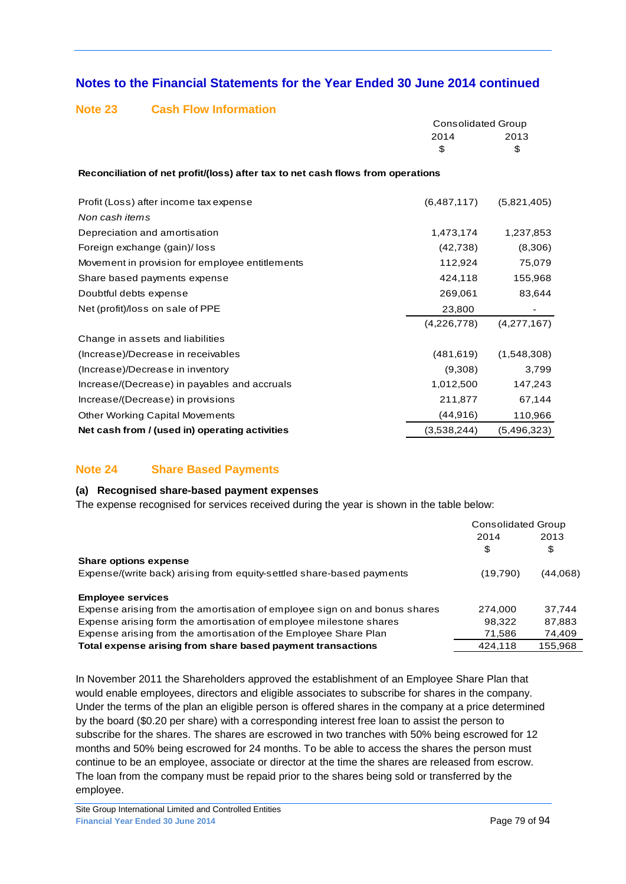### **Note 23 Cash Flow Information**

|                                                                                 | <b>Consolidated Group</b> |             |  |
|---------------------------------------------------------------------------------|---------------------------|-------------|--|
|                                                                                 | 2014                      | 2013        |  |
|                                                                                 | \$                        | \$          |  |
| Reconciliation of net profit/(loss) after tax to net cash flows from operations |                           |             |  |
| Profit (Loss) after income tax expense                                          | (6,487,117)               | (5,821,405) |  |
| Non cash items                                                                  |                           |             |  |
| Depreciation and amortisation                                                   | 1,473,174                 | 1,237,853   |  |
| Foreign exchange (gain)/loss                                                    | (42, 738)                 | (8,306)     |  |
| Movement in provision for employee entitlements                                 | 112,924                   | 75,079      |  |
| Share based payments expense                                                    | 424,118                   | 155,968     |  |
| Doubtful debts expense                                                          | 269,061                   | 83,644      |  |
| Net (profit)/loss on sale of PPE                                                | 23,800                    |             |  |
|                                                                                 | (4,226,778)               | (4,277,167) |  |
| Change in assets and liabilities                                                |                           |             |  |
| (Increase)/Decrease in receivables                                              | (481, 619)                | (1,548,308) |  |
| (Increase)/Decrease in inventory                                                | (9,308)                   | 3,799       |  |
| Increase/(Decrease) in payables and accruals                                    | 1,012,500                 | 147,243     |  |
| Increase/(Decrease) in provisions                                               | 211,877                   | 67,144      |  |
| <b>Other Working Capital Movements</b>                                          | (44,916)                  | 110,966     |  |
| Net cash from / (used in) operating activities                                  | (3,538,244)               | (5,496,323) |  |

### **Note 24 Share Based Payments**

### **(a) Recognised share-based payment expenses**

The expense recognised for services received during the year is shown in the table below:

|                                                                            | <b>Consolidated Group</b> |          |
|----------------------------------------------------------------------------|---------------------------|----------|
|                                                                            | 2014                      | 2013     |
|                                                                            | \$                        | \$       |
| <b>Share options expense</b>                                               |                           |          |
| Expense/(write back) arising from equity-settled share-based payments      | (19,790)                  | (44,068) |
|                                                                            |                           |          |
| <b>Employee services</b>                                                   |                           |          |
| Expense arising from the amortisation of employee sign on and bonus shares | 274.000                   | 37.744   |
| Expense arising form the amortisation of employee milestone shares         | 98,322                    | 87,883   |
| Expense arising from the amortisation of the Employee Share Plan           | 71,586                    | 74,409   |
| Total expense arising from share based payment transactions                | 424,118                   | 155,968  |

In November 2011 the Shareholders approved the establishment of an Employee Share Plan that would enable employees, directors and eligible associates to subscribe for shares in the company. Under the terms of the plan an eligible person is offered shares in the company at a price determined by the board (\$0.20 per share) with a corresponding interest free loan to assist the person to subscribe for the shares. The shares are escrowed in two tranches with 50% being escrowed for 12 months and 50% being escrowed for 24 months. To be able to access the shares the person must continue to be an employee, associate or director at the time the shares are released from escrow. The loan from the company must be repaid prior to the shares being sold or transferred by the employee.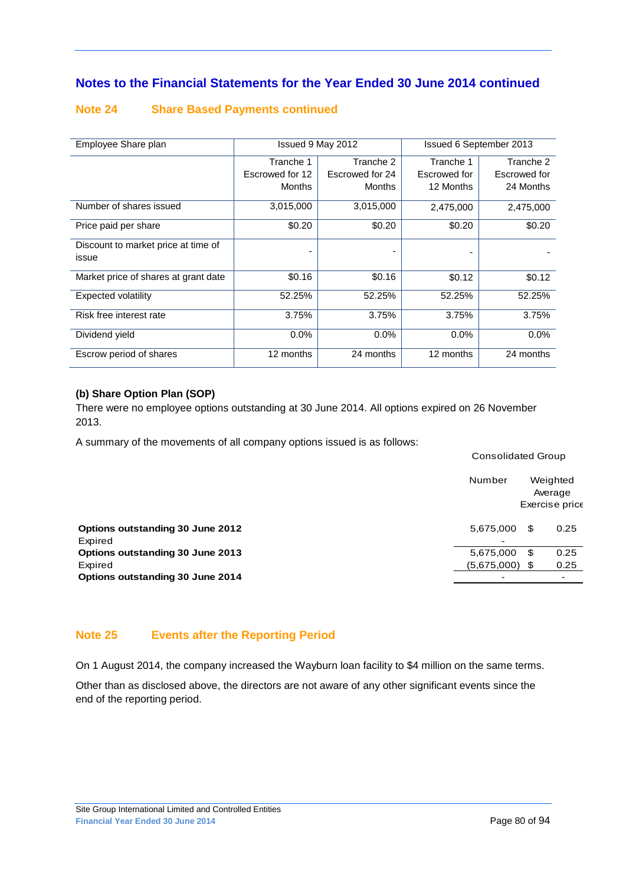| Note 24 |  |  |  | <b>Share Based Payments continued</b> |
|---------|--|--|--|---------------------------------------|
|---------|--|--|--|---------------------------------------|

| Employee Share plan                          |                                               | Issued 9 May 2012                             | Issued 6 September 2013                |                                        |  |
|----------------------------------------------|-----------------------------------------------|-----------------------------------------------|----------------------------------------|----------------------------------------|--|
|                                              | Tranche 1<br>Escrowed for 12<br><b>Months</b> | Tranche 2<br>Escrowed for 24<br><b>Months</b> | Tranche 1<br>Escrowed for<br>12 Months | Tranche 2<br>Escrowed for<br>24 Months |  |
| Number of shares issued                      | 3,015,000                                     | 3,015,000                                     | 2,475,000                              | 2,475,000                              |  |
| Price paid per share                         | \$0.20                                        | \$0.20                                        | \$0.20                                 | \$0.20                                 |  |
| Discount to market price at time of<br>issue |                                               |                                               |                                        |                                        |  |
| Market price of shares at grant date         | \$0.16                                        | \$0.16                                        | \$0.12                                 | \$0.12                                 |  |
| <b>Expected volatility</b>                   | 52.25%                                        | 52.25%                                        | 52.25%                                 | 52.25%                                 |  |
| Risk free interest rate                      | 3.75%                                         | 3.75%                                         | 3.75%                                  | 3.75%                                  |  |
| Dividend yield                               | 0.0%                                          | 0.0%                                          | 0.0%                                   | 0.0%                                   |  |
| Escrow period of shares                      | 12 months                                     | 24 months                                     | 12 months                              | 24 months                              |  |

### **(b) Share Option Plan (SOP)**

There were no employee options outstanding at 30 June 2014. All options expired on 26 November 2013.

A summary of the movements of all company options issued is as follows:

|                                  |                          | <b>Consolidated Group</b> |                                       |  |
|----------------------------------|--------------------------|---------------------------|---------------------------------------|--|
|                                  | Number                   |                           | Weighted<br>Average<br>Exercise price |  |
| Options outstanding 30 June 2012 | 5,675,000                | - 35                      | 0.25                                  |  |
| Expired                          |                          |                           |                                       |  |
| Options outstanding 30 June 2013 | 5,675,000                | - 35                      | 0.25                                  |  |
| Expired                          | (5,675,000) \$           |                           | 0.25                                  |  |
| Options outstanding 30 June 2014 | $\overline{\phantom{0}}$ |                           | $\overline{\phantom{0}}$              |  |

### **Note 25 Events after the Reporting Period**

On 1 August 2014, the company increased the Wayburn loan facility to \$4 million on the same terms.

Other than as disclosed above, the directors are not aware of any other significant events since the end of the reporting period.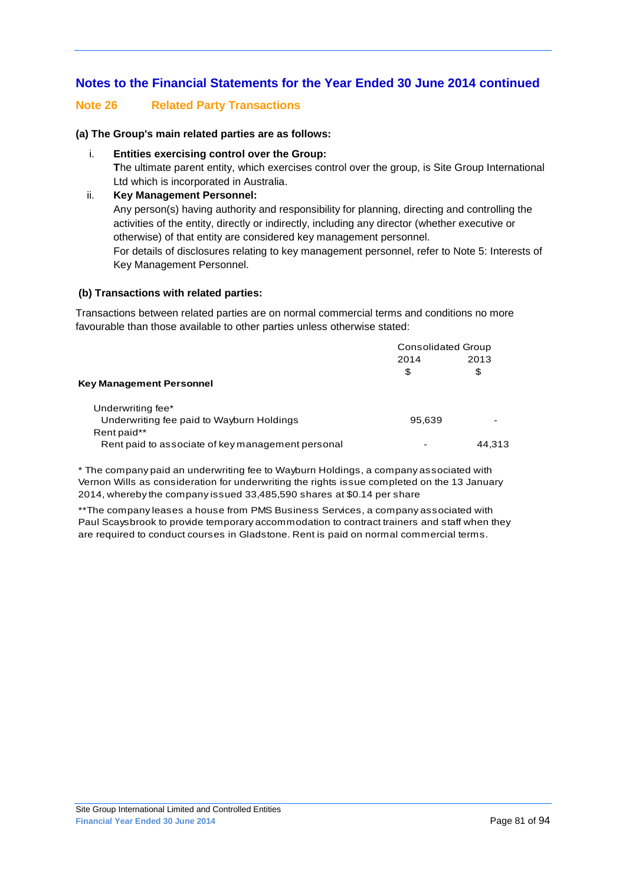### **Note 26 Related Party Transactions**

#### **(a) The Group's main related parties are as follows:**

i. **Entities exercising control over the Group:**

**T**he ultimate parent entity, which exercises control over the group, is Site Group International Ltd which is incorporated in Australia.

#### ii. **Key Management Personnel:**

Any person(s) having authority and responsibility for planning, directing and controlling the activities of the entity, directly or indirectly, including any director (whether executive or otherwise) of that entity are considered key management personnel.

For details of disclosures relating to key management personnel, refer to Note 5: Interests of Key Management Personnel.

#### **(b) Transactions with related parties:**

Transactions between related parties are on normal commercial terms and conditions no more favourable than those available to other parties unless otherwise stated:

|                                                   | <b>Consolidated Group</b> |        |  |
|---------------------------------------------------|---------------------------|--------|--|
|                                                   | 2014                      | 2013   |  |
|                                                   | S                         | \$     |  |
| <b>Key Management Personnel</b>                   |                           |        |  |
| Underwriting fee*                                 |                           |        |  |
| Underwriting fee paid to Wayburn Holdings         | 95.639                    |        |  |
| Rent paid**                                       |                           |        |  |
| Rent paid to associate of key management personal |                           | 44.313 |  |

\* The company paid an underwriting fee to Wayburn Holdings, a company associated with Vernon Wills as consideration for underwriting the rights issue completed on the 13 January 2014, whereby the company issued 33,485,590 shares at \$0.14 per share

\*\*The company leases a house from PMS Business Services, a company associated with Paul Scaysbrook to provide temporary accommodation to contract trainers and staff when they are required to conduct courses in Gladstone. Rent is paid on normal commercial terms.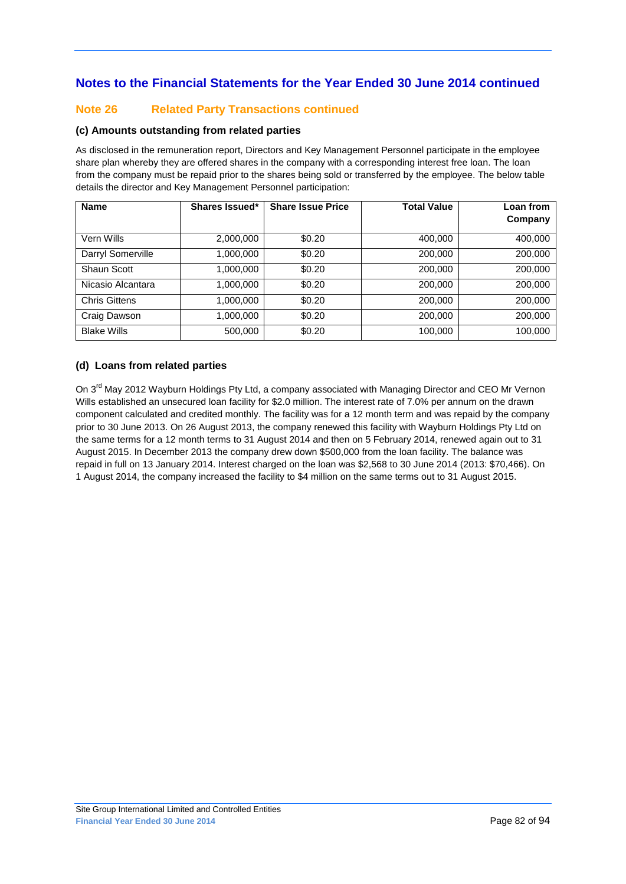### **Note 26 Related Party Transactions continued**

#### **(c) Amounts outstanding from related parties**

As disclosed in the remuneration report, Directors and Key Management Personnel participate in the employee share plan whereby they are offered shares in the company with a corresponding interest free loan. The loan from the company must be repaid prior to the shares being sold or transferred by the employee. The below table details the director and Key Management Personnel participation:

| <b>Name</b>          | Shares Issued* | <b>Share Issue Price</b> | <b>Total Value</b> | Loan from |
|----------------------|----------------|--------------------------|--------------------|-----------|
|                      |                |                          |                    | Company   |
| Vern Wills           | 2,000,000      | \$0.20                   | 400,000            | 400,000   |
| Darryl Somerville    | 1,000,000      | \$0.20                   | 200,000            | 200,000   |
| Shaun Scott          | 1,000,000      | \$0.20                   | 200,000            | 200,000   |
| Nicasio Alcantara    | 1.000.000      | \$0.20                   | 200.000            | 200.000   |
| <b>Chris Gittens</b> | 1,000,000      | \$0.20                   | 200,000            | 200,000   |
| Craig Dawson         | 1,000,000      | \$0.20                   | 200,000            | 200,000   |
| <b>Blake Wills</b>   | 500,000        | \$0.20                   | 100,000            | 100,000   |

### **(d) Loans from related parties**

On 3<sup>rd</sup> May 2012 Wayburn Holdings Pty Ltd, a company associated with Managing Director and CEO Mr Vernon Wills established an unsecured loan facility for \$2.0 million. The interest rate of 7.0% per annum on the drawn component calculated and credited monthly. The facility was for a 12 month term and was repaid by the company prior to 30 June 2013. On 26 August 2013, the company renewed this facility with Wayburn Holdings Pty Ltd on the same terms for a 12 month terms to 31 August 2014 and then on 5 February 2014, renewed again out to 31 August 2015. In December 2013 the company drew down \$500,000 from the loan facility. The balance was repaid in full on 13 January 2014. Interest charged on the loan was \$2,568 to 30 June 2014 (2013: \$70,466). On 1 August 2014, the company increased the facility to \$4 million on the same terms out to 31 August 2015.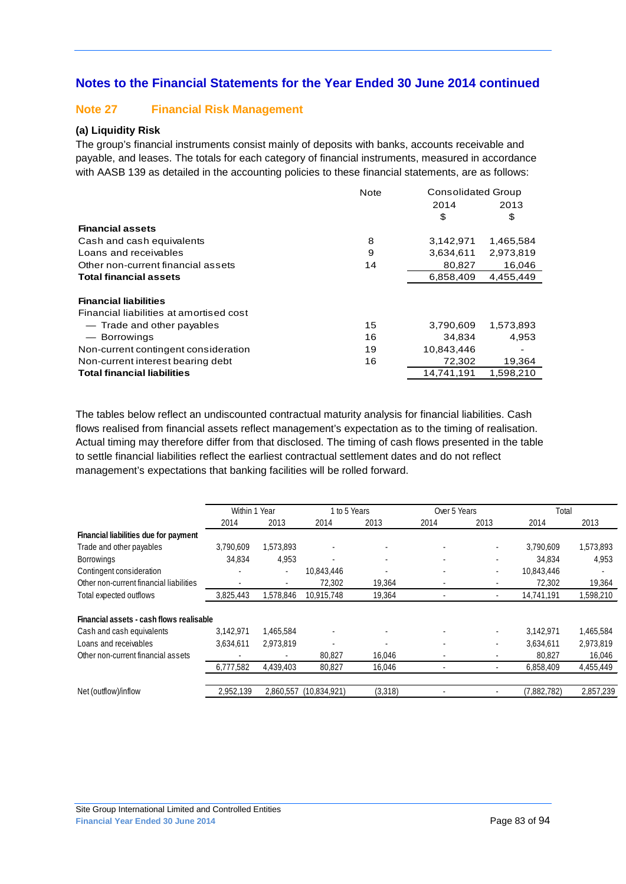### **Note 27 Financial Risk Management**

#### **(a) Liquidity Risk**

The group's financial instruments consist mainly of deposits with banks, accounts receivable and payable, and leases. The totals for each category of financial instruments, measured in accordance with AASB 139 as detailed in the accounting policies to these financial statements, are as follows:

|                                         | <b>Note</b> | <b>Consolidated Group</b> |           |
|-----------------------------------------|-------------|---------------------------|-----------|
|                                         |             | 2014                      | 2013      |
|                                         |             | \$                        | \$        |
| <b>Financial assets</b>                 |             |                           |           |
| Cash and cash equivalents               | 8           | 3,142,971                 | 1,465,584 |
| Loans and receivables                   | 9           | 3,634,611                 | 2,973,819 |
| Other non-current financial assets      | 14          | 80,827                    | 16,046    |
| <b>Total financial assets</b>           |             | 6,858,409                 | 4,455,449 |
|                                         |             |                           |           |
| <b>Financial liabilities</b>            |             |                           |           |
| Financial liabilities at amortised cost |             |                           |           |
| - Trade and other payables              | 15          | 3,790,609                 | 1,573,893 |
| - Borrowings                            | 16          | 34.834                    | 4.953     |
| Non-current contingent consideration    | 19          | 10,843,446                |           |
| Non-current interest bearing debt       | 16          | 72,302                    | 19,364    |
| <b>Total financial liabilities</b>      |             | 14,741,191                | 1.598.210 |

The tables below reflect an undiscounted contractual maturity analysis for financial liabilities. Cash flows realised from financial assets reflect management's expectation as to the timing of realisation. Actual timing may therefore differ from that disclosed. The timing of cash flows presented in the table to settle financial liabilities reflect the earliest contractual settlement dates and do not reflect management's expectations that banking facilities will be rolled forward.

|                                          | Within 1 Year |                |              | 1 to 5 Years |      | Over 5 Years   |             | Total     |  |
|------------------------------------------|---------------|----------------|--------------|--------------|------|----------------|-------------|-----------|--|
|                                          | 2014          | 2013           | 2014         | 2013         | 2014 | 2013           | 2014        | 2013      |  |
| Financial liabilities due for payment    |               |                |              |              |      |                |             |           |  |
| Trade and other payables                 | 3,790,609     | 1,573,893      |              |              |      |                | 3,790,609   | 1,573,893 |  |
| <b>Borrowings</b>                        | 34,834        | 4,953          |              |              |      | ٠              | 34.834      | 4,953     |  |
| Contingent consideration                 |               | $\blacksquare$ | 10,843,446   | ٠            |      | $\blacksquare$ | 10.843.446  |           |  |
| Other non-current financial liabilities  |               |                | 72,302       | 19,364       |      | ٠              | 72,302      | 19,364    |  |
| Total expected outflows                  | 3,825,443     | 1,578,846      | 10,915,748   | 19,364       |      | ٠              | 14,741,191  | 1,598,210 |  |
| Financial assets - cash flows realisable |               |                |              |              |      |                |             |           |  |
| Cash and cash equivalents                | 3,142,971     | 1,465,584      |              |              |      | ٠              | 3,142,971   | 1,465,584 |  |
| Loans and receivables                    | 3,634,611     | 2,973,819      |              |              |      | ٠              | 3.634.611   | 2,973,819 |  |
| Other non-current financial assets       |               |                | 80,827       | 16,046       |      | ٠              | 80,827      | 16,046    |  |
|                                          | 6,777,582     | 4,439,403      | 80,827       | 16,046       |      | ٠              | 6,858,409   | 4,455,449 |  |
| Net (outflow)/inflow                     | 2,952,139     | 2.860.557      | (10.834.921) | (3,318)      |      |                | (7,882,782) | 2,857,239 |  |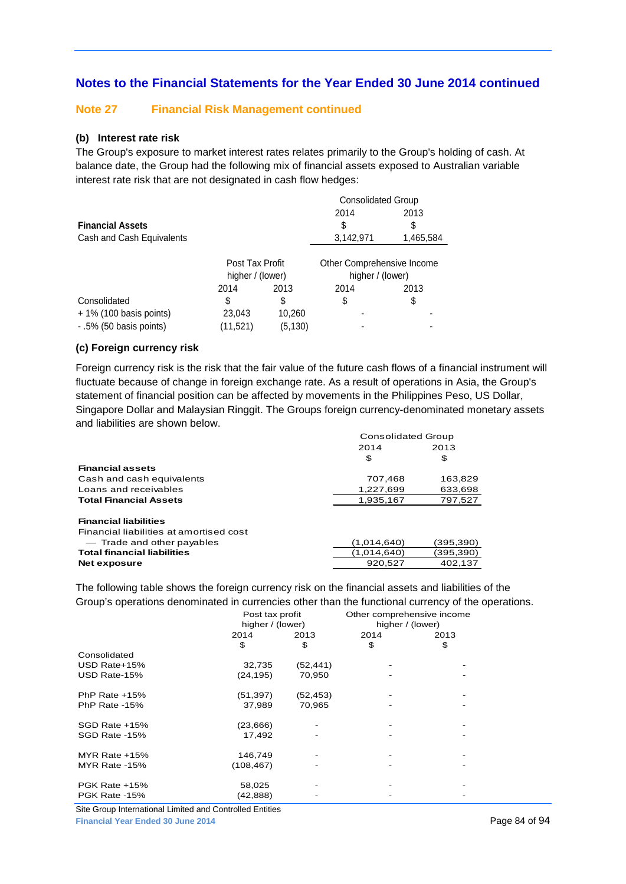### **Note 27 Financial Risk Management continued**

#### **(b) Interest rate risk**

The Group's exposure to market interest rates relates primarily to the Group's holding of cash. At balance date, the Group had the following mix of financial assets exposed to Australian variable interest rate risk that are not designated in cash flow hedges:

|                            |                  |         | <b>Consolidated Group</b>  |           |  |
|----------------------------|------------------|---------|----------------------------|-----------|--|
|                            |                  |         | 2014                       | 2013      |  |
| <b>Financial Assets</b>    |                  |         | \$                         | \$        |  |
| Cash and Cash Equivalents  |                  |         | 3,142,971                  | 1,465,584 |  |
|                            |                  |         |                            |           |  |
|                            | Post Tax Profit  |         | Other Comprehensive Income |           |  |
|                            | higher / (lower) |         | higher / (lower)           |           |  |
|                            | 2014             | 2013    | 2014                       | 2013      |  |
| Consolidated               | S                | S       | S                          | S         |  |
| $+1\%$ (100 basis points)  | 23,043           | 10,260  |                            |           |  |
| $-0.5\%$ (50 basis points) | (11,521)         | (5.130) |                            |           |  |

#### **(c) Foreign currency risk**

Foreign currency risk is the risk that the fair value of the future cash flows of a financial instrument will fluctuate because of change in foreign exchange rate. As a result of operations in Asia, the Group's statement of financial position can be affected by movements in the Philippines Peso, US Dollar, Singapore Dollar and Malaysian Ringgit. The Groups foreign currency-denominated monetary assets and liabilities are shown below.

|                                         | <b>Consolidated Group</b> |           |  |
|-----------------------------------------|---------------------------|-----------|--|
|                                         | 2014                      | 2013      |  |
|                                         | \$                        | \$        |  |
| <b>Financial assets</b>                 |                           |           |  |
| Cash and cash equivalents               | 707,468                   | 163,829   |  |
| Loans and receivables                   | 1,227,699                 | 633,698   |  |
| <b>Total Financial Assets</b>           | 1,935,167                 | 797,527   |  |
|                                         |                           |           |  |
| <b>Financial liabilities</b>            |                           |           |  |
| Financial liabilities at amortised cost |                           |           |  |
| - Trade and other payables              | (1,014,640)               | (395,390) |  |
| <b>Total financial liabilities</b>      | (1,014,640)               | (395,390) |  |
| Net exposure                            | 920.527                   | 402.137   |  |
|                                         |                           |           |  |

The following table shows the foreign currency risk on the financial assets and liabilities of the Group's operations denominated in currencies other than the functional currency of the operations.

|               |            | Post tax profit<br>higher / (lower) |      | Other comprehensive income<br>higher / (lower) |
|---------------|------------|-------------------------------------|------|------------------------------------------------|
|               | 2014       | 2013                                | 2014 | 2013                                           |
|               | \$         | \$                                  | \$   | \$                                             |
| Consolidated  |            |                                     |      |                                                |
| USD Rate+15%  | 32,735     | (52, 441)                           |      |                                                |
| USD Rate-15%  | (24, 195)  | 70,950                              |      |                                                |
| PhP Rate +15% | (51, 397)  | (52, 453)                           |      |                                                |
| PhP Rate -15% | 37,989     | 70,965                              |      |                                                |
| SGD Rate +15% | (23, 666)  |                                     |      |                                                |
| SGD Rate -15% | 17,492     |                                     |      |                                                |
| MYR Rate +15% | 146,749    |                                     |      |                                                |
| MYR Rate -15% | (108, 467) |                                     |      |                                                |
| PGK Rate +15% | 58,025     |                                     |      |                                                |
| PGK Rate -15% | (42,888)   |                                     |      |                                                |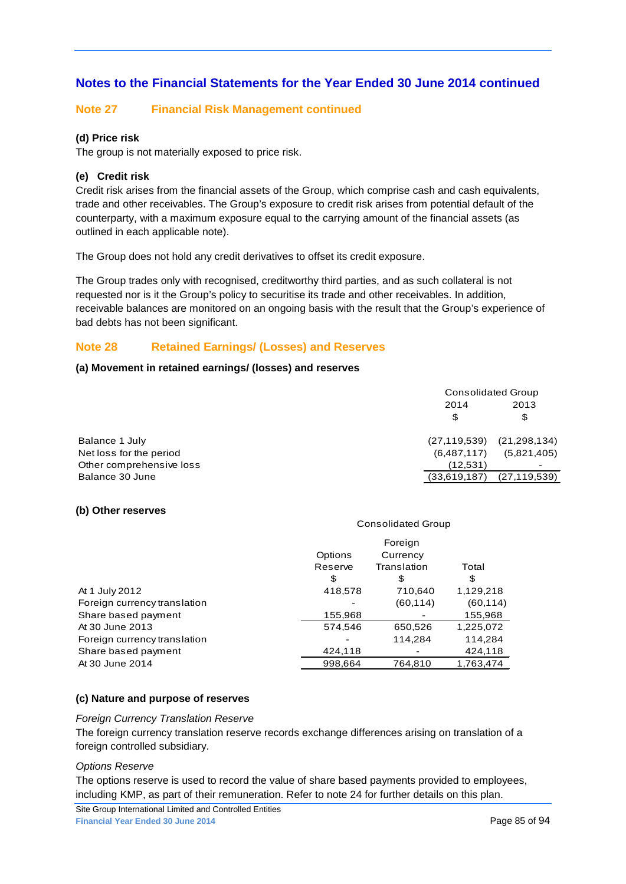### **Note 27 Financial Risk Management continued**

### **(d) Price risk**

The group is not materially exposed to price risk.

### **(e) Credit risk**

Credit risk arises from the financial assets of the Group, which comprise cash and cash equivalents, trade and other receivables. The Group's exposure to credit risk arises from potential default of the counterparty, with a maximum exposure equal to the carrying amount of the financial assets (as outlined in each applicable note).

The Group does not hold any credit derivatives to offset its credit exposure.

The Group trades only with recognised, creditworthy third parties, and as such collateral is not requested nor is it the Group's policy to securitise its trade and other receivables. In addition, receivable balances are monitored on an ongoing basis with the result that the Group's experience of bad debts has not been significant.

### **Note 28 Retained Earnings/ (Losses) and Reserves**

### **(a) Movement in retained earnings/ (losses) and reserves**

|                          | <b>Consolidated Group</b> |                |
|--------------------------|---------------------------|----------------|
|                          | 2013<br>2014              |                |
|                          | S                         | \$             |
| Balance 1 July           | (27, 119, 539)            | (21, 298, 134) |
| Net loss for the period  | (6,487,117)               | (5,821,405)    |
| Other comprehensive loss | (12,531)                  |                |
| Balance 30 June          | (33,619,187)              | (27, 119, 539) |

Consolidated Group

### **(b) Other reserves**

|                              | Options<br>Reserve | Foreign<br>Currency<br>Translation | Total     |
|------------------------------|--------------------|------------------------------------|-----------|
|                              | S                  | \$                                 | \$        |
| At 1 July 2012               | 418,578            | 710,640                            | 1,129,218 |
| Foreign currency translation |                    | (60, 114)                          | (60, 114) |
| Share based payment          | 155,968            |                                    | 155,968   |
| At 30 June 2013              | 574,546            | 650,526                            | 1,225,072 |
| Foreign currency translation |                    | 114,284                            | 114,284   |
| Share based payment          | 424,118            |                                    | 424,118   |
| At 30 June 2014              | 998,664            | 764,810                            | 1,763,474 |

### **(c) Nature and purpose of reserves**

#### *Foreign Currency Translation Reserve*

The foreign currency translation reserve records exchange differences arising on translation of a foreign controlled subsidiary.

#### *Options Reserve*

The options reserve is used to record the value of share based payments provided to employees, including KMP, as part of their remuneration. Refer to note 24 for further details on this plan.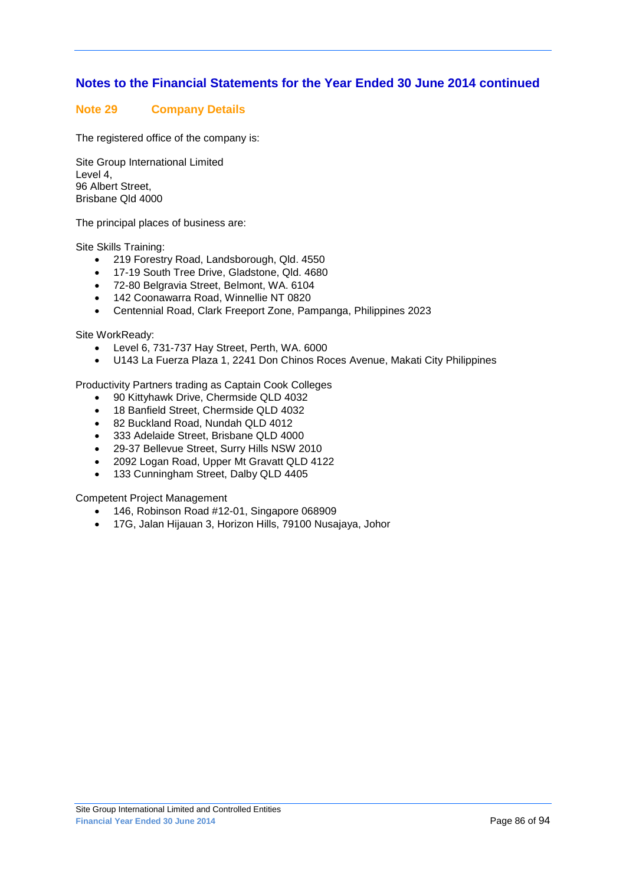### **Note 29 Company Details**

The registered office of the company is:

Site Group International Limited Level 4, 96 Albert Street, Brisbane Qld 4000

The principal places of business are:

Site Skills Training:

- 219 Forestry Road, Landsborough, Qld. 4550
- 17-19 South Tree Drive, Gladstone, Qld. 4680
- 72-80 Belgravia Street, Belmont, WA. 6104
- 142 Coonawarra Road, Winnellie NT 0820
- Centennial Road, Clark Freeport Zone, Pampanga, Philippines 2023

Site WorkReady:

- Level 6, 731-737 Hay Street, Perth, WA. 6000
- U143 La Fuerza Plaza 1, 2241 Don Chinos Roces Avenue, Makati City Philippines

Productivity Partners trading as Captain Cook Colleges

- 90 Kittyhawk Drive, Chermside QLD 4032
- 18 Banfield Street, Chermside QLD 4032
- 82 Buckland Road, Nundah QLD 4012
- 333 Adelaide Street, Brisbane QLD 4000
- 29-37 Bellevue Street, Surry Hills NSW 2010
- 2092 Logan Road, Upper Mt Gravatt QLD 4122
- 133 Cunningham Street, Dalby QLD 4405

Competent Project Management

- 146, Robinson Road #12-01, Singapore 068909
- 17G, Jalan Hijauan 3, Horizon Hills, 79100 Nusajaya, Johor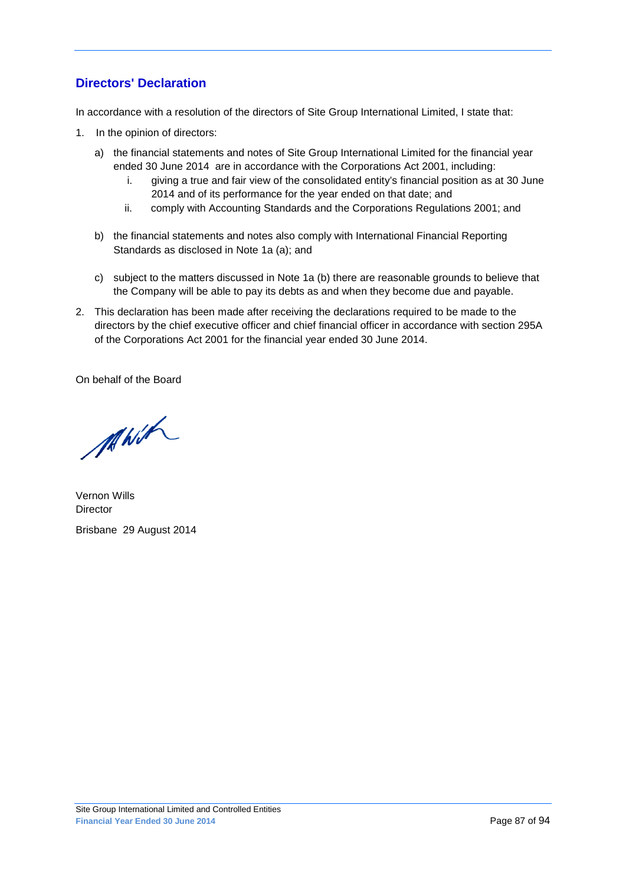# **Directors' Declaration**

In accordance with a resolution of the directors of Site Group International Limited, I state that:

- 1. In the opinion of directors:
	- a) the financial statements and notes of Site Group International Limited for the financial year ended 30 June 2014 are in accordance with the Corporations Act 2001, including:
		- i. giving a true and fair view of the consolidated entity's financial position as at 30 June 2014 and of its performance for the year ended on that date; and
		- ii. comply with Accounting Standards and the Corporations Regulations 2001; and
	- b) the financial statements and notes also comply with International Financial Reporting Standards as disclosed in Note 1a (a); and
	- c) subject to the matters discussed in Note 1a (b) there are reasonable grounds to believe that the Company will be able to pay its debts as and when they become due and payable.
- 2. This declaration has been made after receiving the declarations required to be made to the directors by the chief executive officer and chief financial officer in accordance with section 295A of the Corporations Act 2001 for the financial year ended 30 June 2014.

On behalf of the Board

MANIA

Vernon Wills **Director** Brisbane 29 August 2014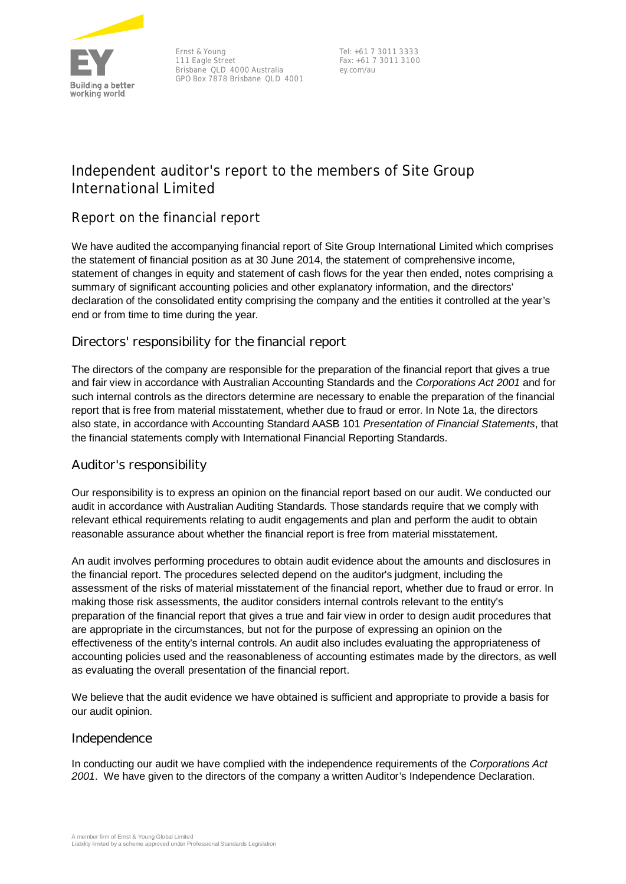

Ernst & Young 111 Eagle Street Brisbane QLD 4000 Australia GPO Box 7878 Brisbane QLD 4001

Tel: +61 7 3011 3333 Fax: +61 7 3011 3100 ey.com/au

# **Independent auditor's report to the members of Site Group International Limited**

# Report on the financial report

We have audited the accompanying financial report of Site Group International Limited which comprises the statement of financial position as at 30 June 2014, the statement of comprehensive income, statement of changes in equity and statement of cash flows for the year then ended, notes comprising a summary of significant accounting policies and other explanatory information, and the directors' declaration of the consolidated entity comprising the company and the entities it controlled at the year's end or from time to time during the year.

# *Directors' responsibility for the financial report*

The directors of the company are responsible for the preparation of the financial report that gives a true and fair view in accordance with Australian Accounting Standards and the *Corporations Act 2001* and for such internal controls as the directors determine are necessary to enable the preparation of the financial report that is free from material misstatement, whether due to fraud or error. In Note 1a, the directors also state, in accordance with Accounting Standard AASB 101 *Presentation of Financial Statements*, that the financial statements comply with International Financial Reporting Standards.

### *Auditor's responsibility*

Our responsibility is to express an opinion on the financial report based on our audit. We conducted our audit in accordance with Australian Auditing Standards. Those standards require that we comply with relevant ethical requirements relating to audit engagements and plan and perform the audit to obtain reasonable assurance about whether the financial report is free from material misstatement.

An audit involves performing procedures to obtain audit evidence about the amounts and disclosures in the financial report. The procedures selected depend on the auditor's judgment, including the assessment of the risks of material misstatement of the financial report, whether due to fraud or error. In making those risk assessments, the auditor considers internal controls relevant to the entity's preparation of the financial report that gives a true and fair view in order to design audit procedures that are appropriate in the circumstances, but not for the purpose of expressing an opinion on the effectiveness of the entity's internal controls. An audit also includes evaluating the appropriateness of accounting policies used and the reasonableness of accounting estimates made by the directors, as well as evaluating the overall presentation of the financial report.

We believe that the audit evidence we have obtained is sufficient and appropriate to provide a basis for our audit opinion.

### *Independence*

In conducting our audit we have complied with the independence requirements of the *Corporations Act 2001*. We have given to the directors of the company a written Auditor's Independence Declaration.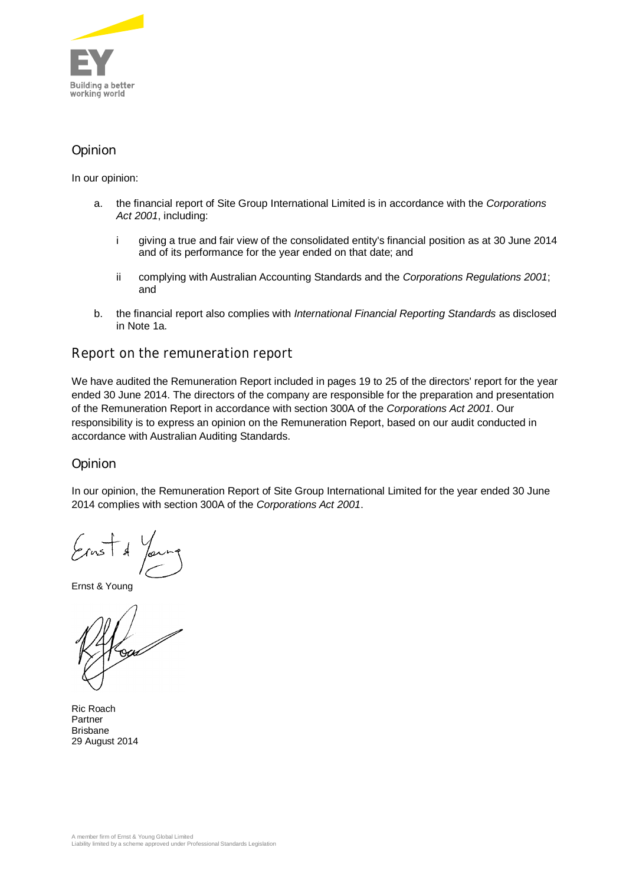

# *Opinion*

In our opinion:

- a. the financial report of Site Group International Limited is in accordance with the *Corporations Act 2001*, including:
	- i giving a true and fair view of the consolidated entity's financial position as at 30 June 2014 and of its performance for the year ended on that date; and
	- ii complying with Australian Accounting Standards and the *Corporations Regulations 2001*; and
- b. the financial report also complies with *International Financial Reporting Standards* as disclosed in Note 1a.

# Report on the remuneration report

We have audited the Remuneration Report included in pages 19 to 25 of the directors' report for the year ended 30 June 2014. The directors of the company are responsible for the preparation and presentation of the Remuneration Report in accordance with section 300A of the *Corporations Act 2001*. Our responsibility is to express an opinion on the Remuneration Report, based on our audit conducted in accordance with Australian Auditing Standards.

### *Opinion*

In our opinion, the Remuneration Report of Site Group International Limited for the year ended 30 June 2014 complies with section 300A of the *Corporations Act 2001*.

Ernst & Young

مدري

Ric Roach Partner Brisbane 29 August 2014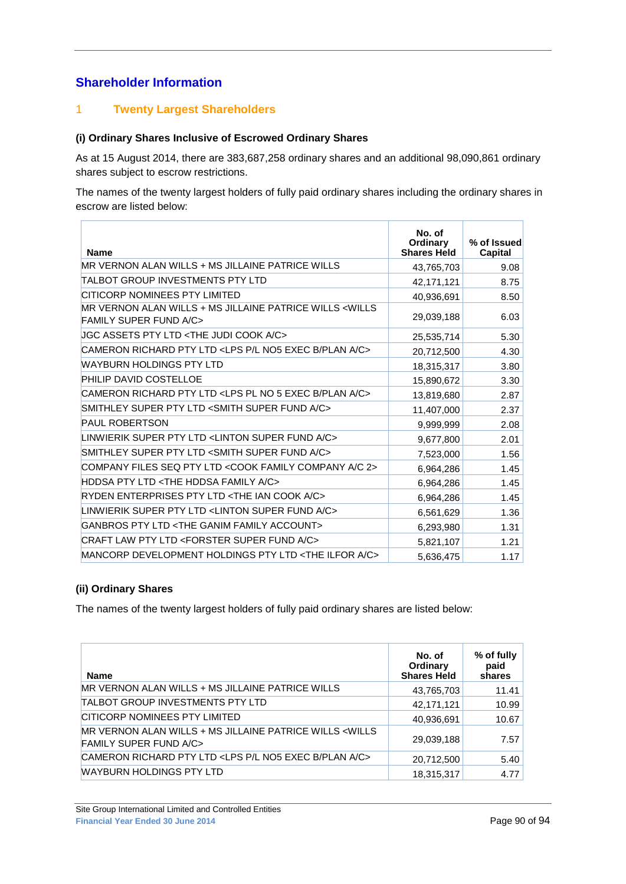# **Shareholder Information**

### 1 **Twenty Largest Shareholders**

### **(i) Ordinary Shares Inclusive of Escrowed Ordinary Shares**

As at 15 August 2014, there are 383,687,258 ordinary shares and an additional 98,090,861 ordinary shares subject to escrow restrictions.

The names of the twenty largest holders of fully paid ordinary shares including the ordinary shares in escrow are listed below:

| <b>Name</b>                                                                                            | No. of<br>Ordinary<br><b>Shares Held</b> | % of Issued<br>Capital |
|--------------------------------------------------------------------------------------------------------|------------------------------------------|------------------------|
| MR VERNON ALAN WILLS + MS JILLAINE PATRICE WILLS                                                       | 43,765,703                               | 9.08                   |
| TALBOT GROUP INVESTMENTS PTY LTD                                                                       | 42,171,121                               | 8.75                   |
| CITICORP NOMINEES PTY LIMITED                                                                          | 40,936,691                               | 8.50                   |
| MR VERNON ALAN WILLS + MS JILLAINE PATRICE WILLS <wills<br><b>FAMILY SUPER FUND A/C&gt;</b></wills<br> | 29,039,188                               | 6.03                   |
| UGC ASSETS PTY LTD <the a="" c="" cook="" judi=""></the>                                               | 25,535,714                               | 5.30                   |
| CAMERON RICHARD PTY LTD <lps a="" b="" c="" exec="" l="" no5="" p="" plan=""></lps>                    | 20,712,500                               | 4.30                   |
| WAYBURN HOLDINGS PTY LTD                                                                               | 18,315,317                               | 3.80                   |
| PHILIP DAVID COSTELLOE                                                                                 | 15,890,672                               | 3.30                   |
| CAMERON RICHARD PTY LTD <lps 5="" a="" b="" c="" exec="" no="" pl="" plan=""></lps>                    | 13,819,680                               | 2.87                   |
| SMITHLEY SUPER PTY LTD <smith a="" c="" fund="" super=""></smith>                                      | 11,407,000                               | 2.37                   |
| <b>PAUL ROBERTSON</b>                                                                                  | 9,999,999                                | 2.08                   |
| LINWIERIK SUPER PTY LTD <linton a="" c="" fund="" super=""></linton>                                   | 9,677,800                                | 2.01                   |
| SMITHLEY SUPER PTY LTD <smith a="" c="" fund="" super=""></smith>                                      | 7,523,000                                | 1.56                   |
| COMPANY FILES SEO PTY LTD < COOK FAMILY COMPANY A/C 2>                                                 | 6,964,286                                | 1.45                   |
| HDDSA PTY LTD <the a="" c="" family="" hddsa=""></the>                                                 | 6,964,286                                | 1.45                   |
| RYDEN ENTERPRISES PTY LTD <the a="" c="" cook="" ian=""></the>                                         | 6,964,286                                | 1.45                   |
| LINWIERIK SUPER PTY LTD <linton a="" c="" fund="" super=""></linton>                                   | 6,561,629                                | 1.36                   |
| GANBROS PTY LTD <the account="" family="" ganim=""></the>                                              | 6,293,980                                | 1.31                   |
| CRAFT LAW PTY LTD <forster a="" c="" fund="" super=""></forster>                                       | 5,821,107                                | 1.21                   |
| MANCORP DEVELOPMENT HOLDINGS PTY LTD <the a="" c="" ilfor=""></the>                                    | 5,636,475                                | 1.17                   |

### **(ii) Ordinary Shares**

The names of the twenty largest holders of fully paid ordinary shares are listed below:

| <b>Name</b>                                                                                            | No. of<br>Ordinary<br><b>Shares Held</b> | % of fully<br>paid<br>shares |
|--------------------------------------------------------------------------------------------------------|------------------------------------------|------------------------------|
| MR VERNON ALAN WILLS + MS JILLAINE PATRICE WILLS                                                       | 43,765,703                               | 11.41                        |
| <b>TALBOT GROUP INVESTMENTS PTY LTD</b>                                                                | 42,171,121                               | 10.99                        |
| CITICORP NOMINEES PTY LIMITED                                                                          | 40,936,691                               | 10.67                        |
| MR VERNON ALAN WILLS + MS JILLAINE PATRICE WILLS <wills<br><b>FAMILY SUPER FUND A/C&gt;</b></wills<br> | 29,039,188                               | 7.57                         |
| CAMERON RICHARD PTY LTD <lps a="" b="" c="" exec="" l="" no5="" p="" plan=""></lps>                    | 20,712,500                               | 5.40                         |
| <b>WAYBURN HOLDINGS PTY LTD</b>                                                                        | 18,315,317                               | 4.77                         |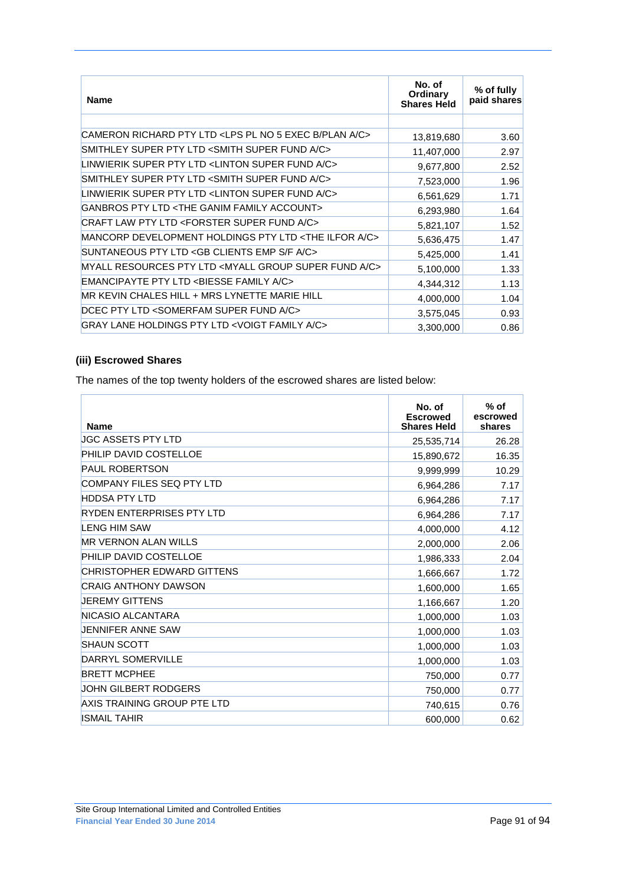| <b>Name</b>                                                                         | No. of<br>Ordinary<br><b>Shares Held</b> | % of fully<br>paid shares |
|-------------------------------------------------------------------------------------|------------------------------------------|---------------------------|
|                                                                                     |                                          |                           |
| CAMERON RICHARD PTY LTD <lps 5="" a="" b="" c="" exec="" no="" pl="" plan=""></lps> | 13,819,680                               | 3.60                      |
| SMITHLEY SUPER PTY LTD <smith a="" c="" fund="" super=""></smith>                   | 11,407,000                               | 2.97                      |
| LINWIERIK SUPER PTY LTD <linton a="" c="" fund="" super=""></linton>                | 9,677,800                                | 2.52                      |
| SMITHLEY SUPER PTY LTD <smith a="" c="" fund="" super=""></smith>                   | 7,523,000                                | 1.96                      |
| LINWIERIK SUPER PTY LTD <linton a="" c="" fund="" super=""></linton>                | 6,561,629                                | 1.71                      |
| GANBROS PTY LTD <the account="" family="" ganim=""></the>                           | 6,293,980                                | 1.64                      |
| CRAFT LAW PTY LTD <forster a="" c="" fund="" super=""></forster>                    | 5,821,107                                | 1.52                      |
| MANCORP DEVELOPMENT HOLDINGS PTY LTD <the a="" c="" ilfor=""></the>                 | 5,636,475                                | 1.47                      |
| SUNTANEOUS PTY LTD <gb a="" c="" clients="" emp="" f="" s=""></gb>                  | 5,425,000                                | 1.41                      |
| MYALL RESOURCES PTY LTD <myall a="" c="" fund="" group="" super=""></myall>         | 5,100,000                                | 1.33                      |
| EMANCIPAYTE PTY LTD <biesse a="" c="" family=""></biesse>                           | 4,344,312                                | 1.13                      |
| MR KEVIN CHALES HILL + MRS LYNETTE MARIE HILL                                       | 4,000,000                                | 1.04                      |
| DCEC PTY LTD <somerfam a="" c="" fund="" super=""></somerfam>                       | 3,575,045                                | 0.93                      |
| GRAY LANE HOLDINGS PTY LTD <voigt a="" c="" family=""></voigt>                      | 3,300,000                                | 0.86                      |

# **(iii) Escrowed Shares**

The names of the top twenty holders of the escrowed shares are listed below:

| <b>Name</b>                       | No. of<br><b>Escrowed</b><br><b>Shares Held</b> | $%$ of<br>escrowed<br>shares |
|-----------------------------------|-------------------------------------------------|------------------------------|
| <b>JGC ASSETS PTY LTD</b>         | 25,535,714                                      | 26.28                        |
| PHILIP DAVID COSTELLOE            | 15,890,672                                      | 16.35                        |
| <b>PAUL ROBERTSON</b>             | 9,999,999                                       | 10.29                        |
| COMPANY FILES SEQ PTY LTD         | 6,964,286                                       | 7.17                         |
| <b>HDDSA PTY LTD</b>              | 6,964,286                                       | 7.17                         |
| <b>RYDEN ENTERPRISES PTY LTD</b>  | 6,964,286                                       | 7.17                         |
| <b>LENG HIM SAW</b>               | 4,000,000                                       | 4.12                         |
| <b>MR VERNON ALAN WILLS</b>       | 2,000,000                                       | 2.06                         |
| PHILIP DAVID COSTELLOE            | 1,986,333                                       | 2.04                         |
| <b>CHRISTOPHER EDWARD GITTENS</b> | 1,666,667                                       | 1.72                         |
| <b>CRAIG ANTHONY DAWSON</b>       | 1,600,000                                       | 1.65                         |
| <b>JEREMY GITTENS</b>             | 1,166,667                                       | 1.20                         |
| NICASIO ALCANTARA                 | 1,000,000                                       | 1.03                         |
| <b>JENNIFER ANNE SAW</b>          | 1,000,000                                       | 1.03                         |
| <b>SHAUN SCOTT</b>                | 1,000,000                                       | 1.03                         |
| <b>DARRYL SOMERVILLE</b>          | 1,000,000                                       | 1.03                         |
| <b>BRETT MCPHEE</b>               | 750,000                                         | 0.77                         |
| <b>JOHN GILBERT RODGERS</b>       | 750,000                                         | 0.77                         |
| AXIS TRAINING GROUP PTE LTD       | 740,615                                         | 0.76                         |
| ISMAIL TAHIR                      | 600,000                                         | 0.62                         |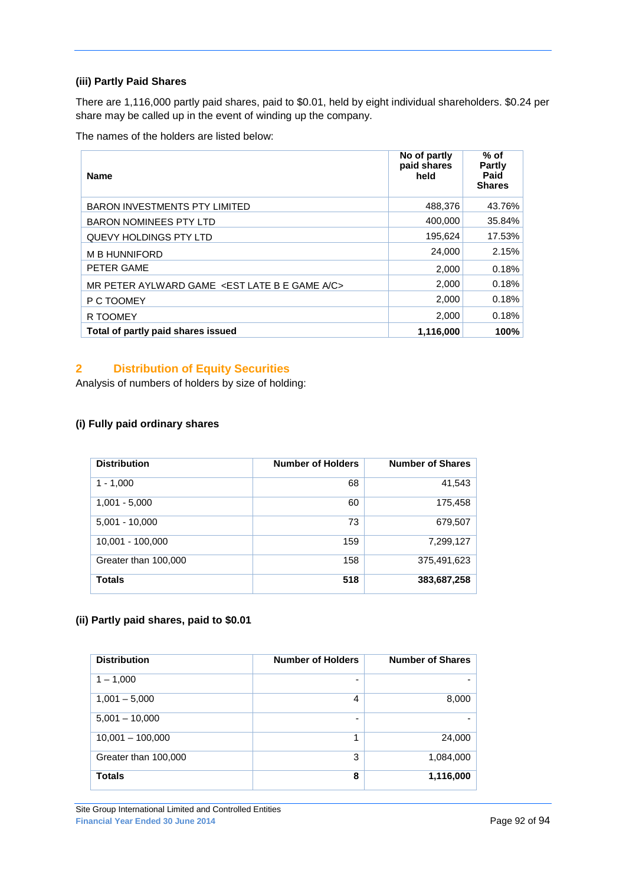### **(iii) Partly Paid Shares**

There are 1,116,000 partly paid shares, paid to \$0.01, held by eight individual shareholders. \$0.24 per share may be called up in the event of winding up the company.

The names of the holders are listed below:

| <b>Name</b>                                                           | No of partly<br>paid shares<br>held | $%$ of<br>Partly<br>Paid<br><b>Shares</b> |
|-----------------------------------------------------------------------|-------------------------------------|-------------------------------------------|
| <b>BARON INVESTMENTS PTY LIMITED</b>                                  | 488,376                             | 43.76%                                    |
| <b>BARON NOMINEES PTY LTD</b>                                         | 400,000                             | 35.84%                                    |
| QUEVY HOLDINGS PTY LTD                                                | 195,624                             | 17.53%                                    |
| <b>M B HUNNIFORD</b>                                                  | 24,000                              | 2.15%                                     |
| PETER GAME                                                            | 2,000                               | 0.18%                                     |
| MR PETER AYLWARD GAME <est a="" b="" c="" e="" game="" late=""></est> | 2,000                               | 0.18%                                     |
| P C TOOMEY                                                            | 2,000                               | 0.18%                                     |
| R TOOMEY                                                              | 2,000                               | 0.18%                                     |
| Total of partly paid shares issued                                    | 1,116,000                           | 100%                                      |

### **2 Distribution of Equity Securities**

Analysis of numbers of holders by size of holding:

### **(i) Fully paid ordinary shares**

| <b>Distribution</b>  | <b>Number of Holders</b> | <b>Number of Shares</b> |
|----------------------|--------------------------|-------------------------|
| $1 - 1,000$          | 68                       | 41,543                  |
| $1,001 - 5,000$      | 60                       | 175,458                 |
| $5,001 - 10,000$     | 73                       | 679,507                 |
| 10,001 - 100,000     | 159                      | 7,299,127               |
| Greater than 100,000 | 158                      | 375,491,623             |
| <b>Totals</b>        | 518                      | 383,687,258             |

### **(ii) Partly paid shares, paid to \$0.01**

| <b>Distribution</b>  | <b>Number of Holders</b> | <b>Number of Shares</b> |
|----------------------|--------------------------|-------------------------|
| $1 - 1,000$          |                          |                         |
| $1,001 - 5,000$      | 4                        | 8,000                   |
| $5,001 - 10,000$     | -                        |                         |
| $10,001 - 100,000$   |                          | 24,000                  |
| Greater than 100,000 | 3                        | 1,084,000               |
| <b>Totals</b>        | 8                        | 1,116,000               |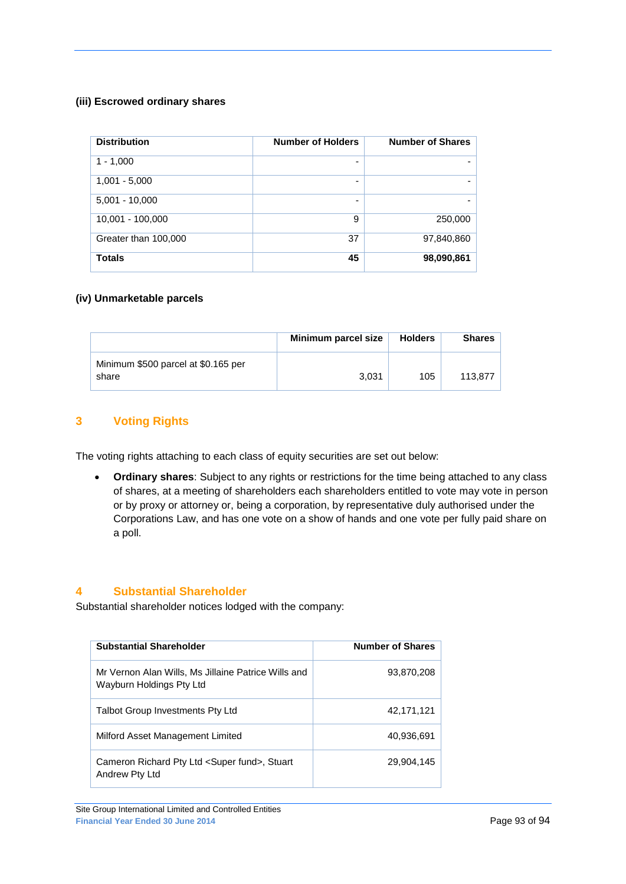### **(iii) Escrowed ordinary shares**

| <b>Distribution</b>  | <b>Number of Holders</b> | <b>Number of Shares</b> |
|----------------------|--------------------------|-------------------------|
| $1 - 1,000$          | ۰                        |                         |
| $1,001 - 5,000$      |                          |                         |
| $5,001 - 10,000$     | ۰                        |                         |
| 10,001 - 100,000     | 9                        | 250,000                 |
| Greater than 100,000 | 37                       | 97,840,860              |
| <b>Totals</b>        | 45                       | 98,090,861              |

#### **(iv) Unmarketable parcels**

|                                              | Minimum parcel size | <b>Holders</b> | <b>Shares</b> |
|----------------------------------------------|---------------------|----------------|---------------|
| Minimum \$500 parcel at \$0.165 per<br>share | 3.031               | 105            | 113.877       |

### **3 Voting Rights**

The voting rights attaching to each class of equity securities are set out below:

• **Ordinary shares**: Subject to any rights or restrictions for the time being attached to any class of shares, at a meeting of shareholders each shareholders entitled to vote may vote in person or by proxy or attorney or, being a corporation, by representative duly authorised under the Corporations Law, and has one vote on a show of hands and one vote per fully paid share on a poll.

### **4 Substantial Shareholder**

Substantial shareholder notices lodged with the company:

| <b>Substantial Shareholder</b>                                                  | <b>Number of Shares</b> |
|---------------------------------------------------------------------------------|-------------------------|
| Mr Vernon Alan Wills, Ms Jillaine Patrice Wills and<br>Wayburn Holdings Pty Ltd | 93.870.208              |
| Talbot Group Investments Pty Ltd                                                | 42,171,121              |
| Milford Asset Management Limited                                                | 40.936.691              |
| Cameron Richard Pty Ltd <super fund="">, Stuart<br/>Andrew Pty Ltd</super>      | 29,904,145              |